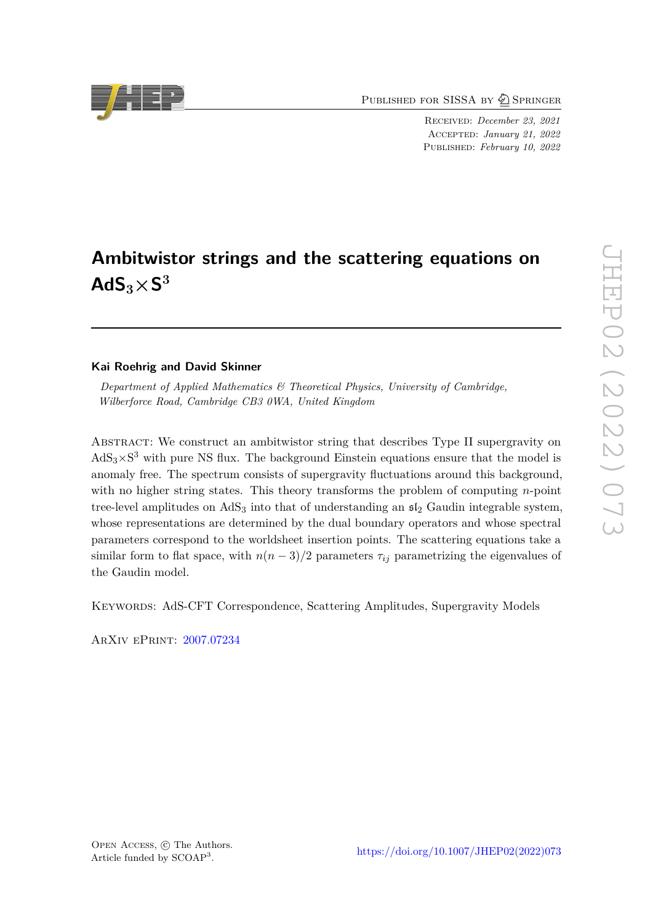PUBLISHED FOR SISSA BY 2 SPRINGER

Received: *December 23, 2021* Accepted: *January 21, 2022* Published: *February 10, 2022*

# **Ambitwistor strings and the scattering equations on**  $AdS_3 \times S^3$

# **Kai Roehrig and David Skinner**

*Department of Applied Mathematics & Theoretical Physics, University of Cambridge, Wilberforce Road, Cambridge CB3 0WA, United Kingdom*

ABSTRACT: We construct an ambitwistor string that describes Type II supergravity on  $AdS_3\times S^3$  with pure NS flux. The background Einstein equations ensure that the model is anomaly free. The spectrum consists of supergravity fluctuations around this background, with no higher string states. This theory transforms the problem of computing *n*-point tree-level amplitudes on  $AdS_3$  into that of understanding an  $\mathfrak{sl}_2$  Gaudin integrable system, whose representations are determined by the dual boundary operators and whose spectral parameters correspond to the worldsheet insertion points. The scattering equations take a similar form to flat space, with  $n(n-3)/2$  parameters  $\tau_{ij}$  parametrizing the eigenvalues of the Gaudin model.

Keywords: AdS-CFT Correspondence, Scattering Amplitudes, Supergravity Models

ArXiv ePrint: [2007.07234](https://arxiv.org/abs/2007.07234)

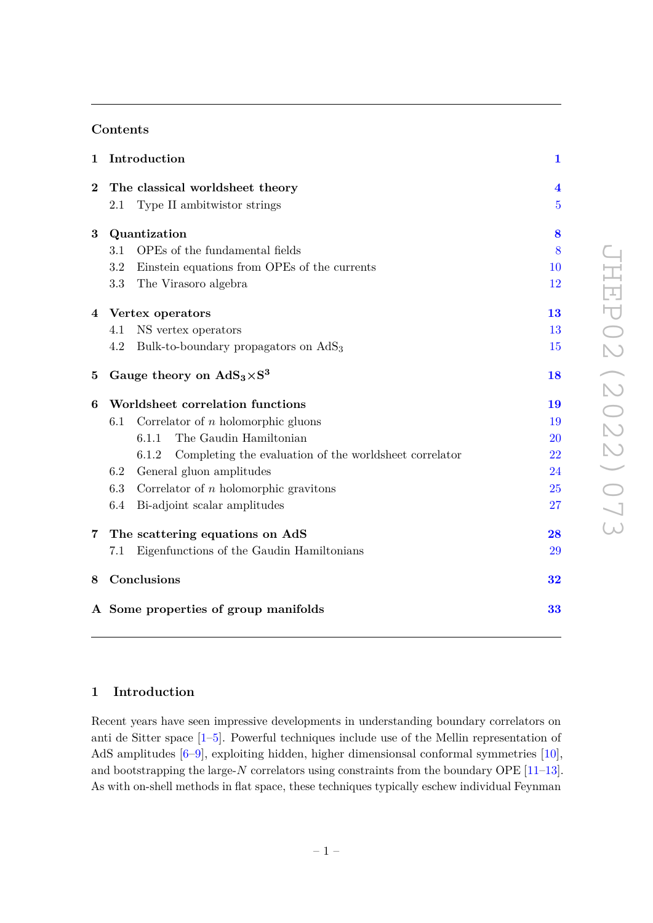# **Contents**

| $\mathbf{1}$   |                                  | Introduction                                                    |                         |
|----------------|----------------------------------|-----------------------------------------------------------------|-------------------------|
| $\overline{2}$ |                                  | The classical worldsheet theory                                 | $\overline{\mathbf{4}}$ |
|                | 2.1                              | Type II ambitwistor strings                                     | $\overline{5}$          |
| 3              | Quantization                     |                                                                 | 8                       |
|                | 3.1                              | OPEs of the fundamental fields                                  | 8                       |
|                | 3.2                              | Einstein equations from OPEs of the currents                    | 10                      |
|                | $3.3\,$                          | The Virasoro algebra                                            | 12                      |
|                | 4 Vertex operators               |                                                                 | 13                      |
|                | 4.1                              | NS vertex operators                                             | 13                      |
|                | 4.2                              | Bulk-to-boundary propagators on $AdS_3$                         | 15                      |
| $\bf{5}$       |                                  | Gauge theory on $AdS_3 \times S^3$                              | 18                      |
| 6              | Worldsheet correlation functions |                                                                 | 19                      |
|                | 6.1                              | Correlator of $n$ holomorphic gluons                            | 19                      |
|                |                                  | The Gaudin Hamiltonian<br>6.1.1                                 | <b>20</b>               |
|                |                                  | Completing the evaluation of the worldsheet correlator<br>6.1.2 | 22                      |
|                | 6.2                              | General gluon amplitudes                                        | 24                      |
|                | 6.3                              | Correlator of $n$ holomorphic gravitons                         | 25                      |
|                | 6.4                              | Bi-adjoint scalar amplitudes                                    | 27                      |
| 7              | The scattering equations on AdS  |                                                                 | 28                      |
|                | 7.1                              | Eigenfunctions of the Gaudin Hamiltonians                       | 29                      |
| 8              | Conclusions                      |                                                                 | 32                      |
|                |                                  | A Some properties of group manifolds                            | 33                      |

# <span id="page-1-0"></span>**1 Introduction**

Recent years have seen impressive developments in understanding boundary correlators on anti de Sitter space [\[1–](#page-35-0)[5\]](#page-35-1). Powerful techniques include use of the Mellin representation of AdS amplitudes [\[6](#page-35-2)[–9\]](#page-35-3), exploiting hidden, higher dimensionsal conformal symmetries [\[10\]](#page-35-4), and bootstrapping the large-*N* correlators using constraints from the boundary OPE [\[11](#page-35-5)[–13\]](#page-35-6). As with on-shell methods in flat space, these techniques typically eschew individual Feynman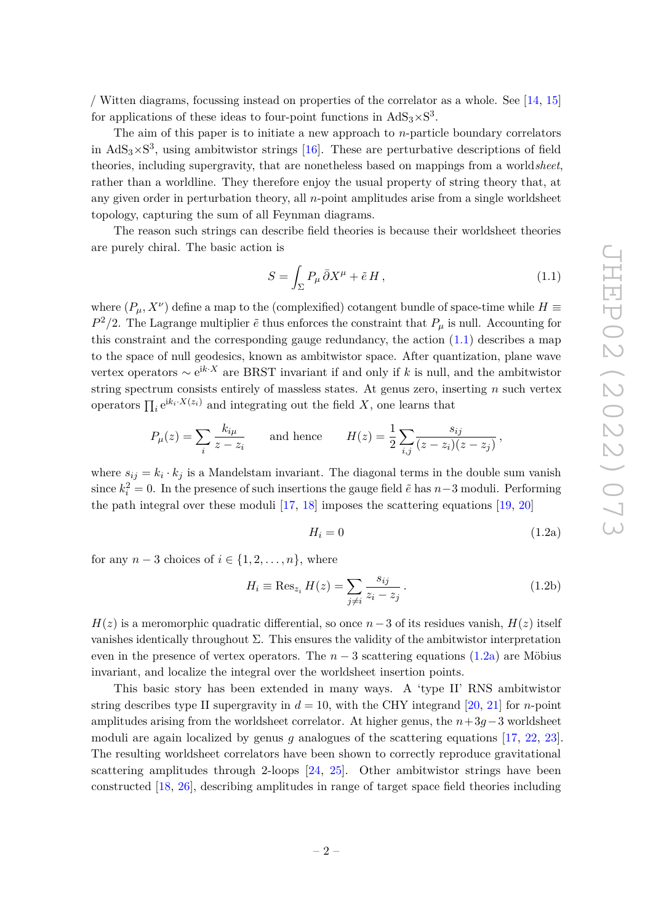/ Witten diagrams, focussing instead on properties of the correlator as a whole. See [\[14,](#page-35-7) [15\]](#page-35-8) for applications of these ideas to four-point functions in  $AdS_3 \times S^3$ .

The aim of this paper is to initiate a new approach to *n*-particle boundary correlators in  $AdS_3 \times S^3$ , using ambitwistor strings [\[16\]](#page-35-9). These are perturbative descriptions of field theories, including supergravity, that are nonetheless based on mappings from a world*sheet*, rather than a worldline. They therefore enjoy the usual property of string theory that, at any given order in perturbation theory, all *n*-point amplitudes arise from a single worldsheet topology, capturing the sum of all Feynman diagrams.

The reason such strings can describe field theories is because their worldsheet theories are purely chiral. The basic action is

<span id="page-2-0"></span>
$$
S = \int_{\Sigma} P_{\mu} \,\bar{\partial} X^{\mu} + \tilde{e} H \,, \tag{1.1}
$$

where  $(P_{\mu}, X^{\nu})$  define a map to the (complexified) cotangent bundle of space-time while  $H \equiv$  $P^2/2$ . The Lagrange multiplier  $\tilde{e}$  thus enforces the constraint that  $P_\mu$  is null. Accounting for this constraint and the corresponding gauge redundancy, the action  $(1.1)$  describes a map to the space of null geodesics, known as ambitwistor space. After quantization, plane wave vertex operators ∼ e <sup>i</sup>*k*·*<sup>X</sup>* are BRST invariant if and only if *k* is null, and the ambitwistor string spectrum consists entirely of massless states. At genus zero, inserting *n* such vertex operators  $\prod_i e^{ik_i \cdot X(z_i)}$  and integrating out the field *X*, one learns that

$$
P_{\mu}(z) = \sum_{i} \frac{k_{i\mu}}{z - z_i} \quad \text{and hence} \quad H(z) = \frac{1}{2} \sum_{i,j} \frac{s_{ij}}{(z - z_i)(z - z_j)},
$$

where  $s_{ij} = k_i \cdot k_j$  is a Mandelstam invariant. The diagonal terms in the double sum vanish since  $k_i^2 = 0$ . In the presence of such insertions the gauge field  $\tilde{e}$  has  $n-3$  moduli. Performing the path integral over these moduli [\[17,](#page-35-10) [18\]](#page-36-0) imposes the scattering equations [\[19,](#page-36-1) [20\]](#page-36-2)

<span id="page-2-1"></span>
$$
H_i = 0 \tag{1.2a}
$$

for any  $n-3$  choices of  $i \in \{1, 2, \ldots, n\}$ , where

$$
H_i \equiv \text{Res}_{z_i} H(z) = \sum_{j \neq i} \frac{s_{ij}}{z_i - z_j} \,. \tag{1.2b}
$$

 $H(z)$  is a meromorphic quadratic differential, so once  $n-3$  of its residues vanish,  $H(z)$  itself vanishes identically throughout Σ. This ensures the validity of the ambitwistor interpretation even in the presence of vertex operators. The  $n-3$  scattering equations  $(1.2a)$  are Möbius invariant, and localize the integral over the worldsheet insertion points.

This basic story has been extended in many ways. A 'type II' RNS ambitwistor string describes type II supergravity in  $d = 10$ , with the CHY integrand [\[20,](#page-36-2) [21\]](#page-36-3) for *n*-point amplitudes arising from the worldsheet correlator. At higher genus, the *n*+3*g*−3 worldsheet moduli are again localized by genus *g* analogues of the scattering equations [\[17,](#page-35-10) [22,](#page-36-4) [23\]](#page-36-5). The resulting worldsheet correlators have been shown to correctly reproduce gravitational scattering amplitudes through 2-loops [\[24,](#page-36-6) [25\]](#page-36-7). Other ambitwistor strings have been constructed [\[18,](#page-36-0) [26\]](#page-36-8), describing amplitudes in range of target space field theories including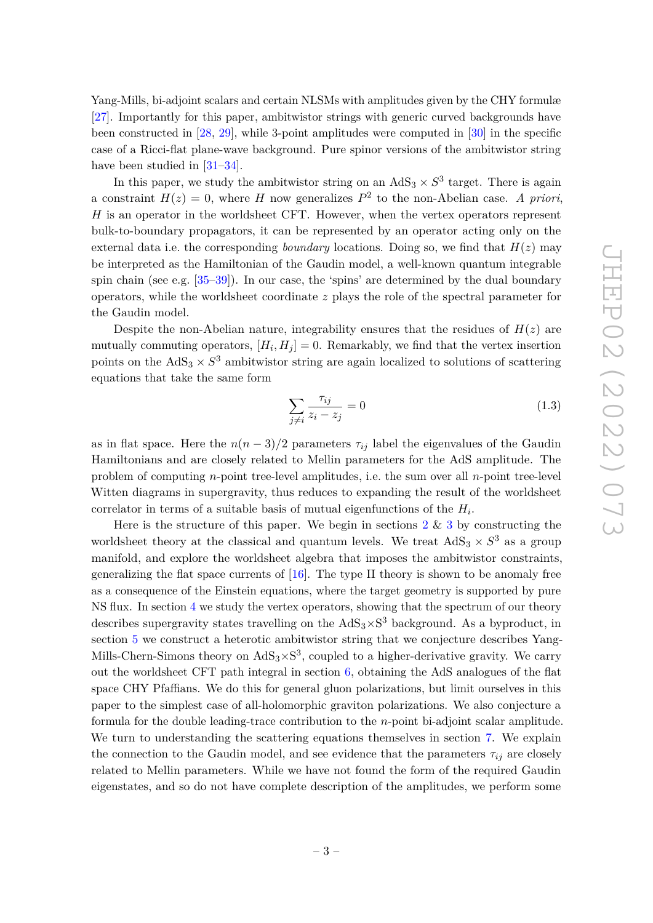Yang-Mills, bi-adjoint scalars and certain NLSMs with amplitudes given by the CHY formulæ [\[27\]](#page-36-9). Importantly for this paper, ambitwistor strings with generic curved backgrounds have been constructed in [\[28,](#page-36-10) [29\]](#page-36-11), while 3-point amplitudes were computed in [\[30\]](#page-36-12) in the specific case of a Ricci-flat plane-wave background. Pure spinor versions of the ambitwistor string have been studied in [\[31–](#page-36-13)[34\]](#page-36-14).

In this paper, we study the ambitwistor string on an  $AdS_3 \times S^3$  target. There is again a constraint  $H(z) = 0$ , where *H* now generalizes  $P<sup>2</sup>$  to the non-Abelian case. *A priori*, *H* is an operator in the worldsheet CFT. However, when the vertex operators represent bulk-to-boundary propagators, it can be represented by an operator acting only on the external data i.e. the corresponding *boundary* locations. Doing so, we find that  $H(z)$  may be interpreted as the Hamiltonian of the Gaudin model, a well-known quantum integrable spin chain (see e.g. [\[35](#page-36-15)[–39\]](#page-37-0)). In our case, the 'spins' are determined by the dual boundary operators, while the worldsheet coordinate *z* plays the role of the spectral parameter for the Gaudin model.

Despite the non-Abelian nature, integrability ensures that the residues of  $H(z)$  are mutually commuting operators,  $[H_i, H_j] = 0$ . Remarkably, we find that the vertex insertion points on the  $AdS_3 \times S^3$  ambitwistor string are again localized to solutions of scattering equations that take the same form

$$
\sum_{j \neq i} \frac{\tau_{ij}}{z_i - z_j} = 0 \tag{1.3}
$$

as in flat space. Here the  $n(n-3)/2$  parameters  $\tau_{ij}$  label the eigenvalues of the Gaudin Hamiltonians and are closely related to Mellin parameters for the AdS amplitude. The problem of computing *n*-point tree-level amplitudes, i.e. the sum over all *n*-point tree-level Witten diagrams in supergravity, thus reduces to expanding the result of the worldsheet correlator in terms of a suitable basis of mutual eigenfunctions of the *H<sup>i</sup>* .

Here is the structure of this paper. We begin in sections  $2 \& 3$  $2 \& 3$  $2 \& 3$  by constructing the worldsheet theory at the classical and quantum levels. We treat  $AdS_3 \times S^3$  as a group manifold, and explore the worldsheet algebra that imposes the ambitwistor constraints, generalizing the flat space currents of  $[16]$ . The type II theory is shown to be anomaly free as a consequence of the Einstein equations, where the target geometry is supported by pure NS flux. In section [4](#page-13-0) we study the vertex operators, showing that the spectrum of our theory describes supergravity states travelling on the  $AdS_3 \times S^3$  background. As a byproduct, in section [5](#page-18-0) we construct a heterotic ambitwistor string that we conjecture describes Yang-Mills-Chern-Simons theory on  $AdS_3 \times S^3$ , coupled to a higher-derivative gravity. We carry out the worldsheet CFT path integral in section [6,](#page-19-0) obtaining the AdS analogues of the flat space CHY Pfaffians. We do this for general gluon polarizations, but limit ourselves in this paper to the simplest case of all-holomorphic graviton polarizations. We also conjecture a formula for the double leading-trace contribution to the *n*-point bi-adjoint scalar amplitude. We turn to understanding the scattering equations themselves in section [7.](#page-28-0) We explain the connection to the Gaudin model, and see evidence that the parameters  $\tau_{ij}$  are closely related to Mellin parameters. While we have not found the form of the required Gaudin eigenstates, and so do not have complete description of the amplitudes, we perform some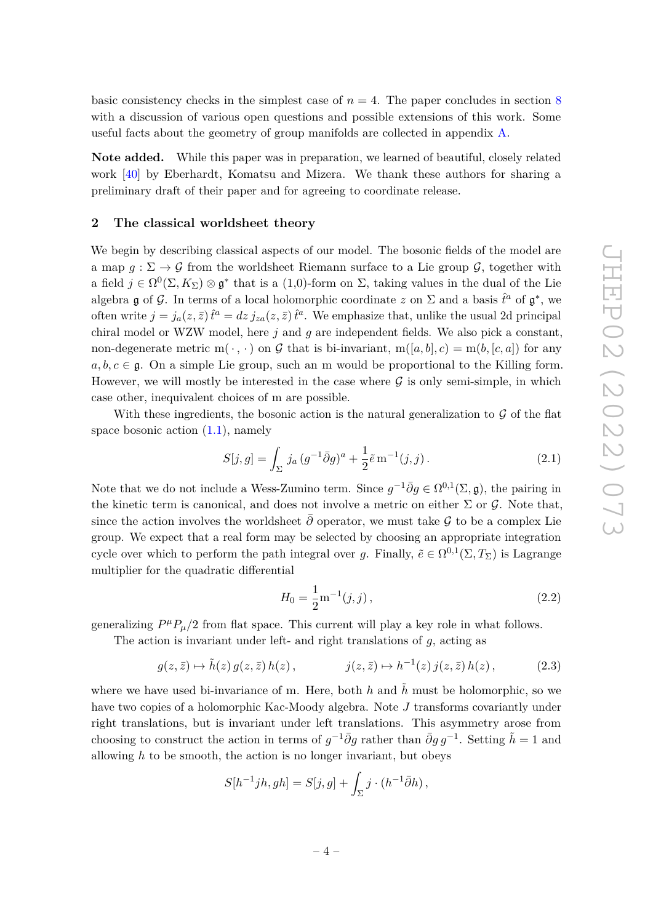basic consistency checks in the simplest case of  $n = 4$ . The paper concludes in section [8](#page-32-0) with a discussion of various open questions and possible extensions of this work. Some useful facts about the geometry of group manifolds are collected in appendix [A.](#page-33-0)

**Note added.** While this paper was in preparation, we learned of beautiful, closely related work [\[40\]](#page-37-1) by Eberhardt, Komatsu and Mizera. We thank these authors for sharing a preliminary draft of their paper and for agreeing to coordinate release.

#### <span id="page-4-0"></span>**2 The classical worldsheet theory**

We begin by describing classical aspects of our model. The bosonic fields of the model are a map  $g: \Sigma \to \mathcal{G}$  from the worldsheet Riemann surface to a Lie group  $\mathcal{G}$ , together with a field  $j \in \Omega^0(\Sigma, K_\Sigma) \otimes \mathfrak{g}^*$  that is a (1,0)-form on  $\Sigma$ , taking values in the dual of the Lie algebra  $\mathfrak g$  of  $\mathcal G$ . In terms of a local holomorphic coordinate  $z$  on  $\Sigma$  and a basis  $\hat{t}^a$  of  $\mathfrak g^*$ , we often write  $j = j_a(z, \bar{z}) \hat{t}^a = dz j_{za}(z, \bar{z}) \hat{t}^a$ . We emphasize that, unlike the usual 2d principal chiral model or WZW model, here *j* and *g* are independent fields. We also pick a constant, non-degenerate metric  $m(\cdot, \cdot)$  on G that is bi-invariant,  $m([a, b], c) = m(b, [c, a])$  for any  $a, b, c \in \mathfrak{g}$ . On a simple Lie group, such an m would be proportional to the Killing form. However, we will mostly be interested in the case where  $\mathcal G$  is only semi-simple, in which case other, inequivalent choices of m are possible.

With these ingredients, the bosonic action is the natural generalization to  $\mathcal G$  of the flat space bosonic action  $(1.1)$ , namely

<span id="page-4-1"></span>
$$
S[j, g] = \int_{\Sigma} j_a (g^{-1} \bar{\partial} g)^a + \frac{1}{2} \tilde{e} \operatorname{m}^{-1}(j, j).
$$
 (2.1)

Note that we do not include a Wess-Zumino term. Since  $g^{-1}\bar{\partial}g \in \Omega^{0,1}(\Sigma, \mathfrak{g})$ , the pairing in the kinetic term is canonical, and does not involve a metric on either  $\Sigma$  or  $\mathcal G$ . Note that, since the action involves the worldsheet  $\bar{\partial}$  operator, we must take G to be a complex Lie group. We expect that a real form may be selected by choosing an appropriate integration cycle over which to perform the path integral over *g*. Finally,  $\tilde{e} \in \Omega^{0,1}(\Sigma, T_{\Sigma})$  is Lagrange multiplier for the quadratic differential

$$
H_0 = \frac{1}{2} \mathbf{m}^{-1}(j, j), \qquad (2.2)
$$

generalizing  $P^{\mu}P_{\mu}/2$  from flat space. This current will play a key role in what follows.

The action is invariant under left- and right translations of *g*, acting as

<span id="page-4-2"></span>
$$
g(z,\bar{z}) \mapsto \tilde{h}(z) g(z,\bar{z}) h(z), \qquad j(z,\bar{z}) \mapsto h^{-1}(z) j(z,\bar{z}) h(z), \qquad (2.3)
$$

where we have used bi-invariance of m. Here, both h and  $\tilde{h}$  must be holomorphic, so we have two copies of a holomorphic Kac-Moody algebra. Note *J* transforms covariantly under right translations, but is invariant under left translations. This asymmetry arose from choosing to construct the action in terms of  $g^{-1}\bar{\partial}g$  rather than  $\bar{\partial}g g^{-1}$ . Setting  $\tilde{h} = 1$  and allowing  $h$  to be smooth, the action is no longer invariant, but obeys

$$
S[h^{-1}jh, gh] = S[j, g] + \int_{\Sigma} j \cdot (h^{-1}\overline{\partial}h) ,
$$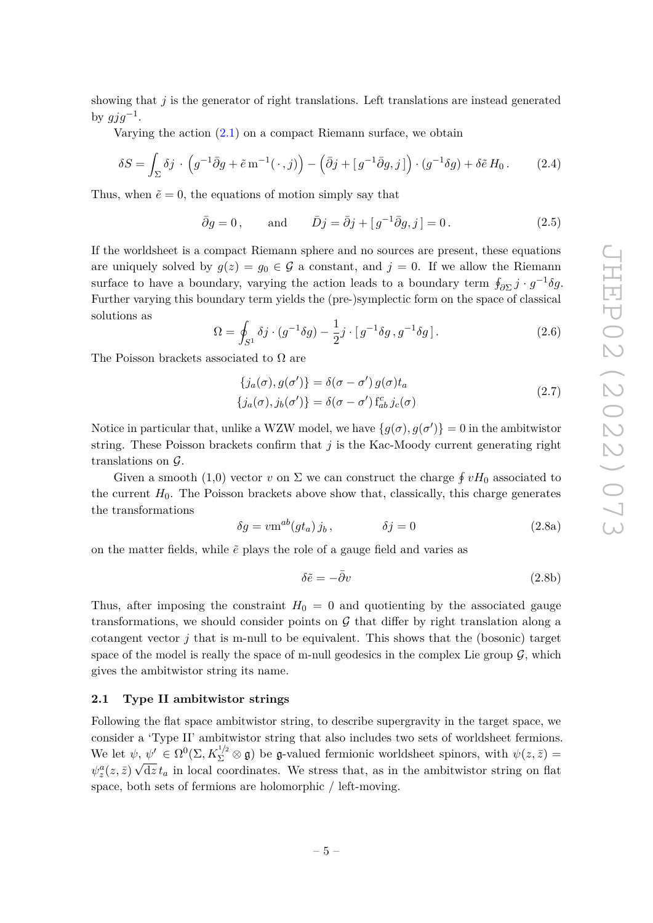showing that *j* is the generator of right translations. Left translations are instead generated by  $gjg^{-1}$ .

Varying the action  $(2.1)$  on a compact Riemann surface, we obtain

$$
\delta S = \int_{\Sigma} \delta j \cdot \left( g^{-1} \bar{\partial} g + \tilde{e} \, \mathbf{m}^{-1}(\cdot, j) \right) - \left( \bar{\partial} j + \left[ g^{-1} \bar{\partial} g, j \right] \right) \cdot \left( g^{-1} \delta g \right) + \delta \tilde{e} \, H_0 \,. \tag{2.4}
$$

Thus, when  $\tilde{e} = 0$ , the equations of motion simply say that

$$
\bar{\partial}g = 0, \qquad \text{and} \qquad \bar{D}j = \bar{\partial}j + [g^{-1}\bar{\partial}g, j] = 0. \tag{2.5}
$$

If the worldsheet is a compact Riemann sphere and no sources are present, these equations are uniquely solved by  $g(z) = g_0 \in \mathcal{G}$  a constant, and  $j = 0$ . If we allow the Riemann surface to have a boundary, varying the action leads to a boundary term  $\oint_{\partial \Sigma} j \cdot g^{-1} \delta g$ . Further varying this boundary term yields the (pre-)symplectic form on the space of classical solutions as

$$
\Omega = \oint_{S^1} \delta j \cdot (g^{-1} \delta g) - \frac{1}{2} j \cdot [g^{-1} \delta g, g^{-1} \delta g]. \tag{2.6}
$$

The Poisson brackets associated to  $\Omega$  are

<span id="page-5-1"></span>
$$
\{j_a(\sigma), g(\sigma')\} = \delta(\sigma - \sigma') g(\sigma) t_a
$$
  

$$
\{j_a(\sigma), j_b(\sigma')\} = \delta(\sigma - \sigma') f_{ab}^c j_c(\sigma)
$$
 (2.7)

Notice in particular that, unlike a WZW model, we have  $\{g(\sigma), g(\sigma')\} = 0$  in the ambitwistor string. These Poisson brackets confirm that *j* is the Kac-Moody current generating right translations on G.

Given a smooth (1,0) vector *v* on  $\Sigma$  we can construct the charge  $\oint vH_0$  associated to the current  $H_0$ . The Poisson brackets above show that, classically, this charge generates the transformations

$$
\delta g = v \mathbf{m}^{ab} (g t_a) j_b, \qquad \delta j = 0 \qquad (2.8a)
$$

on the matter fields, while  $\tilde{e}$  plays the role of a gauge field and varies as

$$
\delta \tilde{e} = -\bar{\partial} v \tag{2.8b}
$$

Thus, after imposing the constraint  $H_0 = 0$  and quotienting by the associated gauge transformations, we should consider points on  $G$  that differ by right translation along a cotangent vector  $j$  that is m-null to be equivalent. This shows that the (bosonic) target space of the model is really the space of m-null geodesics in the complex Lie group  $\mathcal{G}$ , which gives the ambitwistor string its name.

#### <span id="page-5-0"></span>**2.1 Type II ambitwistor strings**

Following the flat space ambitwistor string, to describe supergravity in the target space, we consider a 'Type II' ambitwistor string that also includes two sets of worldsheet fermions. We let  $\psi, \psi' \in \Omega^0(\Sigma, K_{\Sigma}^{1/2} \otimes \mathfrak{g})$  be g-valued fermionic worldsheet spinors, with  $\psi(z,\bar{z}) =$  $\psi_z^a(z,\bar{z}) \sqrt{\mathrm{d}z} t_a$  in local coordinates. We stress that, as in the ambitwistor string on flat space, both sets of fermions are holomorphic / left-moving.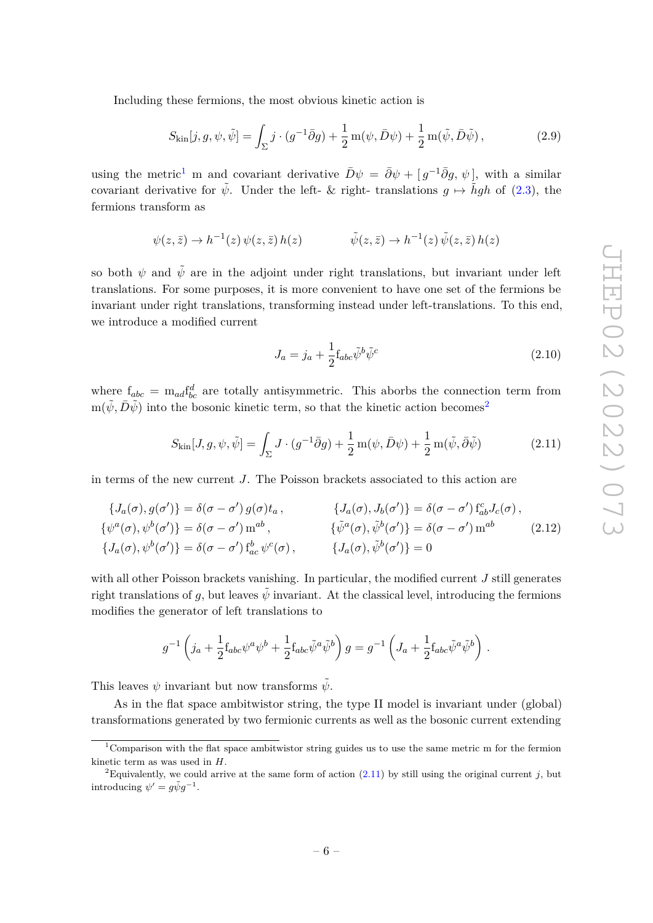Including these fermions, the most obvious kinetic action is

<span id="page-6-4"></span>
$$
S_{\text{kin}}[j,g,\psi,\tilde{\psi}] = \int_{\Sigma} j \cdot (g^{-1}\bar{\partial}g) + \frac{1}{2} \operatorname{m}(\psi,\bar{D}\psi) + \frac{1}{2} \operatorname{m}(\tilde{\psi},\bar{D}\tilde{\psi}), \qquad (2.9)
$$

using the metric<sup>[1](#page-6-0)</sup> m and covariant derivative  $\bar{D}\psi = \bar{\partial}\psi + [g^{-1}\bar{\partial}g, \psi]$ , with a similar covariant derivative for  $\tilde{\psi}$ . Under the left- & right- translations  $q \mapsto \tilde{h}qh$  of [\(2.3\)](#page-4-2), the fermions transform as

$$
\psi(z,\bar{z}) \to h^{-1}(z)\,\psi(z,\bar{z})\,h(z) \qquad \qquad \tilde{\psi}(z,\bar{z}) \to h^{-1}(z)\,\tilde{\psi}(z,\bar{z})\,h(z)
$$

so both  $\psi$  and  $\tilde{\psi}$  are in the adjoint under right translations, but invariant under left translations. For some purposes, it is more convenient to have one set of the fermions be invariant under right translations, transforming instead under left-translations. To this end, we introduce a modified current

<span id="page-6-5"></span>
$$
J_a = j_a + \frac{1}{2} f_{abc} \tilde{\psi}^b \tilde{\psi}^c \tag{2.10}
$$

where  $f_{abc} = m_{ad} f_{bc}^d$  are totally antisymmetric. This aborbs the connection term from  $m(\psi, D\psi)$  into the bosonic kinetic term, so that the kinetic action becomes<sup>[2](#page-6-1)</sup>

<span id="page-6-2"></span>
$$
S_{\text{kin}}[J, g, \psi, \tilde{\psi}] = \int_{\Sigma} J \cdot (g^{-1}\bar{\partial}g) + \frac{1}{2}m(\psi, \bar{D}\psi) + \frac{1}{2}m(\tilde{\psi}, \bar{\partial}\tilde{\psi})
$$
(2.11)

in terms of the new current *J*. The Poisson brackets associated to this action are

<span id="page-6-3"></span>
$$
\{J_a(\sigma), g(\sigma')\} = \delta(\sigma - \sigma') g(\sigma) t_a, \qquad \{J_a(\sigma), J_b(\sigma')\} = \delta(\sigma - \sigma') f_{ab}^c J_c(\sigma),
$$
  
\n
$$
\{\psi^a(\sigma), \psi^b(\sigma')\} = \delta(\sigma - \sigma') m^{ab}, \qquad \{\tilde{\psi}^a(\sigma), \tilde{\psi}^b(\sigma')\} = \delta(\sigma - \sigma') m^{ab}
$$
\n
$$
\{J_a(\sigma), \psi^b(\sigma')\} = \delta(\sigma - \sigma') f_{ac}^b \psi^c(\sigma), \qquad \{J_a(\sigma), \tilde{\psi}^b(\sigma')\} = 0
$$
\n(2.12)

with all other Poisson brackets vanishing. In particular, the modified current *J* still generates right translations of *g*, but leaves  $\bar{\psi}$  invariant. At the classical level, introducing the fermions modifies the generator of left translations to

$$
g^{-1}\left(j_a+\frac{1}{2}{\rm f}_{abc}\psi^a\psi^b+\frac{1}{2}{\rm f}_{abc}\tilde\psi^a\tilde\psi^b\right)g=g^{-1}\left(J_a+\frac{1}{2}{\rm f}_{abc}\tilde\psi^a\tilde\psi^b\right)\,.
$$

This leaves  $\psi$  invariant but now transforms  $\tilde{\psi}$ .

As in the flat space ambitwistor string, the type II model is invariant under (global) transformations generated by two fermionic currents as well as the bosonic current extending

<span id="page-6-0"></span><sup>1</sup>Comparison with the flat space ambitwistor string guides us to use the same metric m for the fermion kinetic term as was used in *H*.

<span id="page-6-1"></span><sup>&</sup>lt;sup>2</sup>Equivalently, we could arrive at the same form of action  $(2.11)$  by still using the original current *j*, but introducing  $\psi' = g\tilde{\psi}g^{-1}$ .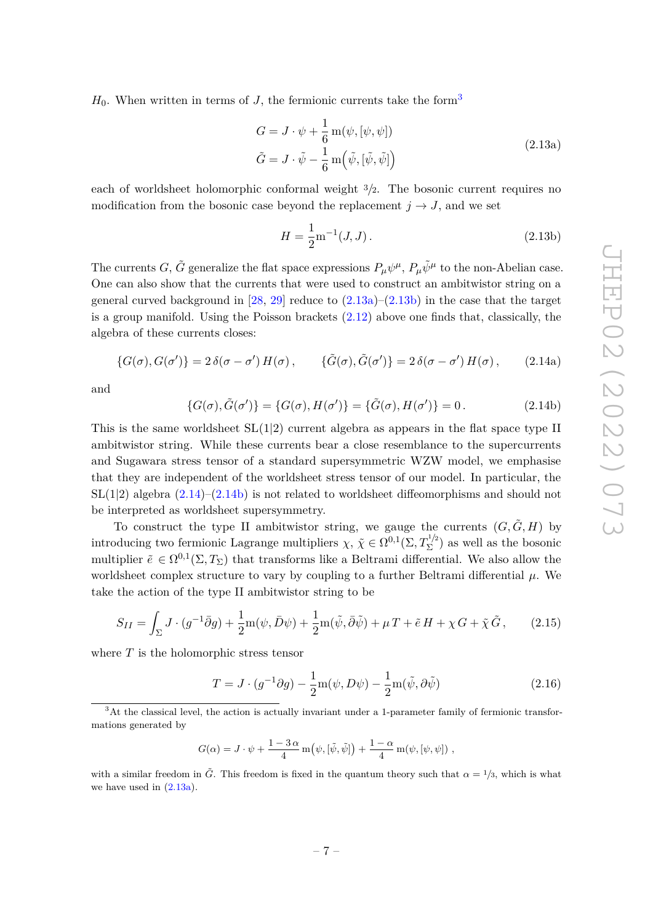$H_0$ . When written in terms of *J*, the fermionic currents take the form<sup>[3](#page-7-0)</sup>

<span id="page-7-1"></span>
$$
G = J \cdot \psi + \frac{1}{6} \operatorname{m}(\psi, [\psi, \psi])
$$
  
\n
$$
\tilde{G} = J \cdot \tilde{\psi} - \frac{1}{6} \operatorname{m}(\tilde{\psi}, [\tilde{\psi}, \tilde{\psi}])
$$
\n(2.13a)

each of worldsheet holomorphic conformal weight <sup>3</sup>*/*2. The bosonic current requires no modification from the bosonic case beyond the replacement  $j \rightarrow J$ , and we set

<span id="page-7-3"></span><span id="page-7-2"></span>
$$
H = \frac{1}{2} \text{m}^{-1}(J, J). \tag{2.13b}
$$

The currents *G*,  $\tilde{G}$  generalize the flat space expressions  $P_\mu \psi^\mu$ ,  $P_\mu \tilde{\psi}^\mu$  to the non-Abelian case. One can also show that the currents that were used to construct an ambitwistor string on a general curved background in  $[28, 29]$  $[28, 29]$  $[28, 29]$  reduce to  $(2.13a)$ – $(2.13b)$  in the case that the target is a group manifold. Using the Poisson brackets  $(2.12)$  above one finds that, classically, the algebra of these currents closes:

$$
\{G(\sigma), G(\sigma')\} = 2\,\delta(\sigma - \sigma')\,H(\sigma)\,,\qquad \{\tilde{G}(\sigma), \tilde{G}(\sigma')\} = 2\,\delta(\sigma - \sigma')\,H(\sigma)\,,\qquad(2.14a)
$$

and

<span id="page-7-4"></span>
$$
\{G(\sigma), \tilde{G}(\sigma')\} = \{G(\sigma), H(\sigma')\} = \{\tilde{G}(\sigma), H(\sigma')\} = 0.
$$
 (2.14b)

This is the same worldsheet  $SL(1|2)$  current algebra as appears in the flat space type II ambitwistor string. While these currents bear a close resemblance to the supercurrents and Sugawara stress tensor of a standard supersymmetric WZW model, we emphasise that they are independent of the worldsheet stress tensor of our model. In particular, the  $SL(1|2)$  algebra  $(2.14)$ – $(2.14b)$  is not related to worldsheet diffeomorphisms and should not be interpreted as worldsheet supersymmetry.

To construct the type II ambitwistor string, we gauge the currents  $(G, \tilde{G}, H)$  by introducing two fermionic Lagrange multipliers  $\chi, \, \tilde{\chi} \in \Omega^{0,1}(\Sigma, T_{\Sigma}^{1/2})$  $(\Sigma^{\prime})^2$  as well as the bosonic multiplier  $\tilde{e} \in \Omega^{0,1}(\Sigma, T_{\Sigma})$  that transforms like a Beltrami differential. We also allow the worldsheet complex structure to vary by coupling to a further Beltrami differential  $\mu$ . We take the action of the type II ambitwistor string to be

$$
S_{II} = \int_{\Sigma} J \cdot (g^{-1}\bar{\partial}g) + \frac{1}{2}m(\psi, \bar{D}\psi) + \frac{1}{2}m(\tilde{\psi}, \bar{\partial}\tilde{\psi}) + \mu T + \tilde{e}H + \chi G + \tilde{\chi}\tilde{G},\qquad(2.15)
$$

where *T* is the holomorphic stress tensor

<span id="page-7-5"></span>
$$
T = J \cdot (g^{-1}\partial g) - \frac{1}{2}m(\psi, D\psi) - \frac{1}{2}m(\tilde{\psi}, \partial \tilde{\psi})
$$
\n(2.16)

$$
G(\alpha) = J \cdot \psi + \frac{1 - 3\alpha}{4} m(\psi, [\tilde{\psi}, \tilde{\psi}]) + \frac{1 - \alpha}{4} m(\psi, [\psi, \psi]) ,
$$

with a similar freedom in  $\tilde{G}$ . This freedom is fixed in the quantum theory such that  $\alpha = 1/3$ , which is what we have used in  $(2.13a)$ .

<span id="page-7-0"></span><sup>3</sup>At the classical level, the action is actually invariant under a 1-parameter family of fermionic transformations generated by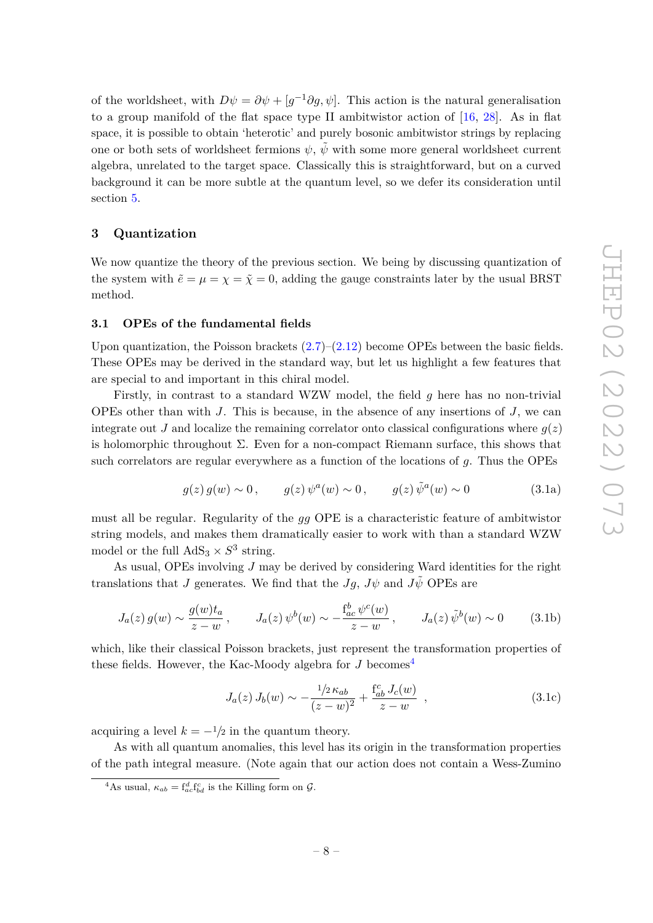of the worldsheet, with  $D\psi = \partial \psi + [g^{-1}\partial g, \psi]$ . This action is the natural generalisation to a group manifold of the flat space type II ambitwistor action of [\[16,](#page-35-9) [28\]](#page-36-10). As in flat space, it is possible to obtain 'heterotic' and purely bosonic ambitwistor strings by replacing one or both sets of worldsheet fermions  $\psi$ ,  $\psi$  with some more general worldsheet current algebra, unrelated to the target space. Classically this is straightforward, but on a curved background it can be more subtle at the quantum level, so we defer its consideration until section [5.](#page-18-0)

## <span id="page-8-0"></span>**3 Quantization**

We now quantize the theory of the previous section. We being by discussing quantization of the system with  $\tilde{e} = \mu = \chi = \tilde{\chi} = 0$ , adding the gauge constraints later by the usual BRST method.

## <span id="page-8-1"></span>**3.1 OPEs of the fundamental fields**

Upon quantization, the Poisson brackets  $(2.7)$ – $(2.12)$  become OPEs between the basic fields. These OPEs may be derived in the standard way, but let us highlight a few features that are special to and important in this chiral model.

Firstly, in contrast to a standard WZW model, the field *g* here has no non-trivial OPEs other than with *J*. This is because, in the absence of any insertions of *J*, we can integrate out *J* and localize the remaining correlator onto classical configurations where  $q(z)$ is holomorphic throughout  $\Sigma$ . Even for a non-compact Riemann surface, this shows that such correlators are regular everywhere as a function of the locations of *g*. Thus the OPEs

<span id="page-8-4"></span>
$$
g(z) g(w) \sim 0, \qquad g(z) \psi^a(w) \sim 0, \qquad g(z) \tilde{\psi}^a(w) \sim 0 \tag{3.1a}
$$

must all be regular. Regularity of the *gg* OPE is a characteristic feature of ambitwistor string models, and makes them dramatically easier to work with than a standard WZW model or the full  $AdS_3 \times S^3$  string.

As usual, OPEs involving *J* may be derived by considering Ward identities for the right translations that *J* generates. We find that the *Jg*,  $J\psi$  and  $J\tilde{\psi}$  OPEs are

<span id="page-8-5"></span>
$$
J_a(z) g(w) \sim \frac{g(w)t_a}{z - w}, \qquad J_a(z) \psi^b(w) \sim -\frac{f_{ac}^b \psi^c(w)}{z - w}, \qquad J_a(z) \tilde{\psi}^b(w) \sim 0 \tag{3.1b}
$$

which, like their classical Poisson brackets, just represent the transformation properties of these fields. However, the Kac-Moody algebra for  $J$  becomes<sup>[4](#page-8-2)</sup>

<span id="page-8-3"></span>
$$
J_a(z) J_b(w) \sim -\frac{1/2 \kappa_{ab}}{(z-w)^2} + \frac{f_{ab}^c J_c(w)}{z-w} , \qquad (3.1c)
$$

acquiring a level  $k = -\frac{1}{2}$  in the quantum theory.

As with all quantum anomalies, this level has its origin in the transformation properties of the path integral measure. (Note again that our action does not contain a Wess-Zumino

<span id="page-8-2"></span><sup>&</sup>lt;sup>4</sup>As usual,  $\kappa_{ab} = \int_{ac}^{d} \int_{bd}^{c}$  is the Killing form on  $\mathcal{G}$ .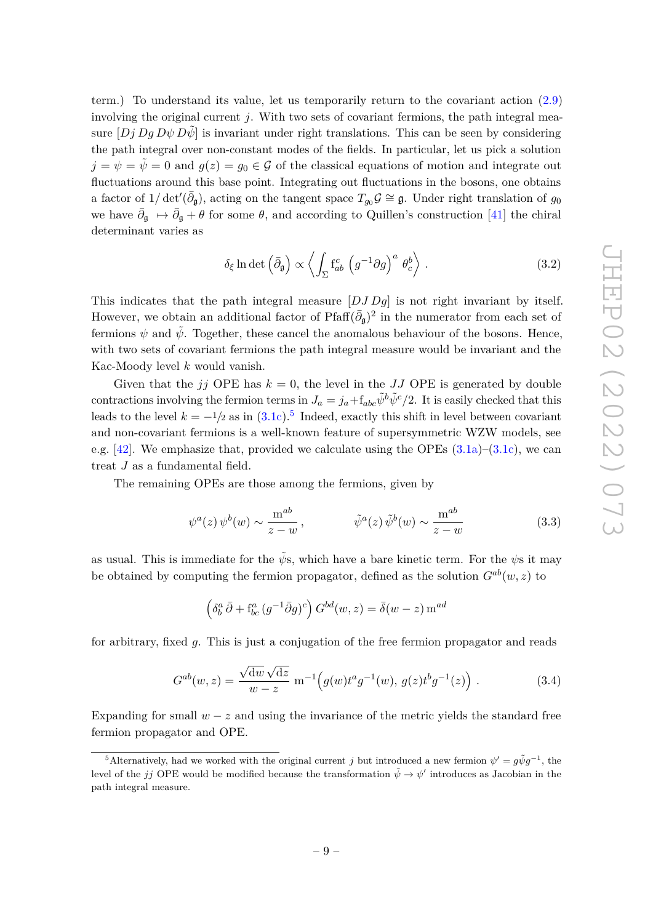term.) To understand its value, let us temporarily return to the covariant action [\(2.9\)](#page-6-4) involving the original current  $j$ . With two sets of covariant fermions, the path integral measure  $[Dj Dg D\psi D\tilde{\psi}]$  is invariant under right translations. This can be seen by considering the path integral over non-constant modes of the fields. In particular, let us pick a solution  $j = \psi = \tilde{\psi} = 0$  and  $g(z) = g_0 \in \mathcal{G}$  of the classical equations of motion and integrate out fluctuations around this base point. Integrating out fluctuations in the bosons, one obtains a factor of  $1/\det'(\bar{\partial}_{\bf g})$ , acting on the tangent space  $T_{g_0}\mathcal{G} \cong \mathfrak{g}$ . Under right translation of  $g_0$ we have  $\bar{\partial}_{\bf g} \mapsto \bar{\partial}_{\bf g} + \theta$  for some  $\theta$ , and according to Quillen's construction [\[41\]](#page-37-2) the chiral determinant varies as

$$
\delta_{\xi} \ln \det \left( \bar{\partial}_{\mathfrak{g}} \right) \propto \left\langle \int_{\Sigma} f_{ab}^c \left( g^{-1} \partial g \right)^a \theta_c^b \right\rangle . \tag{3.2}
$$

This indicates that the path integral measure [*DJ Dg*] is not right invariant by itself. However, we obtain an additional factor of  $\text{Pfaff}(\bar{\partial}_{\mathfrak{g}})^2$  in the numerator from each set of fermions  $\psi$  and  $\tilde{\psi}$ . Together, these cancel the anomalous behaviour of the bosons. Hence, with two sets of covariant fermions the path integral measure would be invariant and the Kac-Moody level *k* would vanish.

Given that the *jj* OPE has  $k = 0$ , the level in the *JJ* OPE is generated by double contractions involving the fermion terms in  $J_a = j_a + f_{abc}\tilde{\psi}^b\tilde{\psi}^c/2$ . It is easily checked that this leads to the level  $k = -\frac{1}{2}$  as in  $(3.1c)$ .<sup>[5](#page-9-0)</sup> Indeed, exactly this shift in level between covariant and non-covariant fermions is a well-known feature of supersymmetric WZW models, see e.g.  $[42]$ . We emphasize that, provided we calculate using the OPEs  $(3.1a)$ – $(3.1c)$ , we can treat *J* as a fundamental field.

The remaining OPEs are those among the fermions, given by

$$
\psi^a(z)\,\psi^b(w) \sim \frac{\mathrm{m}^{ab}}{z-w}\,,\qquad \qquad \tilde{\psi}^a(z)\,\tilde{\psi}^b(w) \sim \frac{\mathrm{m}^{ab}}{z-w}\tag{3.3}
$$

as usual. This is immediate for the  $\tilde{\psi}$ s, which have a bare kinetic term. For the  $\psi$ s it may be obtained by computing the fermion propagator, defined as the solution  $G^{ab}(w, z)$  to

$$
\left(\delta^a_b \,\overline{\partial} + \mathbf{f}^a_{bc} \,(g^{-1} \overline{\partial} g)^c\right) G^{bd}(w, z) = \overline{\delta}(w - z) \,\mathbf{m}^{ad}
$$

for arbitrary, fixed *g*. This is just a conjugation of the free fermion propagator and reads

$$
G^{ab}(w,z) = \frac{\sqrt{\mathrm{d}w}\sqrt{\mathrm{d}z}}{w-z} \text{ m}^{-1}\Big(g(w)t^a g^{-1}(w), g(z)t^b g^{-1}(z)\Big) . \tag{3.4}
$$

Expanding for small  $w - z$  and using the invariance of the metric yields the standard free fermion propagator and OPE.

<span id="page-9-0"></span><sup>&</sup>lt;sup>5</sup>Alternatively, had we worked with the original current *j* but introduced a new fermion  $\psi' = g\tilde{\psi}g^{-1}$ , the level of the *jj* OPE would be modified because the transformation  $\tilde{\psi} \to \psi'$  introduces as Jacobian in the path integral measure.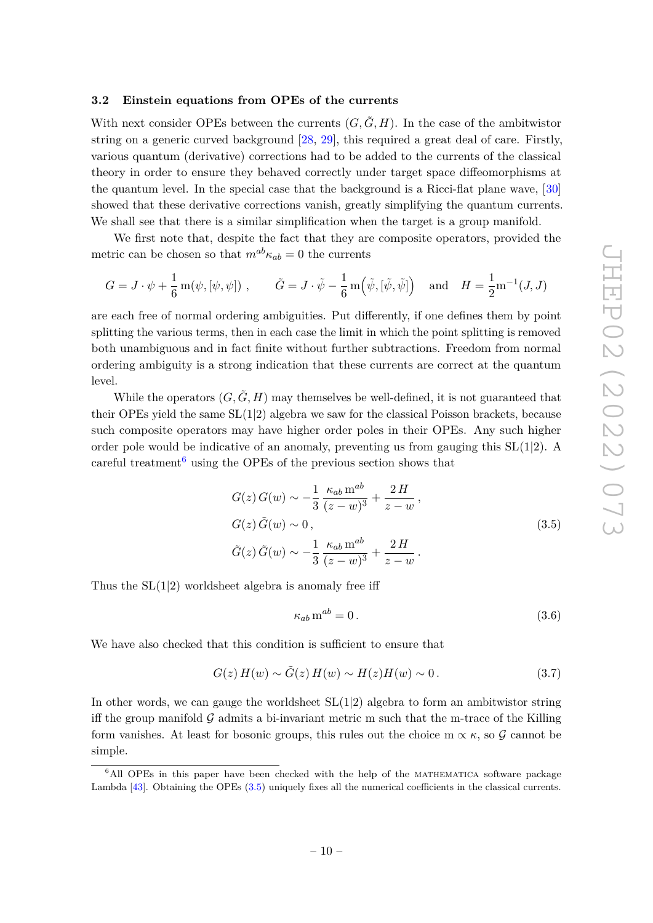## <span id="page-10-0"></span>**3.2 Einstein equations from OPEs of the currents**

With next consider OPEs between the currents  $(G, \tilde{G}, H)$ . In the case of the ambitwistor string on a generic curved background [\[28,](#page-36-10) [29\]](#page-36-11), this required a great deal of care. Firstly, various quantum (derivative) corrections had to be added to the currents of the classical theory in order to ensure they behaved correctly under target space diffeomorphisms at the quantum level. In the special case that the background is a Ricci-flat plane wave, [\[30\]](#page-36-12) showed that these derivative corrections vanish, greatly simplifying the quantum currents. We shall see that there is a similar simplification when the target is a group manifold.

We first note that, despite the fact that they are composite operators, provided the metric can be chosen so that  $m^{ab}\kappa_{ab} = 0$  the currents

$$
G = J \cdot \psi + \frac{1}{6} \operatorname{m}(\psi, [\psi, \psi]) , \qquad \tilde{G} = J \cdot \tilde{\psi} - \frac{1}{6} \operatorname{m}(\tilde{\psi}, [\tilde{\psi}, \tilde{\psi}]) \quad \text{and} \quad H = \frac{1}{2} \operatorname{m}^{-1}(J, J)
$$

are each free of normal ordering ambiguities. Put differently, if one defines them by point splitting the various terms, then in each case the limit in which the point splitting is removed both unambiguous and in fact finite without further subtractions. Freedom from normal ordering ambiguity is a strong indication that these currents are correct at the quantum level.

While the operators  $(G, \tilde{G}, H)$  may themselves be well-defined, it is not guaranteed that their OPEs yield the same  $SL(1|2)$  algebra we saw for the classical Poisson brackets, because such composite operators may have higher order poles in their OPEs. Any such higher order pole would be indicative of an anomaly, preventing us from gauging this  $SL(1|2)$ . A careful treatment<sup>[6](#page-10-1)</sup> using the OPEs of the previous section shows that

<span id="page-10-2"></span>
$$
G(z) G(w) \sim -\frac{1}{3} \frac{\kappa_{ab} \operatorname{m}^{ab}}{(z-w)^3} + \frac{2 H}{z-w},
$$
  
\n
$$
G(z) \tilde{G}(w) \sim 0,
$$
  
\n
$$
\tilde{G}(z) \tilde{G}(w) \sim -\frac{1}{3} \frac{\kappa_{ab} \operatorname{m}^{ab}}{(z-w)^3} + \frac{2 H}{z-w}.
$$
\n(3.5)

Thus the  $SL(1|2)$  worldsheet algebra is anomaly free iff

$$
\kappa_{ab} \,\mathrm{m}^{ab} = 0 \,. \tag{3.6}
$$

We have also checked that this condition is sufficient to ensure that

<span id="page-10-3"></span>
$$
G(z) H(w) \sim \tilde{G}(z) H(w) \sim H(z) H(w) \sim 0.
$$
\n(3.7)

In other words, we can gauge the worldsheet  $SL(1|2)$  algebra to form an ambitwistor string iff the group manifold  $\mathcal G$  admits a bi-invariant metric m such that the m-trace of the Killing form vanishes. At least for bosonic groups, this rules out the choice m  $\propto \kappa$ , so G cannot be simple.

<span id="page-10-1"></span><sup>&</sup>lt;sup>6</sup>All OPEs in this paper have been checked with the help of the MATHEMATICA software package Lambda [\[43\]](#page-37-4). Obtaining the OPEs [\(3.5\)](#page-10-2) uniquely fixes all the numerical coefficients in the classical currents.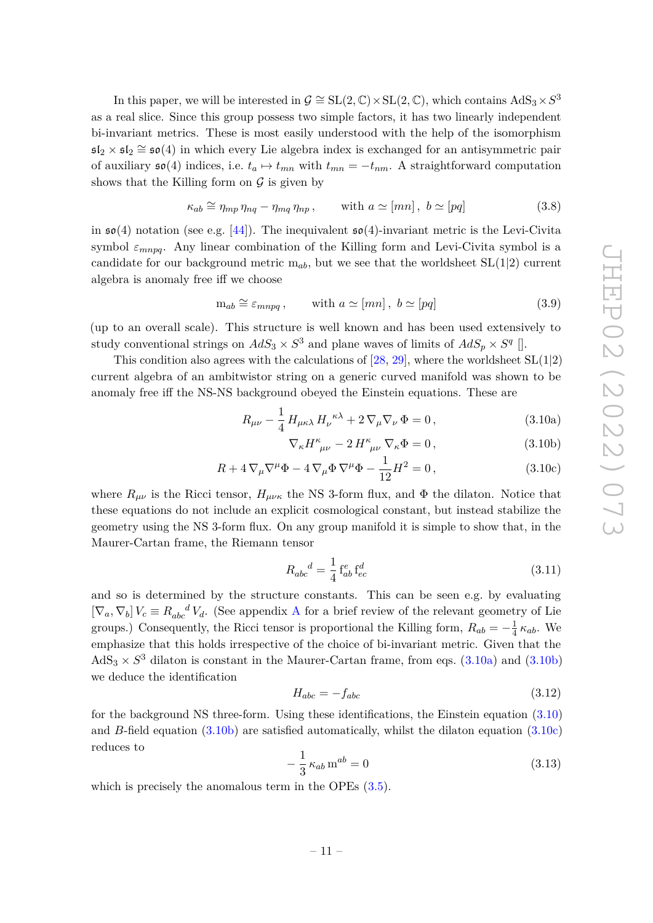In this paper, we will be interested in  $\mathcal{G} \cong SL(2,\mathbb{C}) \times SL(2,\mathbb{C})$ , which contains  $AdS_3 \times S^3$ as a real slice. Since this group possess two simple factors, it has two linearly independent bi-invariant metrics. These is most easily understood with the help of the isomorphism  $\mathfrak{sl}_2 \times \mathfrak{sl}_2 \cong \mathfrak{so}(4)$  in which every Lie algebra index is exchanged for an antisymmetric pair of auxiliary  $\mathfrak{so}(4)$  indices, i.e.  $t_a \mapsto t_{mn}$  with  $t_{mn} = -t_{nm}$ . A straightforward computation shows that the Killing form on  $\mathcal G$  is given by

$$
\kappa_{ab} \cong \eta_{mp} \eta_{nq} - \eta_{mq} \eta_{np} , \quad \text{with } a \simeq [mn], b \simeq [pq] \tag{3.8}
$$

in  $\mathfrak{so}(4)$  notation (see e.g. [\[44\]](#page-37-5)). The inequivalent  $\mathfrak{so}(4)$ -invariant metric is the Levi-Civita symbol  $\varepsilon_{mnpq}$ . Any linear combination of the Killing form and Levi-Civita symbol is a candidate for our background metric m*ab*, but we see that the worldsheet SL(1|2) current algebra is anomaly free iff we choose

$$
m_{ab} \cong \varepsilon_{mnpq} , \qquad \text{with } a \simeq [mn] \,, \ b \simeq [pq] \tag{3.9}
$$

(up to an overall scale). This structure is well known and has been used extensively to study conventional strings on  $AdS_3 \times S^3$  and plane waves of limits of  $AdS_p \times S^q$  [].

This condition also agrees with the calculations of  $[28, 29]$  $[28, 29]$  $[28, 29]$ , where the worldsheet  $SL(1|2)$ current algebra of an ambitwistor string on a generic curved manifold was shown to be anomaly free iff the NS-NS background obeyed the Einstein equations. These are

$$
R_{\mu\nu} - \frac{1}{4} H_{\mu\kappa\lambda} H_{\nu}^{\ \kappa\lambda} + 2 \nabla_{\mu} \nabla_{\nu} \Phi = 0, \qquad (3.10a)
$$

<span id="page-11-3"></span><span id="page-11-2"></span><span id="page-11-1"></span><span id="page-11-0"></span>
$$
\nabla_{\kappa} H^{\kappa}_{\ \mu\nu} - 2 H^{\kappa}_{\ \mu\nu} \nabla_{\kappa} \Phi = 0, \qquad (3.10b)
$$

$$
R + 4\nabla_{\mu}\nabla^{\mu}\Phi - 4\nabla_{\mu}\Phi\nabla^{\mu}\Phi - \frac{1}{12}H^2 = 0,
$$
\n(3.10c)

where  $R_{\mu\nu}$  is the Ricci tensor,  $H_{\mu\nu\kappa}$  the NS 3-form flux, and  $\Phi$  the dilaton. Notice that these equations do not include an explicit cosmological constant, but instead stabilize the geometry using the NS 3-form flux. On any group manifold it is simple to show that, in the Maurer-Cartan frame, the Riemann tensor

$$
R_{abc}{}^d = \frac{1}{4} \, \mathbf{f}_{ab}^e \, \mathbf{f}_{ec}^d \tag{3.11}
$$

and so is determined by the structure constants. This can be seen e.g. by evaluating  $[\nabla_a, \nabla_b] V_c \equiv R_{abc}^{\ \ d} V_d$ . (See appendix [A](#page-33-0) for a brief review of the relevant geometry of Lie groups.) Consequently, the Ricci tensor is proportional the Killing form,  $R_{ab} = -\frac{1}{4}$  $rac{1}{4} \kappa_{ab}$ . We emphasize that this holds irrespective of the choice of bi-invariant metric. Given that the  $AdS_3 \times S^3$  dilaton is constant in the Maurer-Cartan frame, from eqs.  $(3.10a)$  and  $(3.10b)$ we deduce the identification

$$
H_{abc} = -f_{abc} \tag{3.12}
$$

for the background NS three-form. Using these identifications, the Einstein equation [\(3.10\)](#page-11-2) and *B*-field equation [\(3.10b\)](#page-11-1) are satisfied automatically, whilst the dilaton equation [\(3.10c\)](#page-11-3) reduces to

$$
-\frac{1}{3}\kappa_{ab}\,\mathrm{m}^{ab}=0\tag{3.13}
$$

which is precisely the anomalous term in the OPEs  $(3.5)$ .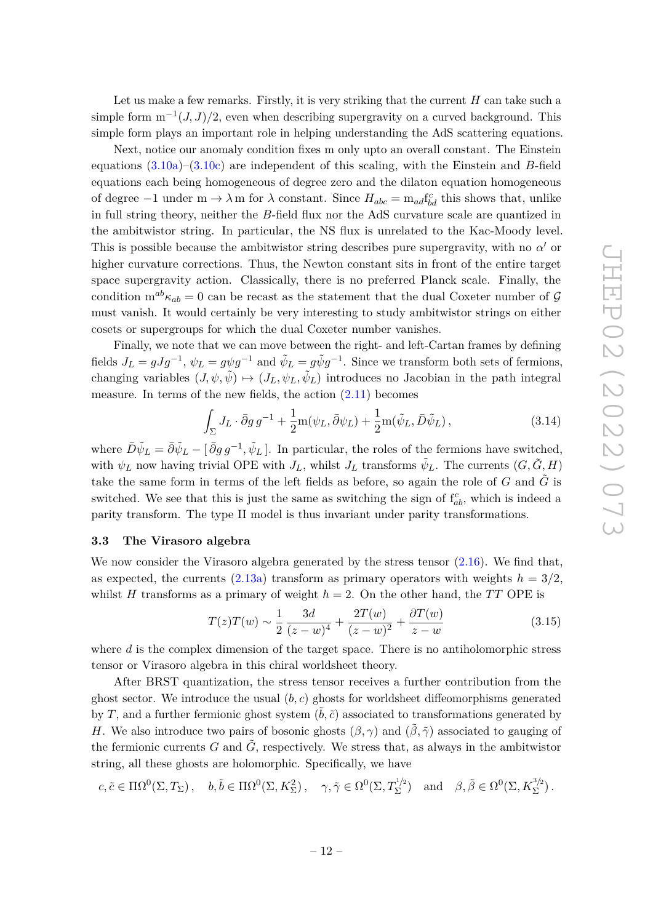Let us make a few remarks. Firstly, it is very striking that the current *H* can take such a simple form  $m^{-1}(J, J)/2$ , even when describing supergravity on a curved background. This simple form plays an important role in helping understanding the AdS scattering equations.

Next, notice our anomaly condition fixes m only upto an overall constant. The Einstein equations [\(3.10a\)](#page-11-0)–[\(3.10c\)](#page-11-3) are independent of this scaling, with the Einstein and *B*-field equations each being homogeneous of degree zero and the dilaton equation homogeneous of degree  $-1$  under  $m \to \lambda m$  for  $\lambda$  constant. Since  $H_{abc} = m_{ad} f_{bd}^c$  this shows that, unlike in full string theory, neither the *B*-field flux nor the AdS curvature scale are quantized in the ambitwistor string. In particular, the NS flux is unrelated to the Kac-Moody level. This is possible because the ambitwistor string describes pure supergravity, with no  $\alpha'$  or higher curvature corrections. Thus, the Newton constant sits in front of the entire target space supergravity action. Classically, there is no preferred Planck scale. Finally, the condition  $m^{ab}\kappa_{ab} = 0$  can be recast as the statement that the dual Coxeter number of G must vanish. It would certainly be very interesting to study ambitwistor strings on either cosets or supergroups for which the dual Coxeter number vanishes.

Finally, we note that we can move between the right- and left-Cartan frames by defining fields  $J_L = gJg^{-1}$ ,  $\psi_L = g\psi g^{-1}$  and  $\tilde{\psi}_L = g\tilde{\psi}g^{-1}$ . Since we transform both sets of fermions, changing variables  $(J, \psi, \tilde{\psi}) \mapsto (J_L, \psi_L, \tilde{\psi}_L)$  introduces no Jacobian in the path integral measure. In terms of the new fields, the action [\(2.11\)](#page-6-2) becomes

$$
\int_{\Sigma} J_L \cdot \bar{\partial} g \, g^{-1} + \frac{1}{2} m(\psi_L, \bar{\partial}\psi_L) + \frac{1}{2} m(\tilde{\psi}_L, \bar{D}\tilde{\psi}_L) \,, \tag{3.14}
$$

where  $\bar{D}\tilde{\psi}_L = \bar{\partial}\tilde{\psi}_L - [\bar{\partial}g g^{-1}, \tilde{\psi}_L]$ . In particular, the roles of the fermions have switched, with  $\psi_L$  now having trivial OPE with  $J_L$ , whilst  $J_L$  transforms  $\tilde{\psi}_L$ . The currents  $(G, \tilde{G}, H)$ take the same form in terms of the left fields as before, so again the role of  $G$  and  $\tilde{G}$  is switched. We see that this is just the same as switching the sign of  $f_{ab}^c$ , which is indeed a parity transform. The type II model is thus invariant under parity transformations.

#### <span id="page-12-0"></span>**3.3 The Virasoro algebra**

We now consider the Virasoro algebra generated by the stress tensor  $(2.16)$ . We find that, as expected, the currents  $(2.13a)$  transform as primary operators with weights  $h = 3/2$ . whilst *H* transforms as a primary of weight  $h = 2$ . On the other hand, the *TT* OPE is

$$
T(z)T(w) \sim \frac{1}{2} \frac{3d}{(z-w)^4} + \frac{2T(w)}{(z-w)^2} + \frac{\partial T(w)}{z-w}
$$
(3.15)

where *d* is the complex dimension of the target space. There is no antiholomorphic stress tensor or Virasoro algebra in this chiral worldsheet theory.

After BRST quantization, the stress tensor receives a further contribution from the ghost sector. We introduce the usual (*b, c*) ghosts for worldsheet diffeomorphisms generated by *T*, and a further fermionic ghost system  $(\tilde{b}, \tilde{c})$  associated to transformations generated by *H*. We also introduce two pairs of bosonic ghosts  $(\beta, \gamma)$  and  $(\tilde{\beta}, \tilde{\gamma})$  associated to gauging of the fermionic currents *G* and  $\tilde{G}$ , respectively. We stress that, as always in the ambitwistor string, all these ghosts are holomorphic. Specifically, we have

$$
c, \tilde{c} \in \Pi \Omega^0(\Sigma, T_{\Sigma}), \quad b, \tilde{b} \in \Pi \Omega^0(\Sigma, K_{\Sigma}^2), \quad \gamma, \tilde{\gamma} \in \Omega^0(\Sigma, T_{\Sigma}^{1/2}) \quad \text{and} \quad \beta, \tilde{\beta} \in \Omega^0(\Sigma, K_{\Sigma}^{3/2}).
$$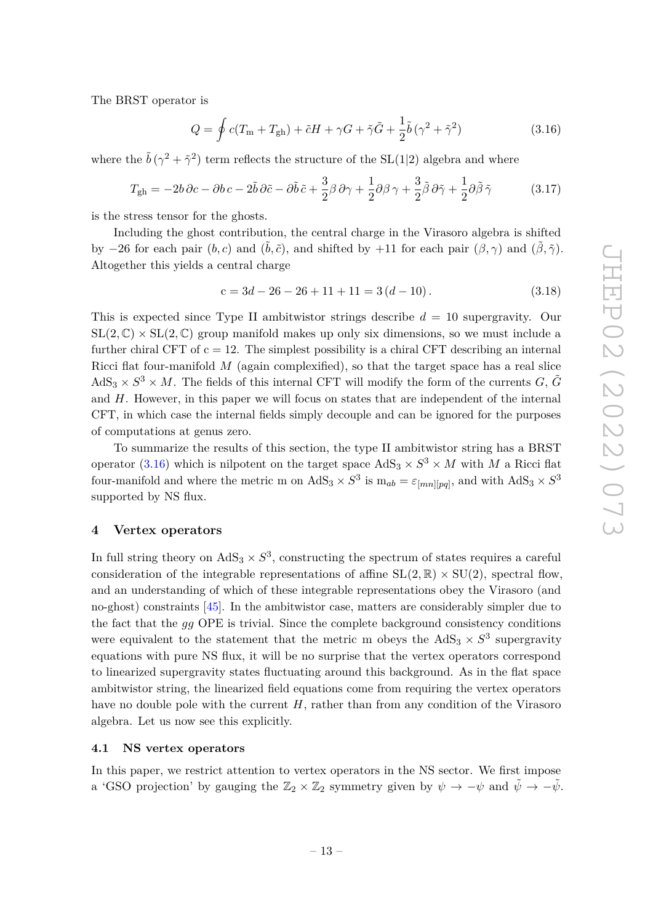The BRST operator is

<span id="page-13-2"></span>
$$
Q = \oint c(T_{\rm m} + T_{\rm gh}) + \tilde{c}H + \gamma G + \tilde{\gamma}\tilde{G} + \frac{1}{2}\tilde{b}(\gamma^2 + \tilde{\gamma}^2)
$$
(3.16)

where the  $\tilde{b}(\gamma^2 + \tilde{\gamma}^2)$  term reflects the structure of the SL(1|2) algebra and where

$$
T_{\rm gh} = -2b\,\partial c - \partial b\,c - 2\tilde{b}\,\partial \tilde{c} - \partial \tilde{b}\,\tilde{c} + \frac{3}{2}\beta\,\partial \gamma + \frac{1}{2}\partial \beta\,\gamma + \frac{3}{2}\tilde{\beta}\,\partial \tilde{\gamma} + \frac{1}{2}\partial \tilde{\beta}\,\tilde{\gamma}
$$
(3.17)

is the stress tensor for the ghosts.

Including the ghost contribution, the central charge in the Virasoro algebra is shifted by −26 for each pair  $(b, c)$  and  $(\tilde{b}, \tilde{c})$ , and shifted by +11 for each pair  $(\beta, \gamma)$  and  $(\tilde{\beta}, \tilde{\gamma})$ . Altogether this yields a central charge

$$
c = 3d - 26 - 26 + 11 + 11 = 3(d - 10).
$$
\n(3.18)

This is expected since Type II ambitwistor strings describe *d* = 10 supergravity. Our  $SL(2,\mathbb{C}) \times SL(2,\mathbb{C})$  group manifold makes up only six dimensions, so we must include a further chiral CFT of  $c = 12$ . The simplest possibility is a chiral CFT describing an internal Ricci flat four-manifold *M* (again complexified), so that the target space has a real slice  $AdS_3 \times S^3 \times M$ . The fields of this internal CFT will modify the form of the currents *G*,  $\tilde{G}$ and *H*. However, in this paper we will focus on states that are independent of the internal CFT, in which case the internal fields simply decouple and can be ignored for the purposes of computations at genus zero.

To summarize the results of this section, the type II ambitwistor string has a BRST operator [\(3.16\)](#page-13-2) which is nilpotent on the target space  $AdS_3 \times S^3 \times M$  with *M* a Ricci flat four-manifold and where the metric m on  $AdS_3 \times S^3$  is  $m_{ab} = \varepsilon_{[mn][pq]}$ , and with  $AdS_3 \times S^3$ supported by NS flux.

#### <span id="page-13-0"></span>**4 Vertex operators**

In full string theory on  $AdS_3 \times S^3$ , constructing the spectrum of states requires a careful consideration of the integrable representations of affine  $SL(2,\mathbb{R}) \times SU(2)$ , spectral flow. and an understanding of which of these integrable representations obey the Virasoro (and no-ghost) constraints [\[45\]](#page-37-6). In the ambitwistor case, matters are considerably simpler due to the fact that the *gg* OPE is trivial. Since the complete background consistency conditions were equivalent to the statement that the metric m obeys the  $AdS_3 \times S^3$  supergravity equations with pure NS flux, it will be no surprise that the vertex operators correspond to linearized supergravity states fluctuating around this background. As in the flat space ambitwistor string, the linearized field equations come from requiring the vertex operators have no double pole with the current *H*, rather than from any condition of the Virasoro algebra. Let us now see this explicitly.

# <span id="page-13-1"></span>**4.1 NS vertex operators**

In this paper, we restrict attention to vertex operators in the NS sector. We first impose a 'GSO projection' by gauging the  $\mathbb{Z}_2 \times \mathbb{Z}_2$  symmetry given by  $\psi \to -\psi$  and  $\tilde{\psi} \to -\tilde{\psi}$ .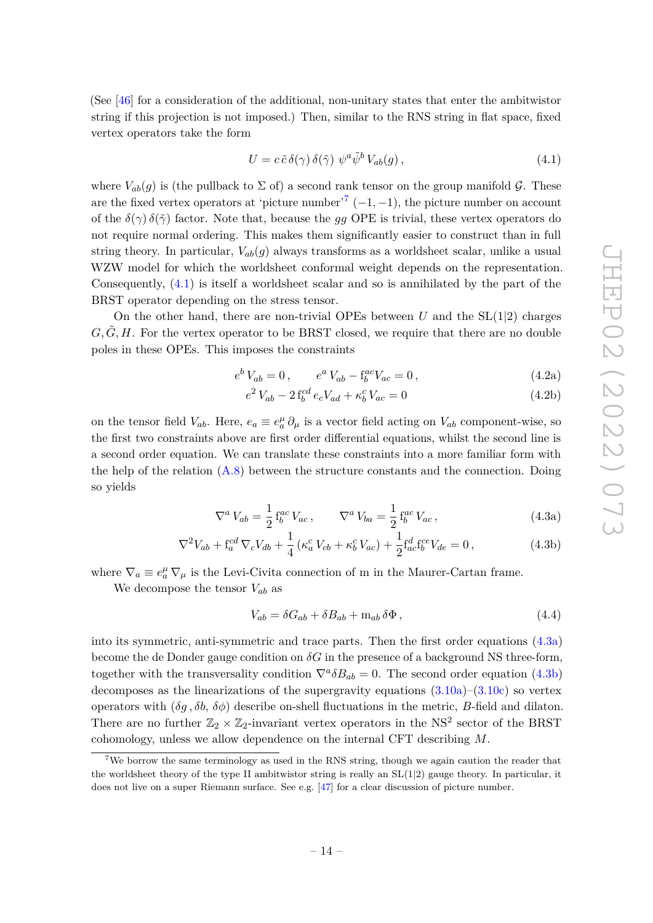(See [\[46\]](#page-37-7) for a consideration of the additional, non-unitary states that enter the ambitwistor string if this projection is not imposed.) Then, similar to the RNS string in flat space, fixed vertex operators take the form

<span id="page-14-1"></span>
$$
U = c \tilde{c} \delta(\gamma) \delta(\tilde{\gamma}) \psi^a \tilde{\psi}^b V_{ab}(g) , \qquad (4.1)
$$

where  $V_{ab}(q)$  is (the pullback to  $\Sigma$  of) a second rank tensor on the group manifold  $\mathcal{G}$ . These are the fixed vertex operators at 'picture number'<sup>[7](#page-14-0)</sup>  $(-1, -1)$ , the picture number on account of the  $\delta(\gamma)$   $\delta(\tilde{\gamma})$  factor. Note that, because the *gg* OPE is trivial, these vertex operators do not require normal ordering. This makes them significantly easier to construct than in full string theory. In particular,  $V_{ab}(g)$  always transforms as a worldsheet scalar, unlike a usual WZW model for which the worldsheet conformal weight depends on the representation. Consequently, [\(4.1\)](#page-14-1) is itself a worldsheet scalar and so is annihilated by the part of the BRST operator depending on the stress tensor.

On the other hand, there are non-trivial OPEs between  $U$  and the  $SL(1|2)$  charges  $G, \hat{G}, H$ . For the vertex operator to be BRST closed, we require that there are no double poles in these OPEs. This imposes the constraints

$$
e^{b} V_{ab} = 0, \qquad e^{a} V_{ab} - f_{b}^{ac} V_{ac} = 0, \qquad (4.2a)
$$

$$
e^{2} V_{ab} - 2 f_{b}^{cd} e_{c} V_{ad} + \kappa_{b}^{c} V_{ac} = 0 \tag{4.2b}
$$

on the tensor field  $V_{ab}$ . Here,  $e_a \equiv e_a^{\mu} \partial_{\mu}$  is a vector field acting on  $V_{ab}$  component-wise, so the first two constraints above are first order differential equations, whilst the second line is a second order equation. We can translate these constraints into a more familiar form with the help of the relation  $(A.8)$  between the structure constants and the connection. Doing so yields

$$
\nabla^a V_{ab} = \frac{1}{2} f_b^{ac} V_{ac} , \qquad \nabla^a V_{ba} = \frac{1}{2} f_b^{ac} V_{ac} , \qquad (4.3a)
$$

$$
\nabla^2 V_{ab} + \mathbf{f}_a^{cd} \nabla_c V_{db} + \frac{1}{4} \left( \kappa_a^c V_{cb} + \kappa_b^c V_{ac} \right) + \frac{1}{2} \mathbf{f}_{ac}^d \mathbf{f}_b^{ce} V_{de} = 0, \qquad (4.3b)
$$

where  $\nabla_a \equiv e_a^{\mu} \nabla_{\mu}$  is the Levi-Civita connection of m in the Maurer-Cartan frame.

We decompose the tensor *Vab* as

<span id="page-14-3"></span><span id="page-14-2"></span>
$$
V_{ab} = \delta G_{ab} + \delta B_{ab} + \mathbf{m}_{ab} \, \delta \Phi \,, \tag{4.4}
$$

into its symmetric, anti-symmetric and trace parts. Then the first order equations [\(4.3a\)](#page-14-2) become the de Donder gauge condition on  $\delta G$  in the presence of a background NS three-form. together with the transversality condition  $\nabla^a \delta B_{ab} = 0$ . The second order equation [\(4.3b\)](#page-14-3) decomposes as the linearizations of the supergravity equations  $(3.10a)-(3.10c)$  $(3.10a)-(3.10c)$  $(3.10a)-(3.10c)$  so vertex operators with  $(\delta q, \delta b, \delta \phi)$  describe on-shell fluctuations in the metric, *B*-field and dilaton. There are no further  $\mathbb{Z}_2 \times \mathbb{Z}_2$ -invariant vertex operators in the NS<sup>2</sup> sector of the BRST cohomology, unless we allow dependence on the internal CFT describing *M*.

<span id="page-14-0"></span><sup>&</sup>lt;sup>7</sup>We borrow the same terminology as used in the RNS string, though we again caution the reader that the worldsheet theory of the type II ambitwistor string is really an  $SL(1|2)$  gauge theory. In particular, it does not live on a super Riemann surface. See e.g. [\[47\]](#page-37-8) for a clear discussion of picture number.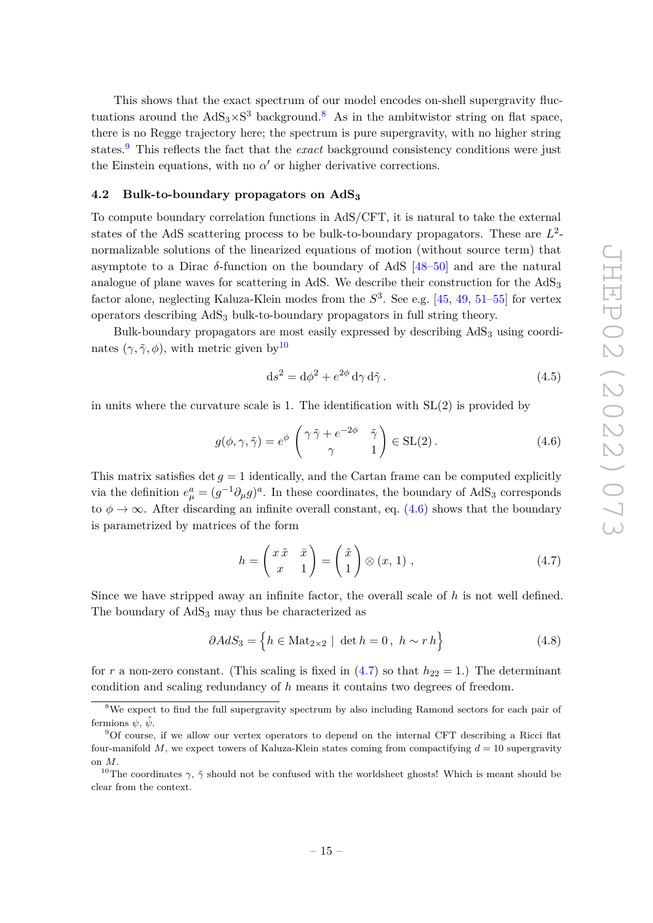This shows that the exact spectrum of our model encodes on-shell supergravity fluctuations around the  $AdS_3 \times S^3$  background.<sup>[8](#page-15-1)</sup> As in the ambitwistor string on flat space, there is no Regge trajectory here; the spectrum is pure supergravity, with no higher string states.<sup>[9](#page-15-2)</sup> This reflects the fact that the *exact* background consistency conditions were just the Einstein equations, with no  $\alpha'$  or higher derivative corrections.

## <span id="page-15-0"></span>**4.2 Bulk-to-boundary propagators on AdS<sup>3</sup>**

To compute boundary correlation functions in AdS/CFT, it is natural to take the external states of the AdS scattering process to be bulk-to-boundary propagators. These are *L* 2 normalizable solutions of the linearized equations of motion (without source term) that asymptote to a Dirac *δ*-function on the boundary of AdS [\[48–](#page-37-9)[50\]](#page-37-10) and are the natural analogue of plane waves for scattering in AdS. We describe their construction for the  $AdS_3$ factor alone, neglecting Kaluza-Klein modes from the *S* 3 . See e.g. [\[45,](#page-37-6) [49,](#page-37-11) [51–](#page-37-12)[55\]](#page-37-13) for vertex operators describing AdS<sup>3</sup> bulk-to-boundary propagators in full string theory.

Bulk-boundary propagators are most easily expressed by describing AdS<sup>3</sup> using coordinates  $(\gamma, \tilde{\gamma}, \phi)$ , with metric given by<sup>[10](#page-15-3)</sup>

<span id="page-15-6"></span>
$$
ds^2 = d\phi^2 + e^{2\phi} d\gamma d\tilde{\gamma}.
$$
\n(4.5)

in units where the curvature scale is 1. The identification with SL(2) is provided by

<span id="page-15-4"></span>
$$
g(\phi, \gamma, \tilde{\gamma}) = e^{\phi} \begin{pmatrix} \gamma \tilde{\gamma} + e^{-2\phi} & \tilde{\gamma} \\ \gamma & 1 \end{pmatrix} \in SL(2).
$$
 (4.6)

This matrix satisfies  $\det g = 1$  identically, and the Cartan frame can be computed explicitly via the definition  $e^a_\mu = (g^{-1}\partial_\mu g)^a$ . In these coordinates, the boundary of AdS<sub>3</sub> corresponds to  $\phi \rightarrow \infty$ . After discarding an infinite overall constant, eq. [\(4.6\)](#page-15-4) shows that the boundary is parametrized by matrices of the form

<span id="page-15-5"></span>
$$
h = \begin{pmatrix} x \tilde{x} & \bar{x} \\ x & 1 \end{pmatrix} = \begin{pmatrix} \tilde{x} \\ 1 \end{pmatrix} \otimes (x, 1) , \qquad (4.7)
$$

Since we have stripped away an infinite factor, the overall scale of *h* is not well defined. The boundary of  $AdS_3$  may thus be characterized as

$$
\partial AdS_3 = \left\{ h \in \text{Mat}_{2 \times 2} \mid \det h = 0, \ h \sim r h \right\} \tag{4.8}
$$

for *r* a non-zero constant. (This scaling is fixed in  $(4.7)$  so that  $h_{22} = 1$ .) The determinant condition and scaling redundancy of *h* means it contains two degrees of freedom.

<span id="page-15-1"></span><sup>&</sup>lt;sup>8</sup>We expect to find the full supergravity spectrum by also including Ramond sectors for each pair of fermions  $\psi$ ,  $\psi$ .

<span id="page-15-2"></span><sup>9</sup>Of course, if we allow our vertex operators to depend on the internal CFT describing a Ricci flat four-manifold  $M$ , we expect towers of Kaluza-Klein states coming from compactifying  $d = 10$  supergravity on *M*.

<span id="page-15-3"></span><sup>&</sup>lt;sup>10</sup>The coordinates  $\gamma$ ,  $\tilde{\gamma}$  should not be confused with the worldsheet ghosts! Which is meant should be clear from the context.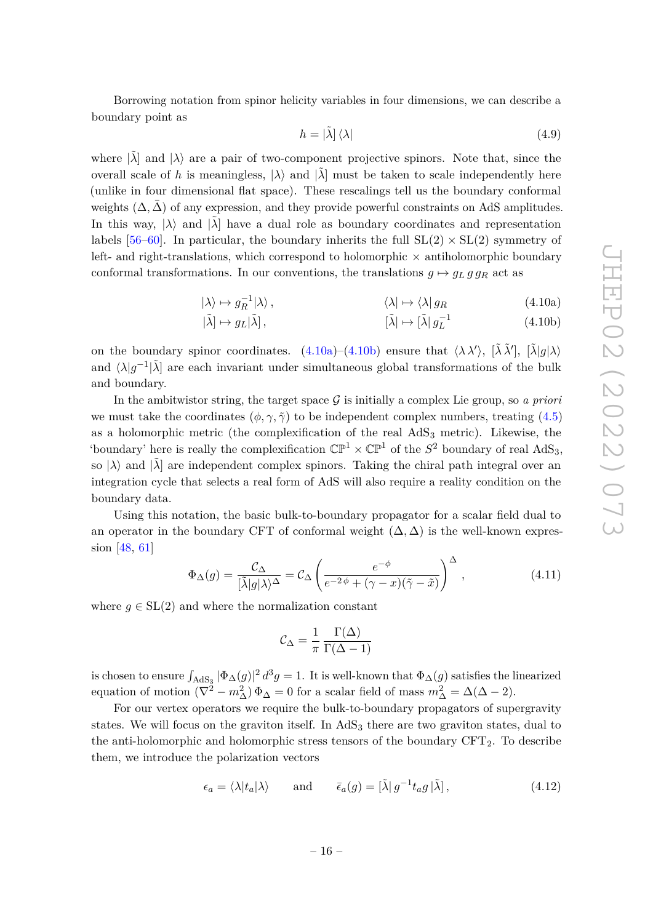Borrowing notation from spinor helicity variables in four dimensions, we can describe a boundary point as

<span id="page-16-1"></span><span id="page-16-0"></span>
$$
h = |\tilde{\lambda}| \langle \lambda| \tag{4.9}
$$

where  $|\tilde{\lambda}|$  and  $|\lambda\rangle$  are a pair of two-component projective spinors. Note that, since the overall scale of *h* is meaningless,  $|\lambda\rangle$  and  $|\tilde{\lambda}|$  must be taken to scale independently here (unlike in four dimensional flat space). These rescalings tell us the boundary conformal weights  $(\Delta, \Delta)$  of any expression, and they provide powerful constraints on AdS amplitudes. In this way,  $|\lambda\rangle$  and  $|\lambda|$  have a dual role as boundary coordinates and representation labels [\[56–](#page-37-14)[60\]](#page-38-0). In particular, the boundary inherits the full  $SL(2) \times SL(2)$  symmetry of left- and right-translations, which correspond to holomorphic  $\times$  antiholomorphic boundary conformal transformations. In our conventions, the translations  $g \mapsto g_L g g_R$  act as

$$
|\lambda\rangle \mapsto g_R^{-1}|\lambda\rangle, \qquad \langle \lambda | \mapsto \langle \lambda | g_R \qquad (4.10a)
$$

$$
[\tilde{\lambda}] \mapsto g_L[\tilde{\lambda}], \qquad [\tilde{\lambda}] \mapsto [\tilde{\lambda}] g_L^{-1} \qquad (4.10b)
$$

on the boundary spinor coordinates.  $(4.10a)$ – $(4.10b)$  ensure that  $\langle \lambda \lambda' \rangle$ ,  $[\tilde{\lambda} \tilde{\lambda}']$ ,  $[\tilde{\lambda}|g|\lambda\rangle$ and  $\langle \lambda | g^{-1} | \tilde{\lambda}$  are each invariant under simultaneous global transformations of the bulk and boundary.

In the ambitwistor string, the target space  $\mathcal G$  is initially a complex Lie group, so *a priori* we must take the coordinates  $(\phi, \gamma, \tilde{\gamma})$  to be independent complex numbers, treating [\(4.5\)](#page-15-6) as a holomorphic metric (the complexification of the real  $AdS<sub>3</sub>$  metric). Likewise, the 'boundary' here is really the complexification  $\mathbb{CP}^1 \times \mathbb{CP}^1$  of the  $S^2$  boundary of real AdS<sub>3</sub>, so  $|\lambda\rangle$  and  $|\tilde{\lambda}|$  are independent complex spinors. Taking the chiral path integral over an integration cycle that selects a real form of AdS will also require a reality condition on the boundary data.

Using this notation, the basic bulk-to-boundary propagator for a scalar field dual to an operator in the boundary CFT of conformal weight  $(\Delta, \Delta)$  is the well-known expression [\[48,](#page-37-9) [61\]](#page-38-1)

<span id="page-16-2"></span>
$$
\Phi_{\Delta}(g) = \frac{\mathcal{C}_{\Delta}}{[\tilde{\lambda}|g|\lambda\rangle^{\Delta}} = \mathcal{C}_{\Delta} \left( \frac{e^{-\phi}}{e^{-2\phi} + (\gamma - x)(\tilde{\gamma} - \tilde{x})} \right)^{\Delta}, \tag{4.11}
$$

where  $g \in SL(2)$  and where the normalization constant

$$
C_{\Delta} = \frac{1}{\pi} \frac{\Gamma(\Delta)}{\Gamma(\Delta - 1)}
$$

is chosen to ensure  $\int_{AdS_3} |\Phi_{\Delta}(g)|^2 d^3 g = 1$ . It is well-known that  $\Phi_{\Delta}(g)$  satisfies the linearized equation of motion  $(\nabla^2 - m_\Delta^2) \Phi_\Delta = 0$  for a scalar field of mass  $m_\Delta^2 = \Delta(\Delta - 2)$ .

For our vertex operators we require the bulk-to-boundary propagators of supergravity states. We will focus on the graviton itself. In  $AdS<sub>3</sub>$  there are two graviton states, dual to the anti-holomorphic and holomorphic stress tensors of the boundary  $CFT<sub>2</sub>$ . To describe them, we introduce the polarization vectors

$$
\epsilon_a = \langle \lambda | t_a | \lambda \rangle \quad \text{and} \quad \bar{\epsilon}_a(g) = [\tilde{\lambda} | g^{-1} t_a g | \tilde{\lambda}], \tag{4.12}
$$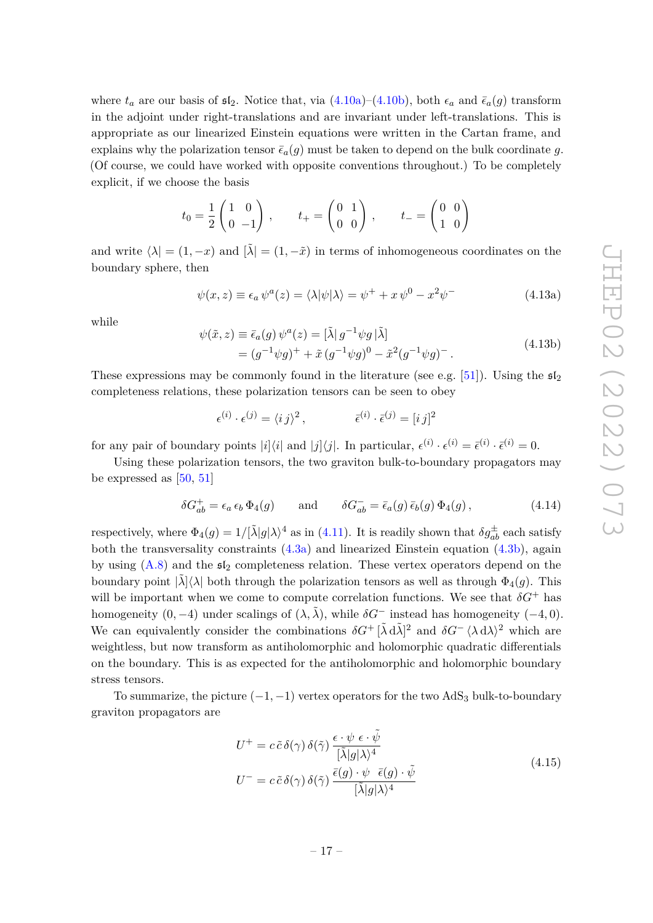where  $t_a$  are our basis of  $\mathfrak{sl}_2$ . Notice that, via  $(4.10a)-(4.10b)$  $(4.10a)-(4.10b)$  $(4.10a)-(4.10b)$ , both  $\epsilon_a$  and  $\bar{\epsilon}_a(g)$  transform in the adjoint under right-translations and are invariant under left-translations. This is appropriate as our linearized Einstein equations were written in the Cartan frame, and explains why the polarization tensor  $\bar{\epsilon}_a(g)$  must be taken to depend on the bulk coordinate g. (Of course, we could have worked with opposite conventions throughout.) To be completely explicit, if we choose the basis

$$
t_0 = \frac{1}{2} \begin{pmatrix} 1 & 0 \\ 0 & -1 \end{pmatrix}, \qquad t_+ = \begin{pmatrix} 0 & 1 \\ 0 & 0 \end{pmatrix}, \qquad t_- = \begin{pmatrix} 0 & 0 \\ 1 & 0 \end{pmatrix}
$$

and write  $\langle \lambda | = (1, -x)$  and  $[\tilde{\lambda}] = (1, -\tilde{x})$  in terms of inhomogeneous coordinates on the boundary sphere, then

$$
\psi(x, z) \equiv \epsilon_a \psi^a(z) = \langle \lambda | \psi | \lambda \rangle = \psi^+ + x \psi^0 - x^2 \psi^- \tag{4.13a}
$$

while

$$
\psi(\tilde{x}, z) \equiv \bar{\epsilon}_a(g) \psi^a(z) = [\tilde{\lambda} | g^{-1} \psi g | \tilde{\lambda}]
$$
  
=  $(g^{-1} \psi g)^+ + \tilde{x} (g^{-1} \psi g)^0 - \tilde{x}^2 (g^{-1} \psi g)^-\,.$  (4.13b)

These expressions may be commonly found in the literature (see e.g. [\[51\]](#page-37-12)). Using the  $\mathfrak{sl}_2$ completeness relations, these polarization tensors can be seen to obey

$$
\epsilon^{(i)} \cdot \epsilon^{(j)} = \langle i \, j \rangle^2 \,, \qquad \qquad \bar{\epsilon}^{(i)} \cdot \bar{\epsilon}^{(j)} = [i \, j]^2
$$

for any pair of boundary points  $|i|\langle i|$  and  $|j|\langle j|$ . In particular,  $\epsilon^{(i)} \cdot \epsilon^{(i)} = \bar{\epsilon}^{(i)} \cdot \bar{\epsilon}^{(i)} = 0$ .

Using these polarization tensors, the two graviton bulk-to-boundary propagators may be expressed as  $[50, 51]$  $[50, 51]$  $[50, 51]$ 

$$
\delta G_{ab}^+ = \epsilon_a \epsilon_b \Phi_4(g) \quad \text{and} \quad \delta G_{ab}^- = \bar{\epsilon}_a(g) \bar{\epsilon}_b(g) \Phi_4(g) , \qquad (4.14)
$$

respectively, where  $\Phi_4(g) = 1/[\tilde{\lambda}|g|\lambda)^4$  as in [\(4.11\)](#page-16-2). It is readily shown that  $\delta g_{ab}^{\pm}$  each satisfy both the transversality constraints  $(4.3a)$  and linearized Einstein equation  $(4.3b)$ , again by using  $(A.8)$  and the  $\mathfrak{sl}_2$  completeness relation. These vertex operators depend on the boundary point  $|\lambda\rangle\langle\lambda|$  both through the polarization tensors as well as through  $\Phi_4(q)$ . This will be important when we come to compute correlation functions. We see that  $\delta G^+$  has homogeneity  $(0, -4)$  under scalings of  $(\lambda, \tilde{\lambda})$ , while  $\delta G^-$  instead has homogeneity  $(-4, 0)$ . We can equivalently consider the combinations  $\delta G^+$   $[\tilde{\lambda} d\tilde{\lambda}]^2$  and  $\delta G^ \langle \lambda d\lambda \rangle^2$  which are weightless, but now transform as antiholomorphic and holomorphic quadratic differentials on the boundary. This is as expected for the antiholomorphic and holomorphic boundary stress tensors.

To summarize, the picture  $(-1, -1)$  vertex operators for the two AdS<sub>3</sub> bulk-to-boundary graviton propagators are

$$
U^{+} = c \tilde{c} \delta(\gamma) \delta(\tilde{\gamma}) \frac{\epsilon \cdot \psi \epsilon \cdot \tilde{\psi}}{[\tilde{\lambda}|g|\lambda)^{4}}
$$
  
\n
$$
U^{-} = c \tilde{c} \delta(\gamma) \delta(\tilde{\gamma}) \frac{\bar{\epsilon}(g) \cdot \psi \bar{\epsilon}(g) \cdot \tilde{\psi}}{[\tilde{\lambda}|g|\lambda)^{4}}
$$
\n(4.15)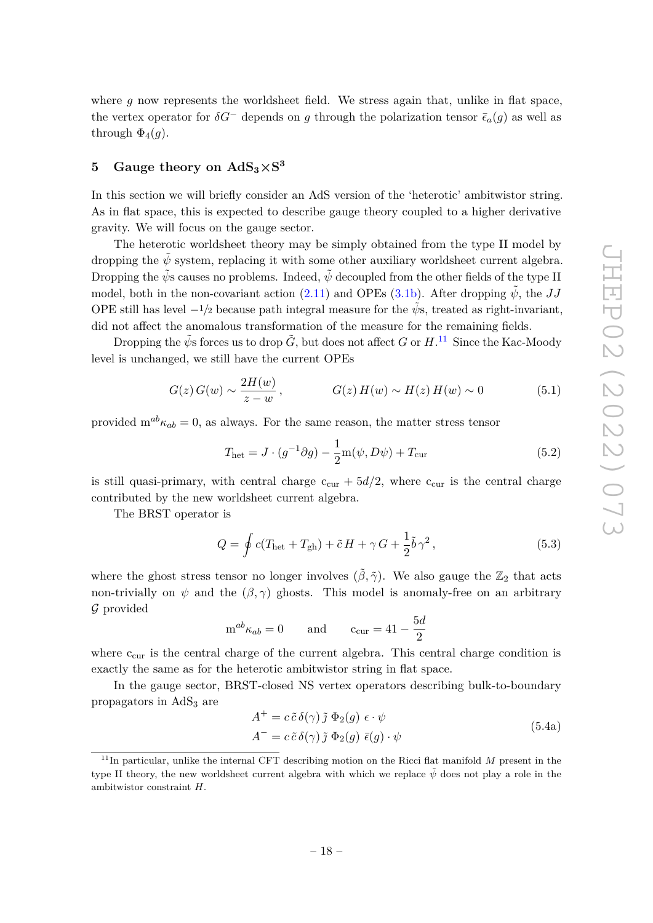where  $g$  now represents the worldsheet field. We stress again that, unlike in flat space. the vertex operator for  $\delta G^-$  depends on *g* through the polarization tensor  $\bar{\epsilon}_a(q)$  as well as through  $\Phi_4(q)$ .

# <span id="page-18-0"></span> $5$  Gauge theory on  $\text{AdS}_3 \times \text{S}^3$

In this section we will briefly consider an AdS version of the 'heterotic' ambitwistor string. As in flat space, this is expected to describe gauge theory coupled to a higher derivative gravity. We will focus on the gauge sector.

The heterotic worldsheet theory may be simply obtained from the type II model by dropping the  $\tilde{\psi}$  system, replacing it with some other auxiliary worldsheet current algebra. Dropping the  $\tilde{\psi}$ s causes no problems. Indeed,  $\tilde{\psi}$  decoupled from the other fields of the type II model, both in the non-covariant action  $(2.11)$  and OPEs  $(3.1b)$ . After dropping  $\tilde{\psi}$ , the *JJ* OPE still has level  $-\frac{1}{2}$  because path integral measure for the  $\psi$ s, treated as right-invariant, did not affect the anomalous transformation of the measure for the remaining fields.

Dropping the  $\tilde{\psi}$ s forces us to drop  $\tilde{G}$ , but does not affect *G* or  $H$ .<sup>[11](#page-18-1)</sup> Since the Kac-Moody level is unchanged, we still have the current OPEs

$$
G(z) G(w) \sim \frac{2H(w)}{z - w}, \qquad G(z) H(w) \sim H(z) H(w) \sim 0 \qquad (5.1)
$$

provided  $m^{ab}\kappa_{ab} = 0$ , as always. For the same reason, the matter stress tensor

$$
T_{\text{het}} = J \cdot (g^{-1}\partial g) - \frac{1}{2}m(\psi, D\psi) + T_{\text{cur}} \tag{5.2}
$$

is still quasi-primary, with central charge  $c_{\text{cur}} + 5d/2$ , where  $c_{\text{cur}}$  is the central charge contributed by the new worldsheet current algebra.

The BRST operator is

$$
Q = \oint c(T_{\text{het}} + T_{\text{gh}}) + \tilde{c}H + \gamma G + \frac{1}{2}\tilde{b}\gamma^2,
$$
\n(5.3)

where the ghost stress tensor no longer involves  $(\tilde{\beta}, \tilde{\gamma})$ . We also gauge the  $\mathbb{Z}_2$  that acts non-trivially on  $\psi$  and the  $(\beta, \gamma)$  ghosts. This model is anomaly-free on an arbitrary G provided

$$
m^{ab}\kappa_{ab} = 0 \quad \text{and} \quad c_{cur} = 41 - \frac{5d}{2}
$$

where  $c_{\text{cur}}$  is the central charge of the current algebra. This central charge condition is exactly the same as for the heterotic ambitwistor string in flat space.

In the gauge sector, BRST-closed NS vertex operators describing bulk-to-boundary propagators in  $AdS<sub>3</sub>$  are

<span id="page-18-2"></span>
$$
A^{+} = c \tilde{c} \delta(\gamma) \tilde{j} \Phi_{2}(g) \epsilon \cdot \psi
$$
  
\n
$$
A^{-} = c \tilde{c} \delta(\gamma) \tilde{j} \Phi_{2}(g) \bar{\epsilon}(g) \cdot \psi
$$
\n(5.4a)

<span id="page-18-1"></span><sup>&</sup>lt;sup>11</sup>In particular, unlike the internal CFT describing motion on the Ricci flat manifold *M* present in the type II theory, the new worldsheet current algebra with which we replace  $\tilde{\psi}$  does not play a role in the ambitwistor constraint *H*.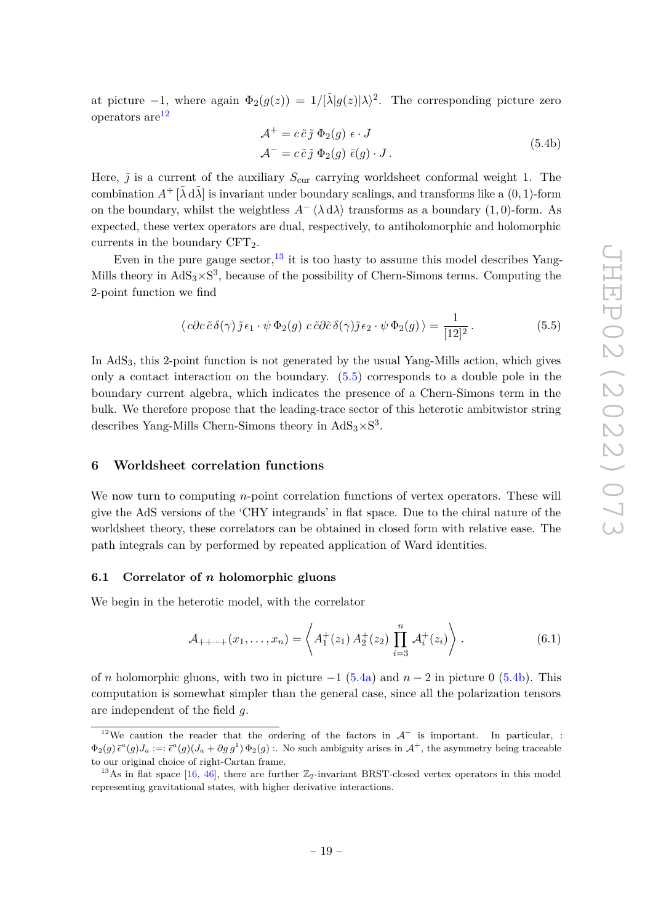at picture  $-1$ , where again  $\Phi_2(g(z)) = 1/[\tilde{\lambda}|g(z)|\lambda)^2$ . The corresponding picture zero operators  $are^{12}$  $are^{12}$  $are^{12}$ 

<span id="page-19-5"></span>
$$
\mathcal{A}^+ = c \tilde{c} \tilde{j} \ \Phi_2(g) \ \epsilon \cdot J
$$
  

$$
\mathcal{A}^- = c \tilde{c} \tilde{j} \ \Phi_2(g) \ \bar{\epsilon}(g) \cdot J.
$$
 (5.4b)

Here,  $\tilde{j}$  is a current of the auxiliary  $S_{\text{cur}}$  carrying worldsheet conformal weight 1. The combination  $A^+$   $[\tilde{\lambda} d\tilde{\lambda}]$  is invariant under boundary scalings, and transforms like a  $(0, 1)$ -form on the boundary, whilst the weightless  $A^{-} \langle \lambda d\lambda \rangle$  transforms as a boundary (1,0)-form. As expected, these vertex operators are dual, respectively, to antiholomorphic and holomorphic currents in the boundary  $CFT<sub>2</sub>$ .

Even in the pure gauge sector,  $^{13}$  $^{13}$  $^{13}$  it is too hasty to assume this model describes Yang-Mills theory in  $AdS_3 \times S^3$ , because of the possibility of Chern-Simons terms. Computing the 2-point function we find

<span id="page-19-4"></span>
$$
\langle c\partial c\,\tilde{c}\,\delta(\gamma)\,\tilde{j}\,\epsilon_1\cdot\psi\,\Phi_2(g)\,c\,\tilde{c}\partial\tilde{c}\,\delta(\gamma)\tilde{j}\,\epsilon_2\cdot\psi\,\Phi_2(g)\,\rangle = \frac{1}{[12]^2} \,. \tag{5.5}
$$

In  $AdS<sub>3</sub>$ , this 2-point function is not generated by the usual Yang-Mills action, which gives only a contact interaction on the boundary. [\(5.5\)](#page-19-4) corresponds to a double pole in the boundary current algebra, which indicates the presence of a Chern-Simons term in the bulk. We therefore propose that the leading-trace sector of this heterotic ambitwistor string describes Yang-Mills Chern-Simons theory in  $AdS_3 \times S^3$ .

## <span id="page-19-0"></span>**6 Worldsheet correlation functions**

We now turn to computing *n*-point correlation functions of vertex operators. These will give the AdS versions of the 'CHY integrands' in flat space. Due to the chiral nature of the worldsheet theory, these correlators can be obtained in closed form with relative ease. The path integrals can by performed by repeated application of Ward identities.

#### <span id="page-19-1"></span>**6.1 Correlator of** *n* **holomorphic gluons**

We begin in the heterotic model, with the correlator

<span id="page-19-6"></span>
$$
\mathcal{A}_{++\cdots+}(x_1,\ldots,x_n) = \left\langle A_1^+(z_1) \, A_2^+(z_2) \, \prod_{i=3}^n \, \mathcal{A}_i^+(z_i) \right\rangle . \tag{6.1}
$$

of *n* holomorphic gluons, with two in picture  $-1$  [\(5.4a\)](#page-18-2) and  $n-2$  in picture 0 [\(5.4b\)](#page-19-5). This computation is somewhat simpler than the general case, since all the polarization tensors are independent of the field *g*.

<span id="page-19-2"></span><sup>&</sup>lt;sup>12</sup>We caution the reader that the ordering of the factors in  $\mathcal{A}^-$  is important. In particular, :  $\Phi_2(g) \bar{\epsilon}^a(g) J_a :=: \bar{\epsilon}^a(g) (J_a + \partial g g^1) \Phi_2(g)$  :. No such ambiguity arises in  $\mathcal{A}^+$ , the asymmetry being traceable to our original choice of right-Cartan frame.

<span id="page-19-3"></span><sup>&</sup>lt;sup>13</sup>As in flat space [\[16,](#page-35-9) [46\]](#page-37-7), there are further  $\mathbb{Z}_2$ -invariant BRST-closed vertex operators in this model representing gravitational states, with higher derivative interactions.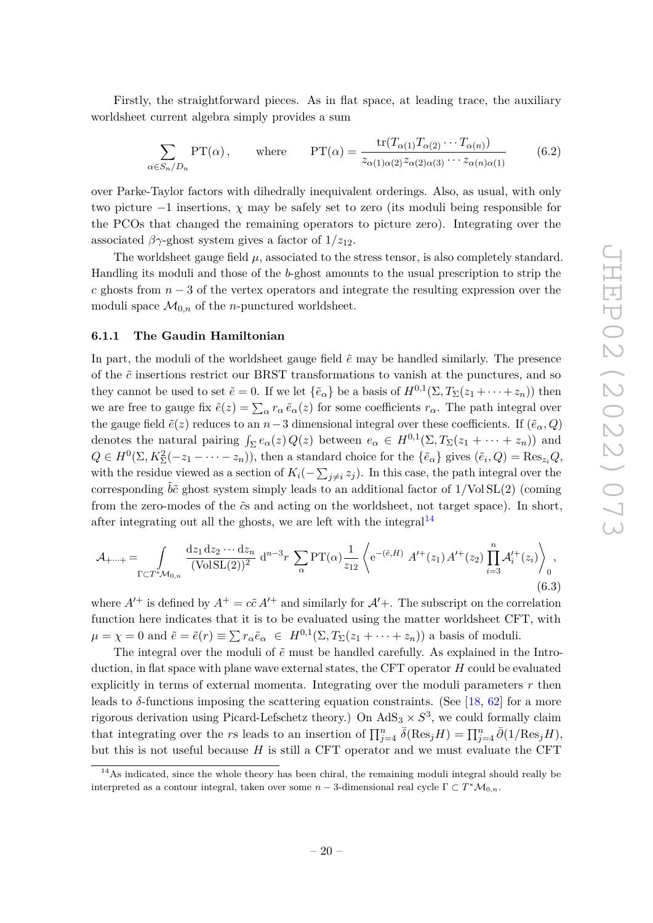Firstly, the straightforward pieces. As in flat space, at leading trace, the auxiliary worldsheet current algebra simply provides a sum

$$
\sum_{\alpha \in S_n/D_n} PT(\alpha), \quad \text{where} \quad PT(\alpha) = \frac{\text{tr}(T_{\alpha(1)} T_{\alpha(2)} \cdots T_{\alpha(n)})}{z_{\alpha(1)\alpha(2)} z_{\alpha(2)\alpha(3)} \cdots z_{\alpha(n)\alpha(1)}} \tag{6.2}
$$

over Parke-Taylor factors with dihedrally inequivalent orderings. Also, as usual, with only two picture −1 insertions, *χ* may be safely set to zero (its moduli being responsible for the PCOs that changed the remaining operators to picture zero). Integrating over the associated  $\beta\gamma$ -ghost system gives a factor of  $1/z_{12}$ .

The worldsheet gauge field  $\mu$ , associated to the stress tensor, is also completely standard. Handling its moduli and those of the *b*-ghost amounts to the usual prescription to strip the *c* ghosts from *n* − 3 of the vertex operators and integrate the resulting expression over the moduli space  $\mathcal{M}_{0,n}$  of the *n*-punctured worldsheet.

## <span id="page-20-0"></span>**6.1.1 The Gaudin Hamiltonian**

In part, the moduli of the worldsheet gauge field  $\tilde{e}$  may be handled similarly. The presence of the *c*˜ insertions restrict our BRST transformations to vanish at the punctures, and so they cannot be used to set  $\tilde{e} = 0$ . If we let  $\{\tilde{e}_{\alpha}\}\$ be a basis of  $H^{0,1}(\Sigma, T_{\Sigma}(z_1 + \cdots + z_n))$  then we are free to gauge fix  $\tilde{e}(z) = \sum_{\alpha} r_{\alpha} \tilde{e}_{\alpha}(z)$  for some coefficients  $r_{\alpha}$ . The path integral over the gauge field  $\tilde{e}(z)$  reduces to an  $n-3$  dimensional integral over these coefficients. If  $(\tilde{e}_{\alpha}, Q)$ denotes the natural pairing  $\int_{\Sigma} e_{\alpha}(z) Q(z)$  between  $e_{\alpha} \in H^{0,1}(\Sigma, T_{\Sigma}(z_1 + \cdots + z_n))$  and  $Q \in H^0(\Sigma, K_\Sigma^2(-z_1 - \cdots - z_n))$ , then a standard choice for the  $\{\tilde{e}_\alpha\}$  gives  $(\tilde{e}_i, Q) = \text{Res}_{z_i}Q$ , with the residue viewed as a section of  $K_i(-\sum_{j\neq i}z_j)$ . In this case, the path integral over the corresponding  $b\tilde{c}$  ghost system simply leads to an additional factor of  $1/\text{Vol}SL(2)$  (coming from the zero-modes of the  $\tilde{c}$ s and acting on the worldsheet, not target space). In short, after integrating out all the ghosts, we are left with the integral<sup>[14](#page-20-1)</sup>

$$
\mathcal{A}_{+\cdots+} = \int_{\Gamma \subset T^* \mathcal{M}_{0,n}} \frac{\mathrm{d}z_1 \, \mathrm{d}z_2 \cdots \, \mathrm{d}z_n}{(\text{VolSL}(2))^2} \, \mathrm{d}^{n-3} r \, \sum_{\alpha} \text{PT}(\alpha) \frac{1}{z_{12}} \left\langle e^{-(\tilde{e},H)} \, A'^{+}(z_1) \, A'^{+}(z_2) \prod_{i=3}^n \mathcal{A}'^+_i(z_i) \right\rangle_0,
$$
\n(6.3)

where  $A^{t+}$  is defined by  $A^+ = c\tilde{c} A^{t+}$  and similarly for  $A^{t}$ . The subscript on the correlation function here indicates that it is to be evaluated using the matter worldsheet CFT, with  $\mu = \chi = 0$  and  $\tilde{e} = \tilde{e}(r) \equiv \sum r_{\alpha} \tilde{e}_{\alpha} \in H^{0,1}(\Sigma, T_{\Sigma}(z_1 + \cdots + z_n))$  a basis of moduli.

The integral over the moduli of  $\tilde{e}$  must be handled carefully. As explained in the Introduction, in flat space with plane wave external states, the CFT operator *H* could be evaluated explicitly in terms of external momenta. Integrating over the moduli parameters *r* then leads to  $\delta$ -functions imposing the scattering equation constraints. (See [\[18,](#page-36-0) [62\]](#page-38-2) for a more rigorous derivation using Picard-Lefschetz theory.) On  $AdS_3 \times S^3$ , we could formally claim that integrating over the *rs* leads to an insertion of  $\prod_{j=4}^{n} \bar{\delta}(\text{Res}_j H) = \prod_{j=4}^{n} \bar{\partial}(1/\text{Res}_j H)$ , but this is not useful because *H* is still a CFT operator and we must evaluate the CFT

<span id="page-20-1"></span><sup>&</sup>lt;sup>14</sup>As indicated, since the whole theory has been chiral, the remaining moduli integral should really be interpreted as a contour integral, taken over some  $n-3$ -dimensional real cycle  $\Gamma \subset T^*\mathcal{M}_{0,n}$ .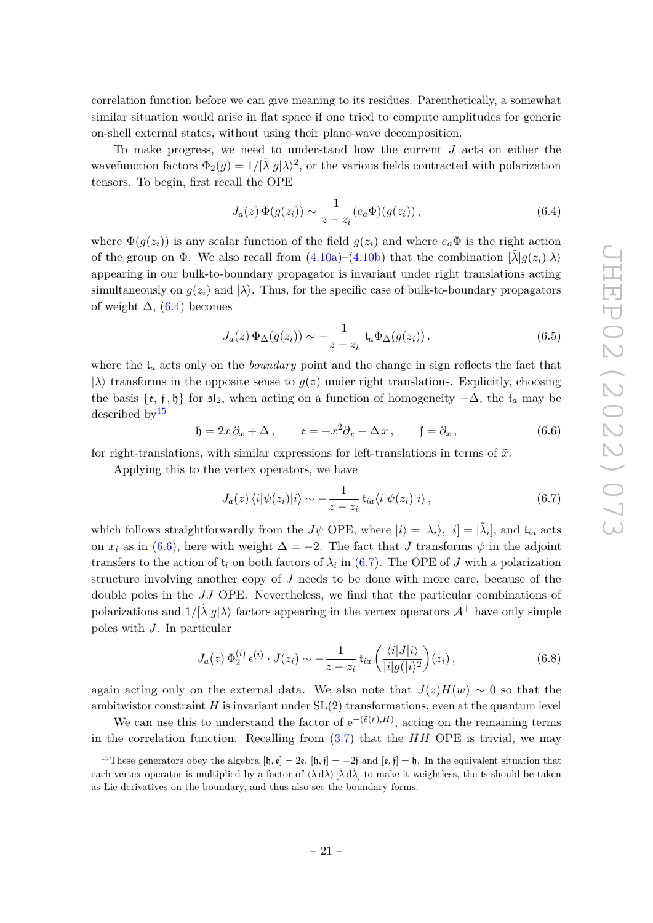correlation function before we can give meaning to its residues. Parenthetically, a somewhat similar situation would arise in flat space if one tried to compute amplitudes for generic on-shell external states, without using their plane-wave decomposition.

To make progress, we need to understand how the current *J* acts on either the wavefunction factors  $\Phi_2(g) = 1/[\tilde{\lambda}|g|\lambda)^2$ , or the various fields contracted with polarization tensors. To begin, first recall the OPE

<span id="page-21-0"></span>
$$
J_a(z) \, \Phi(g(z_i)) \sim \frac{1}{z - z_i} (e_a \Phi)(g(z_i)), \qquad (6.4)
$$

where  $\Phi(g(z_i))$  is any scalar function of the field  $g(z_i)$  and where  $e_a\Phi$  is the right action of the group on  $\Phi$ . We also recall from [\(4.10a\)](#page-16-0)–[\(4.10b\)](#page-16-1) that the combination  $[\lambda]q(z_i)|\lambda\rangle$ appearing in our bulk-to-boundary propagator is invariant under right translations acting simultaneously on  $g(z_i)$  and  $|\lambda\rangle$ . Thus, for the specific case of bulk-to-boundary propagators of weight  $\Delta$ , [\(6.4\)](#page-21-0) becomes

$$
J_a(z)\,\Phi_{\Delta}(g(z_i))\sim -\frac{1}{z-z_i}\,\mathfrak{t}_a\Phi_{\Delta}(g(z_i))\,. \tag{6.5}
$$

where the t*<sup>a</sup>* acts only on the *boundary* point and the change in sign reflects the fact that  $|\lambda\rangle$  transforms in the opposite sense to  $g(z)$  under right translations. Explicitly, choosing the basis  $\{\varepsilon, \mathfrak{f}, \mathfrak{h}\}$  for  $\mathfrak{sl}_2$ , when acting on a function of homogeneity  $-\Delta$ , the  $\mathfrak{t}_a$  may be described by  $15$ 

<span id="page-21-2"></span>
$$
\mathfrak{h} = 2x \, \partial_x + \Delta \,, \qquad \mathfrak{e} = -x^2 \partial_x - \Delta x \,, \qquad \mathfrak{f} = \partial_x \,, \tag{6.6}
$$

for right-translations, with similar expressions for left-translations in terms of  $\tilde{x}$ .

Applying this to the vertex operators, we have

<span id="page-21-3"></span>
$$
J_a(z) \langle i|\psi(z_i)|i\rangle \sim -\frac{1}{z-z_i} t_{ia} \langle i|\psi(z_i)|i\rangle, \qquad (6.7)
$$

which follows straightforwardly from the *J* $\psi$  OPE, where  $|i\rangle = |\lambda_i\rangle$ ,  $|i] = |\tilde{\lambda}_i|$ , and  $t_{ia}$  acts on *x<sub>i</sub>* as in [\(6.6\)](#page-21-2), here with weight  $\Delta = -2$ . The fact that *J* transforms  $\psi$  in the adjoint transfers to the action of  $t_i$  on both factors of  $\lambda_i$  in [\(6.7\)](#page-21-3). The OPE of *J* with a polarization structure involving another copy of *J* needs to be done with more care, because of the double poles in the *JJ* OPE. Nevertheless, we find that the particular combinations of polarizations and  $1/\lvert \tilde{\lambda} \rvert g \rvert \lambda$  factors appearing in the vertex operators  $\mathcal{A}^+$  have only simple poles with *J*. In particular

$$
J_a(z) \, \Phi_2^{(i)} \, \epsilon^{(i)} \cdot J(z_i) \sim -\frac{1}{z - z_i} \, \mathfrak{t}_{ia} \left( \frac{\langle i | J | i \rangle}{[i | g(|i \rangle^2)} \right) (z_i) \,, \tag{6.8}
$$

again acting only on the external data. We also note that  $J(z)H(w) \sim 0$  so that the ambitwistor constraint  $H$  is invariant under  $SL(2)$  transformations, even at the quantum level

We can use this to understand the factor of  $e^{-(\tilde{e}(r),H)}$ , acting on the remaining terms in the correlation function. Recalling from [\(3.7\)](#page-10-3) that the *HH* OPE is trivial, we may

<span id="page-21-1"></span><sup>&</sup>lt;sup>15</sup>These generators obey the algebra  $[\mathfrak{h}, \mathfrak{e}] = 2\mathfrak{e}, [\mathfrak{h}, \mathfrak{f}] = -2\mathfrak{f}$  and  $[\mathfrak{e}, \mathfrak{f}] = \mathfrak{h}$ . In the equivalent situation that each vertex operator is multiplied by a factor of  $\langle \lambda d\lambda \rangle$   $[\tilde{\lambda} d\tilde{\lambda}]$  to make it weightless, the ts should be taken as Lie derivatives on the boundary, and thus also see the boundary forms.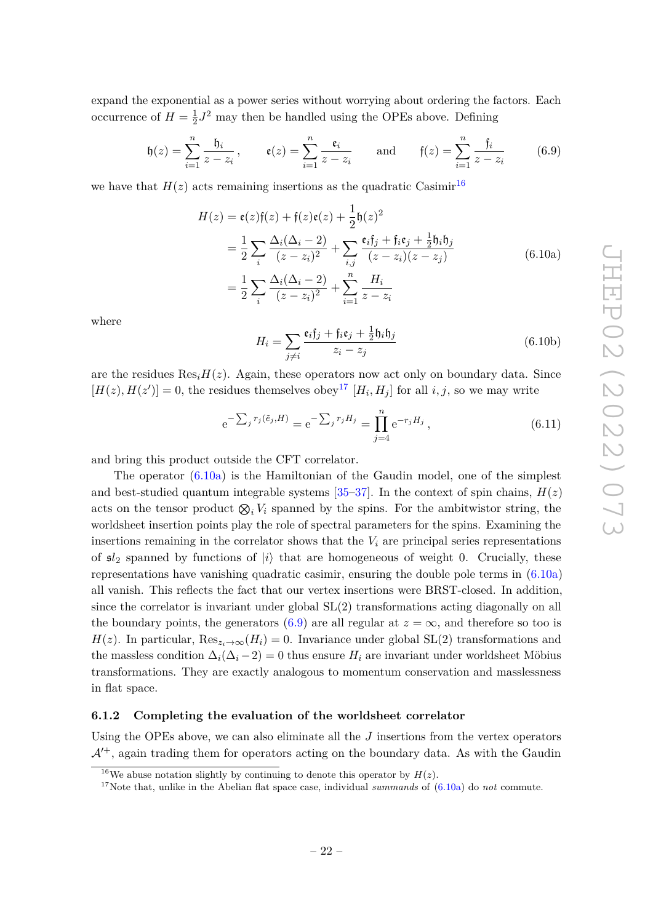expand the exponential as a power series without worrying about ordering the factors. Each occurrence of  $H = \frac{1}{2}$  $\frac{1}{2}J^2$  may then be handled using the OPEs above. Defining

<span id="page-22-4"></span>
$$
\mathfrak{h}(z) = \sum_{i=1}^{n} \frac{\mathfrak{h}_i}{z - z_i}, \qquad \mathfrak{e}(z) = \sum_{i=1}^{n} \frac{\mathfrak{e}_i}{z - z_i} \qquad \text{and} \qquad \mathfrak{f}(z) = \sum_{i=1}^{n} \frac{\mathfrak{f}_i}{z - z_i}
$$
(6.9)

we have that  $H(z)$  acts remaining insertions as the quadratic Casimir<sup>[16](#page-22-1)</sup>

<span id="page-22-3"></span>
$$
H(z) = \mathbf{e}(z)\mathbf{f}(z) + \mathbf{f}(z)\mathbf{e}(z) + \frac{1}{2}\mathbf{h}(z)^2
$$
  
=  $\frac{1}{2}\sum_{i} \frac{\Delta_i(\Delta_i - 2)}{(z - z_i)^2} + \sum_{i,j} \frac{\mathbf{e}_i\mathbf{f}_j + \mathbf{f}_i\mathbf{e}_j + \frac{1}{2}\mathbf{h}_i\mathbf{h}_j}{(z - z_i)(z - z_j)}$  (6.10a)  
=  $\frac{1}{2}\sum_{i} \frac{\Delta_i(\Delta_i - 2)}{(z - z_i)^2} + \sum_{i=1}^{n} \frac{H_i}{z - z_i}$ 

where

$$
H_i = \sum_{j \neq i} \frac{\mathfrak{e}_i \mathfrak{f}_j + \mathfrak{f}_i \mathfrak{e}_j + \frac{1}{2} \mathfrak{h}_i \mathfrak{h}_j}{z_i - z_j} \tag{6.10b}
$$

are the residues  $\text{Res}_{i}H(z)$ . Again, these operators now act only on boundary data. Since  $[H(z), H(z')] = 0$ , the residues themselves obey<sup>[17](#page-22-2)</sup>  $[H_i, H_j]$  for all *i*, *j*, so we may write

$$
e^{-\sum_j r_j(\tilde{e}_j, H)} = e^{-\sum_j r_j H_j} = \prod_{j=4}^n e^{-r_j H_j}, \qquad (6.11)
$$

and bring this product outside the CFT correlator.

The operator [\(6.10a\)](#page-22-3) is the Hamiltonian of the Gaudin model, one of the simplest and best-studied quantum integrable systems  $[35-37]$  $[35-37]$ . In the context of spin chains,  $H(z)$ acts on the tensor product  $\otimes_i V_i$  spanned by the spins. For the ambitwistor string, the worldsheet insertion points play the role of spectral parameters for the spins. Examining the insertions remaining in the correlator shows that the  $V_i$  are principal series representations of  $\mathfrak{sl}_2$  spanned by functions of  $|i\rangle$  that are homogeneous of weight 0. Crucially, these representations have vanishing quadratic casimir, ensuring the double pole terms in [\(6.10a\)](#page-22-3) all vanish. This reflects the fact that our vertex insertions were BRST-closed. In addition, since the correlator is invariant under global SL(2) transformations acting diagonally on all the boundary points, the generators [\(6.9\)](#page-22-4) are all regular at  $z = \infty$ , and therefore so too is *H*(*z*). In particular,  $\text{Res}_{z_i\to\infty}(H_i) = 0$ . Invariance under global SL(2) transformations and the massless condition  $\Delta_i(\Delta_i - 2) = 0$  thus ensure  $H_i$  are invariant under worldsheet Möbius transformations. They are exactly analogous to momentum conservation and masslessness in flat space.

#### <span id="page-22-0"></span>**6.1.2 Completing the evaluation of the worldsheet correlator**

Using the OPEs above, we can also eliminate all the *J* insertions from the vertex operators  $\mathcal{A}^{+}$ , again trading them for operators acting on the boundary data. As with the Gaudin

<span id="page-22-1"></span><sup>&</sup>lt;sup>16</sup>We abuse notation slightly by continuing to denote this operator by  $H(z)$ .

<span id="page-22-2"></span><sup>&</sup>lt;sup>17</sup>Note that, unlike in the Abelian flat space case, individual *summands* of  $(6.10a)$  do *not* commute.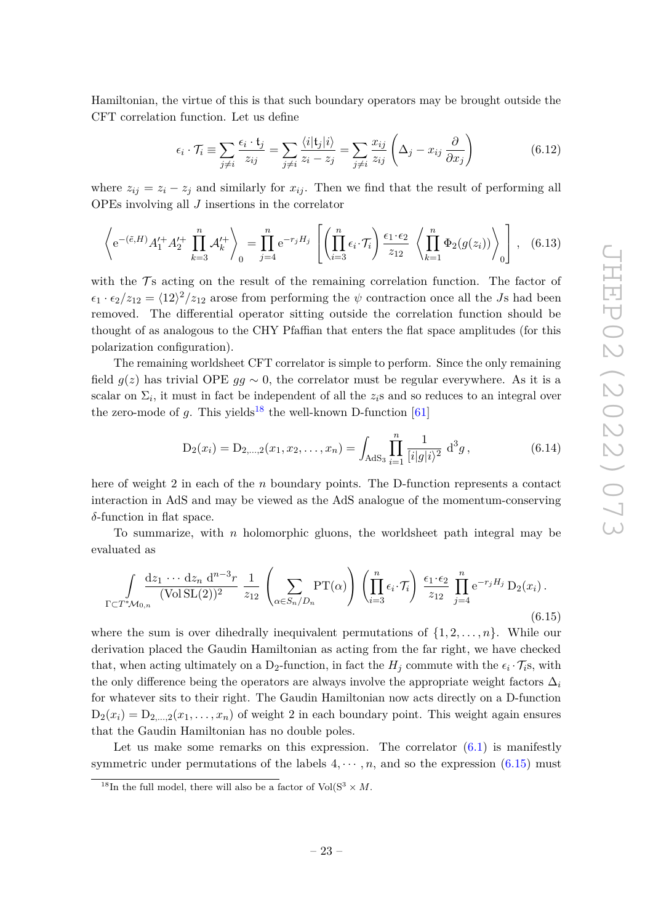Hamiltonian, the virtue of this is that such boundary operators may be brought outside the CFT correlation function. Let us define

$$
\epsilon_i \cdot \mathcal{T}_i \equiv \sum_{j \neq i} \frac{\epsilon_i \cdot \mathbf{t}_j}{z_{ij}} = \sum_{j \neq i} \frac{\langle i | \mathbf{t}_j | i \rangle}{z_i - z_j} = \sum_{j \neq i} \frac{x_{ij}}{z_{ij}} \left( \Delta_j - x_{ij} \frac{\partial}{\partial x_j} \right)
$$
(6.12)

where  $z_{ij} = z_i - z_j$  and similarly for  $x_{ij}$ . Then we find that the result of performing all OPEs involving all *J* insertions in the correlator

$$
\left\langle e^{-(\tilde{e},H)}A_1'^+A_2'^+\prod_{k=3}^n \mathcal{A}_k'^+\right\rangle_0 = \prod_{j=4}^n e^{-r_jH_j} \left[ \left(\prod_{i=3}^n \epsilon_i \cdot \mathcal{T}_i\right) \frac{\epsilon_1 \cdot \epsilon_2}{z_{12}} \left\langle \prod_{k=1}^n \Phi_2(g(z_i)) \right\rangle_0 \right], \quad (6.13)
$$

with the  $\mathcal{T}s$  acting on the result of the remaining correlation function. The factor of  $\epsilon_1 \cdot \epsilon_2/z_{12} = \langle 12 \rangle^2/z_{12}$  arose from performing the  $\psi$  contraction once all the *Js* had been removed. The differential operator sitting outside the correlation function should be thought of as analogous to the CHY Pfaffian that enters the flat space amplitudes (for this polarization configuration).

The remaining worldsheet CFT correlator is simple to perform. Since the only remaining field  $g(z)$  has trivial OPE  $gg \sim 0$ , the correlator must be regular everywhere. As it is a scalar on  $\Sigma_i$ , it must in fact be independent of all the  $z_i$ s and so reduces to an integral over the zero-mode of  $q$ . This yields<sup>[18](#page-23-0)</sup> the well-known D-function [\[61\]](#page-38-1)

$$
D_2(x_i) = D_{2,\dots,2}(x_1, x_2, \dots, x_n) = \int_{AdS_3} \prod_{i=1}^n \frac{1}{[i|g|i\rangle^2} d^3g,
$$
\n(6.14)

here of weight 2 in each of the *n* boundary points. The D-function represents a contact interaction in AdS and may be viewed as the AdS analogue of the momentum-conserving *δ*-function in flat space.

To summarize, with *n* holomorphic gluons, the worldsheet path integral may be evaluated as

<span id="page-23-1"></span>
$$
\int_{\Gamma \subset T^* \mathcal{M}_{0,n}} \frac{\mathrm{d}z_1 \cdots \mathrm{d}z_n \, \mathrm{d}^{n-3}r}{(\text{Vol } \mathrm{SL}(2))^2} \; \frac{1}{z_{12}} \left( \sum_{\alpha \in S_n/D_n} \mathrm{PT}(\alpha) \right) \left( \prod_{i=3}^n \epsilon_i \cdot \mathcal{T}_i \right) \frac{\epsilon_1 \cdot \epsilon_2}{z_{12}} \prod_{j=4}^n \mathrm{e}^{-r_j H_j} \, \mathrm{D}_2(x_i) \,.
$$
\n
$$
(6.15)
$$

where the sum is over dihedrally inequivalent permutations of  $\{1, 2, \ldots, n\}$ . While our derivation placed the Gaudin Hamiltonian as acting from the far right, we have checked that, when acting ultimately on a  $D_2$ -function, in fact the  $H_j$  commute with the  $\epsilon_i \cdot \mathcal{T}_{i}$ s, with the only difference being the operators are always involve the appropriate weight factors  $\Delta_i$ for whatever sits to their right. The Gaudin Hamiltonian now acts directly on a D-function  $D_2(x_i) = D_{2,...,2}(x_1,...,x_n)$  of weight 2 in each boundary point. This weight again ensures that the Gaudin Hamiltonian has no double poles.

Let us make some remarks on this expression. The correlator  $(6.1)$  is manifestly symmetric under permutations of the labels  $4, \dots, n$ , and so the expression [\(6.15\)](#page-23-1) must

<span id="page-23-0"></span><sup>&</sup>lt;sup>18</sup>In the full model, there will also be a factor of  $Vol(S^3 \times M$ .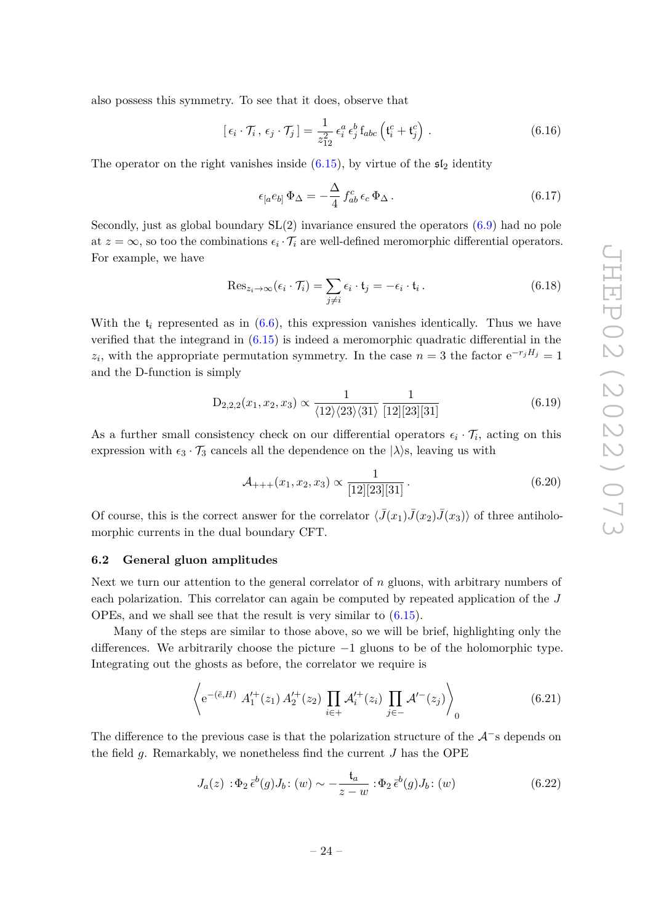also possess this symmetry. To see that it does, observe that

$$
[\epsilon_i \cdot \mathcal{T}_i, \epsilon_j \cdot \mathcal{T}_j] = \frac{1}{z_{12}^2} \epsilon_i^a \epsilon_j^b f_{abc} \left( \mathfrak{t}_i^c + \mathfrak{t}_j^c \right).
$$
 (6.16)

The operator on the right vanishes inside  $(6.15)$ , by virtue of the  $\mathfrak{sl}_2$  identity

<span id="page-24-1"></span>
$$
\epsilon_{[a}e_{b]}\Phi_{\Delta} = -\frac{\Delta}{4} f_{ab}^c \epsilon_c \Phi_{\Delta}.
$$
\n(6.17)

Secondly, just as global boundary  $SL(2)$  invariance ensured the operators  $(6.9)$  had no pole at  $z = \infty$ , so too the combinations  $\epsilon_i \cdot \mathcal{T}_i$  are well-defined meromorphic differential operators. For example, we have

$$
\operatorname{Res}_{z_i \to \infty} (\epsilon_i \cdot \mathcal{T}_i) = \sum_{j \neq i} \epsilon_i \cdot \mathfrak{t}_j = -\epsilon_i \cdot \mathfrak{t}_i. \tag{6.18}
$$

With the  $t_i$  represented as in  $(6.6)$ , this expression vanishes identically. Thus we have verified that the integrand in [\(6.15\)](#page-23-1) is indeed a meromorphic quadratic differential in the  $z_i$ , with the appropriate permutation symmetry. In the case  $n = 3$  the factor  $e^{-r_j H_j} = 1$ and the D-function is simply

$$
D_{2,2,2}(x_1, x_2, x_3) \propto \frac{1}{\langle 12 \rangle \langle 23 \rangle \langle 31 \rangle} \frac{1}{[12][23][31]}
$$
(6.19)

As a further small consistency check on our differential operators  $\epsilon_i \cdot \mathcal{T}_i$ , acting on this expression with  $\epsilon_3 \cdot \mathcal{T}_3$  cancels all the dependence on the  $|\lambda\rangle$ s, leaving us with

$$
\mathcal{A}_{+++}(x_1, x_2, x_3) \propto \frac{1}{[12][23][31]}.
$$
\n(6.20)

Of course, this is the correct answer for the correlator  $\langle \bar{J}(x_1) \bar{J}(x_2) \bar{J}(x_3) \rangle$  of three antiholomorphic currents in the dual boundary CFT.

#### <span id="page-24-0"></span>**6.2 General gluon amplitudes**

Next we turn our attention to the general correlator of *n* gluons, with arbitrary numbers of each polarization. This correlator can again be computed by repeated application of the *J* OPEs, and we shall see that the result is very similar to [\(6.15\)](#page-23-1).

Many of the steps are similar to those above, so we will be brief, highlighting only the differences. We arbitrarily choose the picture  $-1$  gluons to be of the holomorphic type. Integrating out the ghosts as before, the correlator we require is

$$
\left\langle e^{-(\tilde{e},H)} A_1^{\prime +}(z_1) A_2^{\prime +}(z_2) \prod_{i \in +} A_i^{\prime +}(z_i) \prod_{j \in -} A^{\prime -}(z_j) \right\rangle_0 \tag{6.21}
$$

The difference to the previous case is that the polarization structure of the  $\mathcal{A}^-$ s depends on the field *g*. Remarkably, we nonetheless find the current *J* has the OPE

$$
J_a(z) : \Phi_2 \bar{\epsilon}^b(g) J_b : (w) \sim -\frac{\mathfrak{t}_a}{z - w} : \Phi_2 \bar{\epsilon}^b(g) J_b : (w)
$$
 (6.22)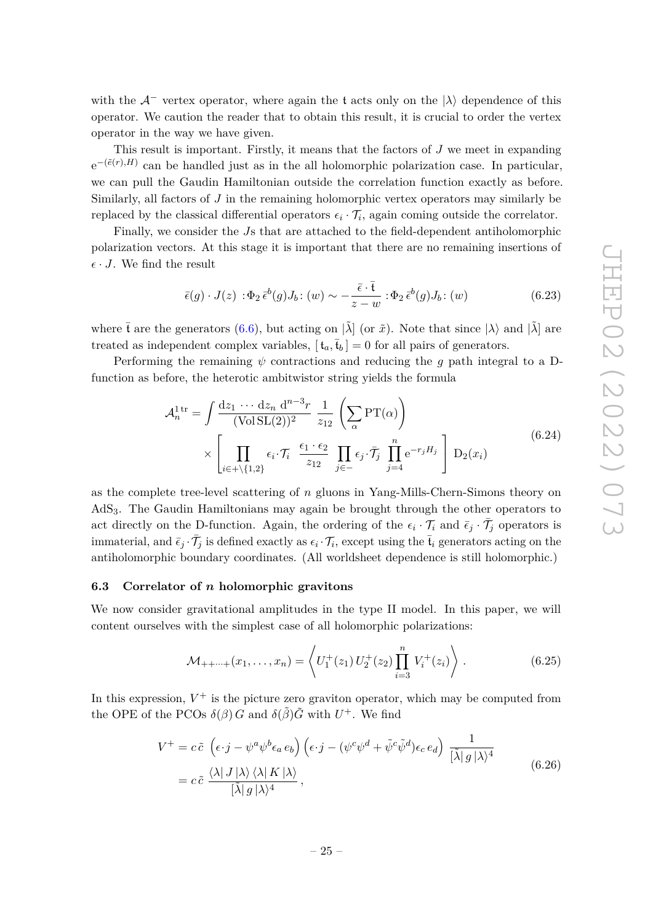with the  $A^-$  vertex operator, where again the t acts only on the  $|\lambda\rangle$  dependence of this operator. We caution the reader that to obtain this result, it is crucial to order the vertex operator in the way we have given.

This result is important. Firstly, it means that the factors of *J* we meet in expanding  $e^{-(\tilde{e}(r),H)}$  can be handled just as in the all holomorphic polarization case. In particular, we can pull the Gaudin Hamiltonian outside the correlation function exactly as before. Similarly, all factors of *J* in the remaining holomorphic vertex operators may similarly be replaced by the classical differential operators  $\epsilon_i \cdot \mathcal{T}_i$ , again coming outside the correlator.

Finally, we consider the *J*s that are attached to the field-dependent antiholomorphic polarization vectors. At this stage it is important that there are no remaining insertions of  $\epsilon \cdot J$ . We find the result

$$
\bar{\epsilon}(g) \cdot J(z) : \Phi_2 \bar{\epsilon}^b(g) J_b : (w) \sim -\frac{\bar{\epsilon} \cdot \bar{t}}{z - w} : \Phi_2 \bar{\epsilon}^b(g) J_b : (w)
$$
\n(6.23)

where  $\bar{t}$  are the generators [\(6.6\)](#page-21-2), but acting on  $|\tilde{\lambda}|$  (or  $\tilde{x}$ ). Note that since  $|\lambda\rangle$  and  $|\tilde{\lambda}|$  are treated as independent complex variables,  $[t_a, \bar{t}_b] = 0$  for all pairs of generators.

Performing the remaining  $\psi$  contractions and reducing the *g* path integral to a Dfunction as before, the heterotic ambitwistor string yields the formula

$$
\mathcal{A}_n^{\text{1tr}} = \int \frac{dz_1 \cdots dz_n \, d^{n-3}r}{(\text{Vol} \, \text{SL}(2))^2} \, \frac{1}{z_{12}} \left( \sum_{\alpha} \text{PT}(\alpha) \right) \times \left[ \prod_{i \in + \setminus \{1,2\}} \epsilon_i \cdot \mathcal{T}_i \, \frac{\epsilon_1 \cdot \epsilon_2}{z_{12}} \prod_{j \in -} \epsilon_j \cdot \bar{\mathcal{T}}_j \, \prod_{j=4}^n e^{-r_j H_j} \right] D_2(x_i)
$$
\n(6.24)

as the complete tree-level scattering of *n* gluons in Yang-Mills-Chern-Simons theory on AdS3. The Gaudin Hamiltonians may again be brought through the other operators to act directly on the D-function. Again, the ordering of the  $\epsilon_i \cdot \mathcal{T}_i$  and  $\bar{\epsilon}_j \cdot \bar{\mathcal{T}}_j$  operators is immaterial, and  $\bar{\epsilon}_j \cdot \bar{\mathcal{T}}_j$  is defined exactly as  $\epsilon_i \cdot \mathcal{T}_i$ , except using the  $\bar{\mathfrak{t}}_i$  generators acting on the antiholomorphic boundary coordinates. (All worldsheet dependence is still holomorphic.)

#### <span id="page-25-0"></span>**6.3 Correlator of** *n* **holomorphic gravitons**

We now consider gravitational amplitudes in the type II model. In this paper, we will content ourselves with the simplest case of all holomorphic polarizations:

$$
\mathcal{M}_{++\cdots+}(x_1,\ldots,x_n) = \left\langle U_1^+(z_1) \, U_2^+(z_2) \prod_{i=3}^n V_i^+(z_i) \right\rangle. \tag{6.25}
$$

In this expression,  $V^+$  is the picture zero graviton operator, which may be computed from the OPE of the PCOs  $\delta(\beta)$  *G* and  $\delta(\tilde{\beta})$ *G* with  $U^+$ . We find

$$
V^{+} = c \tilde{c} \left( \epsilon \cdot j - \psi^{a} \psi^{b} \epsilon_{a} e_{b} \right) \left( \epsilon \cdot j - (\psi^{c} \psi^{d} + \tilde{\psi}^{c} \tilde{\psi}^{d}) \epsilon_{c} e_{d} \right) \frac{1}{[\tilde{\lambda} | g | \lambda \rangle^{4}}
$$
  
=  $c \tilde{c} \frac{\langle \lambda | J | \lambda \rangle \langle \lambda | K | \lambda \rangle}{[\tilde{\lambda} | g | \lambda \rangle^{4}},$  (6.26)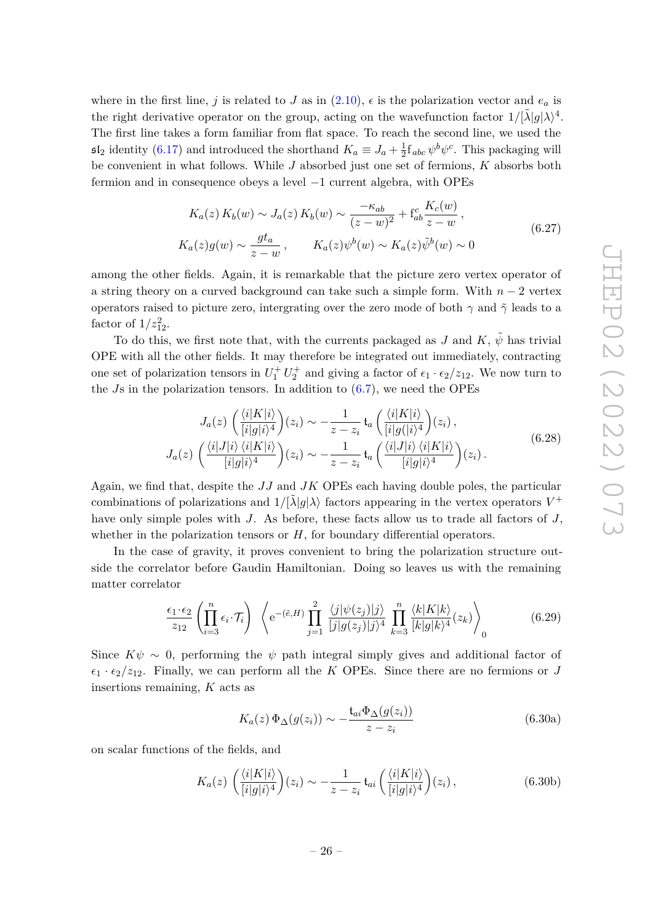where in the first line, *j* is related to *J* as in  $(2.10)$ ,  $\epsilon$  is the polarization vector and  $e_a$  is the right derivative operator on the group, acting on the wavefunction factor  $1/[\tilde{\lambda}|g|\lambda)^4$ . The first line takes a form familiar from flat space. To reach the second line, we used the  $5I_2$  identity [\(6.17\)](#page-24-1) and introduced the shorthand  $K_a \equiv J_a + \frac{1}{2}$  $\frac{1}{2} f_{abc} \psi^b \psi^c$ . This packaging will be convenient in what follows. While *J* absorbed just one set of fermions, *K* absorbs both fermion and in consequence obeys a level −1 current algebra, with OPEs

$$
K_a(z) K_b(w) \sim J_a(z) K_b(w) \sim \frac{-\kappa_{ab}}{(z-w)^2} + \mathbf{f}_{ab}^c \frac{K_c(w)}{z-w},
$$
  
\n
$$
K_a(z)g(w) \sim \frac{gt_a}{z-w}, \qquad K_a(z)\psi^b(w) \sim K_a(z)\tilde{\psi}^b(w) \sim 0
$$
\n(6.27)

among the other fields. Again, it is remarkable that the picture zero vertex operator of a string theory on a curved background can take such a simple form. With *n* − 2 vertex operators raised to picture zero, intergrating over the zero mode of both *γ* and *γ*˜ leads to a factor of  $1/z_{12}^2$ .

To do this, we first note that, with the currents packaged as *J* and *K*,  $\tilde{\psi}$  has trivial OPE with all the other fields. It may therefore be integrated out immediately, contracting one set of polarization tensors in  $U_1^+ U_2^+$  and giving a factor of  $\epsilon_1 \cdot \epsilon_2/z_{12}$ . We now turn to the *J*s in the polarization tensors. In addition to [\(6.7\)](#page-21-3), we need the OPEs

$$
J_a(z) \left( \frac{\langle i|K|i\rangle}{[i|g|i\rangle^4} \right) (z_i) \sim -\frac{1}{z - z_i} t_a \left( \frac{\langle i|K|i\rangle}{[i|g(|i\rangle^4)} (z_i) \right),
$$
  

$$
J_a(z) \left( \frac{\langle i|J|i\rangle \langle i|K|i\rangle}{[i|g|i\rangle^4} \right) (z_i) \sim -\frac{1}{z - z_i} t_a \left( \frac{\langle i|J|i\rangle \langle i|K|i\rangle}{[i|g|i\rangle^4} \right) (z_i).
$$
 (6.28)

Again, we find that, despite the *JJ* and *JK* OPEs each having double poles, the particular combinations of polarizations and  $1/[\tilde{\lambda}|g|\lambda\rangle$  factors appearing in the vertex operators  $V^+$ have only simple poles with *J*. As before, these facts allow us to trade all factors of *J*, whether in the polarization tensors or  $H$ , for boundary differential operators.

In the case of gravity, it proves convenient to bring the polarization structure outside the correlator before Gaudin Hamiltonian. Doing so leaves us with the remaining matter correlator

$$
\frac{\epsilon_1 \cdot \epsilon_2}{z_{12}} \left( \prod_{i=3}^n \epsilon_i \cdot \mathcal{T}_i \right) \left\langle e^{-(\tilde{e},H)} \prod_{j=1}^2 \frac{\langle j | \psi(z_j) | j \rangle}{[j | g(z_j) | j \rangle^4} \prod_{k=3}^n \frac{\langle k | K | k \rangle}{[k | g | k \rangle^4} (z_k) \right\rangle_0 \tag{6.29}
$$

Since  $K\psi \sim 0$ , performing the  $\psi$  path integral simply gives and additional factor of  $\epsilon_1 \cdot \epsilon_2/z_{12}$ . Finally, we can perform all the *K* OPEs. Since there are no fermions or *J* insertions remaining, *K* acts as

$$
K_a(z)\,\Phi_\Delta(g(z_i)) \sim -\frac{\mathfrak{t}_{ai}\Phi_\Delta(g(z_i))}{z-z_i} \tag{6.30a}
$$

on scalar functions of the fields, and

$$
K_a(z) \left( \frac{\langle i|K|i\rangle}{[i|g|i\rangle^4} \right) (z_i) \sim -\frac{1}{z - z_i} \mathfrak{t}_{ai} \left( \frac{\langle i|K|i\rangle}{[i|g|i\rangle^4} \right) (z_i), \tag{6.30b}
$$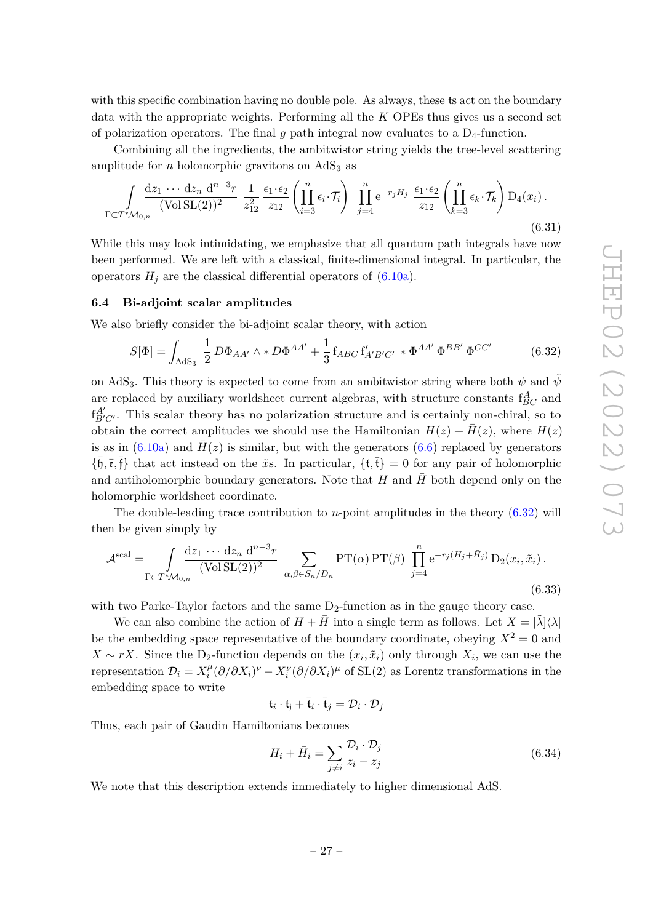with this specific combination having no double pole. As always, these ts act on the boundary data with the appropriate weights. Performing all the *K* OPEs thus gives us a second set of polarization operators. The final  $g$  path integral now evaluates to a  $D_4$ -function.

Combining all the ingredients, the ambitwistor string yields the tree-level scattering amplitude for *n* holomorphic gravitons on  $AdS<sub>3</sub>$  as

<span id="page-27-2"></span>
$$
\int_{\Gamma \subset T^*\mathcal{M}_{0,n}} \frac{\mathrm{d}z_1 \cdots \mathrm{d}z_n \, \mathrm{d}^{n-3}r}{(\text{Vol } \mathrm{SL}(2))^2} \; \frac{1}{z_{12}^2} \frac{\epsilon_1 \cdot \epsilon_2}{z_{12}} \left( \prod_{i=3}^n \epsilon_i \cdot \mathcal{T}_i \right) \; \prod_{j=4}^n \mathrm{e}^{-r_j H_j} \; \frac{\epsilon_1 \cdot \epsilon_2}{z_{12}} \left( \prod_{k=3}^n \epsilon_k \cdot \mathcal{T}_k \right) \mathrm{D}_4(x_i) \,. \tag{6.31}
$$

While this may look intimidating, we emphasize that all quantum path integrals have now been performed. We are left with a classical, finite-dimensional integral. In particular, the operators  $H_j$  are the classical differential operators of  $(6.10a)$ .

#### <span id="page-27-0"></span>**6.4 Bi-adjoint scalar amplitudes**

We also briefly consider the bi-adjoint scalar theory, with action

<span id="page-27-1"></span>
$$
S[\Phi] = \int_{\text{AdS}_3} \frac{1}{2} D\Phi_{AA'} \wedge * D\Phi^{AA'} + \frac{1}{3} f_{ABC} f'_{A'B'C'} * \Phi^{AA'} \Phi^{BB'} \Phi^{CC'} \tag{6.32}
$$

on AdS<sub>3</sub>. This theory is expected to come from an ambitwistor string where both  $\psi$  and  $\tilde{\psi}$ are replaced by auxiliary worldsheet current algebras, with structure constants  $f_{BC}^A$  and  $f_{B'C'}^{A'}$ . This scalar theory has no polarization structure and is certainly non-chiral, so to obtain the correct amplitudes we should use the Hamiltonian  $H(z) + \bar{H}(z)$ , where  $H(z)$ is as in  $(6.10a)$  and  $H(z)$  is similar, but with the generators  $(6.6)$  replaced by generators  ${\{\overline{\mathfrak{h}}, \overline{\mathfrak{e}}, \overline{\mathfrak{f}}\}}$  that act instead on the  $\tilde{x}$ s. In particular,  ${\{\overline{\mathfrak{t}}, \overline{\mathfrak{t}}\}} = 0$  for any pair of holomorphic and antiholomorphic boundary generators. Note that  $H$  and  $H$  both depend only on the holomorphic worldsheet coordinate.

The double-leading trace contribution to *n*-point amplitudes in the theory [\(6.32\)](#page-27-1) will then be given simply by

$$
\mathcal{A}^{\text{scal}} = \int_{\Gamma \subset T^* \mathcal{M}_{0,n}} \frac{\mathrm{d}z_1 \cdots \mathrm{d}z_n \, \mathrm{d}^{n-3}r}{(\text{Vol } \text{SL}(2))^2} \sum_{\alpha,\beta \in S_n/D_n} \text{PT}(\alpha) \, \text{PT}(\beta) \, \prod_{j=4}^n e^{-r_j (H_j + \bar{H}_j)} \, \text{D}_2(x_i, \tilde{x}_i) \,. \tag{6.33}
$$

with two Parke-Taylor factors and the same  $D_2$ -function as in the gauge theory case.

We can also combine the action of  $H + \overline{H}$  into a single term as follows. Let  $X = |\tilde{\lambda}| \langle \lambda |$ be the embedding space representative of the boundary coordinate, obeying  $X^2 = 0$  and *X* ∼ *rX*. Since the D<sub>2</sub>-function depends on the  $(x_i, \tilde{x}_i)$  only through  $X_i$ , we can use the representation  $\mathcal{D}_i = X_i^{\mu}$ *i*<sup>*µ</sup>*</sup>( $\partial/\partial X_i$ )<sup>*v*</sup> −  $X_i^{\nu}(\partial/\partial X_i)^{\mu}$  of SL(2) as Lorentz transformations in the embedding space to write

$$
\mathfrak{t}_i \cdot \mathfrak{t}_j + \bar{\mathfrak{t}}_i \cdot \bar{\mathfrak{t}}_j = \mathcal{D}_i \cdot \mathcal{D}_j
$$

Thus, each pair of Gaudin Hamiltonians becomes

$$
H_i + \bar{H}_i = \sum_{j \neq i} \frac{\mathcal{D}_i \cdot \mathcal{D}_j}{z_i - z_j} \tag{6.34}
$$

We note that this description extends immediately to higher dimensional AdS.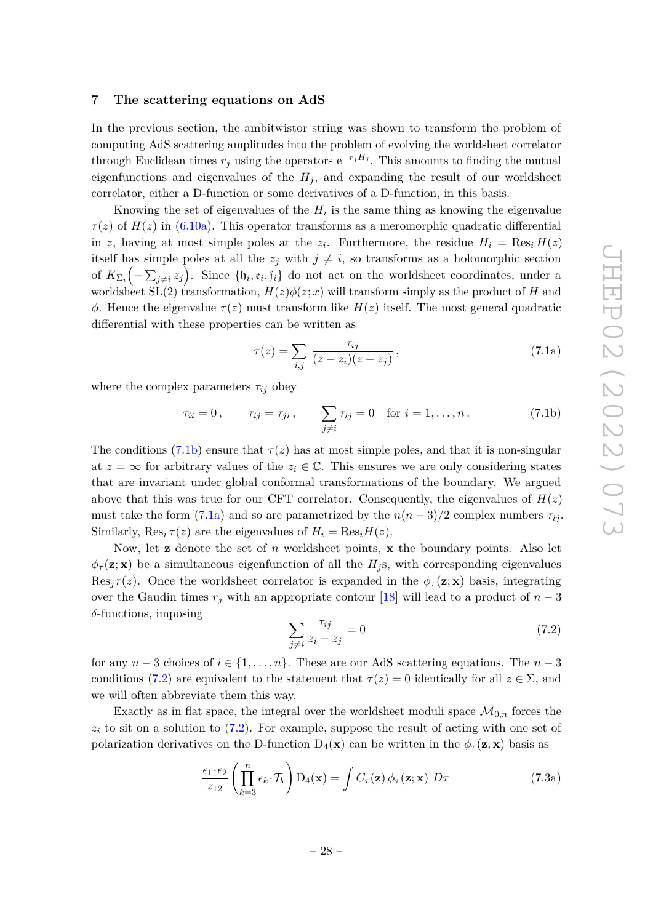## <span id="page-28-0"></span>**7 The scattering equations on AdS**

In the previous section, the ambitwistor string was shown to transform the problem of computing AdS scattering amplitudes into the problem of evolving the worldsheet correlator through Euclidean times  $r_j$  using the operators  $e^{-r_jH_j}$ . This amounts to finding the mutual eigenfunctions and eigenvalues of the  $H_j$ , and expanding the result of our worldsheet correlator, either a D-function or some derivatives of a D-function, in this basis.

Knowing the set of eigenvalues of the  $H_i$  is the same thing as knowing the eigenvalue  $\tau(z)$  of  $H(z)$  in [\(6.10a\)](#page-22-3). This operator transforms as a meromorphic quadratic differential in *z*, having at most simple poles at the  $z_i$ . Furthermore, the residue  $H_i = \text{Res}_i H(z)$ itself has simple poles at all the  $z_j$  with  $j \neq i$ , so transforms as a holomorphic section of  $K_{\Sigma_i}(-\sum_{j\neq i}z_j)$ . Since  $\{\mathfrak{h}_i,\mathfrak{e}_i,\mathfrak{f}_i\}$  do not act on the worldsheet coordinates, under a worldsheet  $SL(2)$  transformation,  $H(z)\phi(z;x)$  will transform simply as the product of *H* and *φ*. Hence the eigenvalue *τ* (*z*) must transform like *H*(*z*) itself. The most general quadratic differential with these properties can be written as

<span id="page-28-2"></span>
$$
\tau(z) = \sum_{i,j} \frac{\tau_{ij}}{(z - z_i)(z - z_j)},\tag{7.1a}
$$

where the complex parameters  $\tau_{ij}$  obey

<span id="page-28-1"></span>
$$
\tau_{ii} = 0, \qquad \tau_{ij} = \tau_{ji}, \qquad \sum_{j \neq i} \tau_{ij} = 0 \quad \text{for } i = 1, ..., n. \tag{7.1b}
$$

The conditions [\(7.1b\)](#page-28-1) ensure that  $\tau(z)$  has at most simple poles, and that it is non-singular at  $z = \infty$  for arbitrary values of the  $z_i \in \mathbb{C}$ . This ensures we are only considering states that are invariant under global conformal transformations of the boundary. We argued above that this was true for our CFT correlator. Consequently, the eigenvalues of  $H(z)$ must take the form [\(7.1a\)](#page-28-2) and so are parametrized by the  $n(n-3)/2$  complex numbers  $\tau_{ij}$ . Similarly,  $\text{Res}_{i} \tau(z)$  are the eigenvalues of  $H_i = \text{Res}_{i} H(z)$ .

Now, let **z** denote the set of *n* worldsheet points, **x** the boundary points. Also let  $\phi_{\tau}(\mathbf{z}; \mathbf{x})$  be a simultaneous eigenfunction of all the  $H_i$ <sup>s</sup>, with corresponding eigenvalues Res<sub>*i*</sub> $\tau(z)$ . Once the worldsheet correlator is expanded in the  $\phi_{\tau}(z; x)$  basis, integrating over the Gaudin times  $r_j$  with an appropriate contour [\[18\]](#page-36-0) will lead to a product of  $n-3$ *δ*-functions, imposing

<span id="page-28-3"></span>
$$
\sum_{j \neq i} \frac{\tau_{ij}}{z_i - z_j} = 0 \tag{7.2}
$$

for any  $n-3$  choices of  $i \in \{1, \ldots, n\}$ . These are our AdS scattering equations. The  $n-3$ conditions [\(7.2\)](#page-28-3) are equivalent to the statement that  $\tau(z) = 0$  identically for all  $z \in \Sigma$ , and we will often abbreviate them this way.

Exactly as in flat space, the integral over the worldsheet moduli space  $\mathcal{M}_{0,n}$  forces the  $z_i$  to sit on a solution to  $(7.2)$ . For example, suppose the result of acting with one set of polarization derivatives on the D-function  $D_4(\mathbf{x})$  can be written in the  $\phi_\tau(\mathbf{z}; \mathbf{x})$  basis as

<span id="page-28-4"></span>
$$
\frac{\epsilon_1 \cdot \epsilon_2}{z_{12}} \left( \prod_{k=3}^n \epsilon_k \cdot \mathcal{T}_k \right) D_4(\mathbf{x}) = \int C_\tau(\mathbf{z}) \phi_\tau(\mathbf{z}; \mathbf{x}) \ D\tau \tag{7.3a}
$$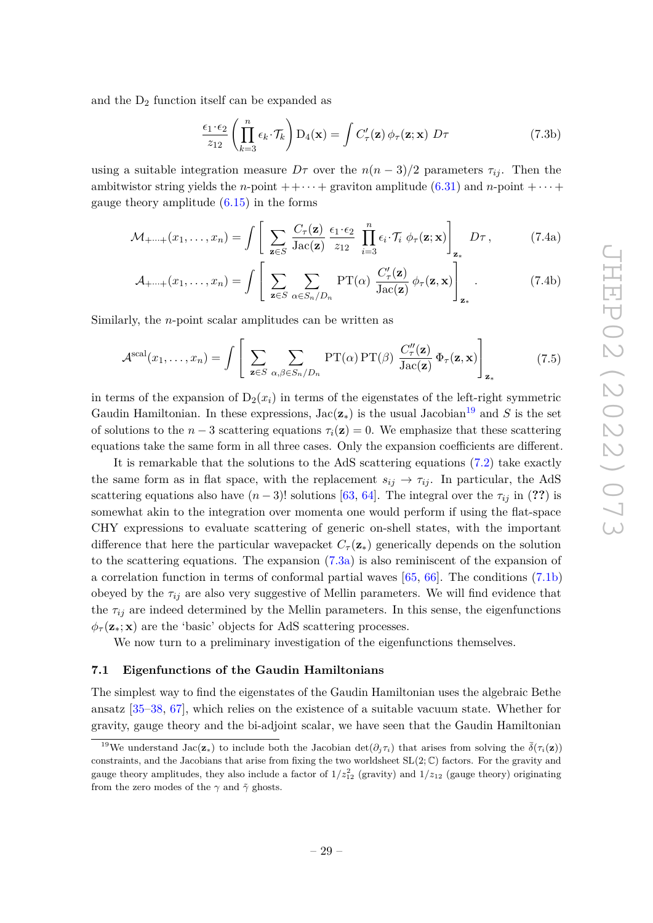and the  $D_2$  function itself can be expanded as

<span id="page-29-3"></span><span id="page-29-2"></span>
$$
\frac{\epsilon_1 \cdot \epsilon_2}{z_{12}} \left( \prod_{k=3}^n \epsilon_k \cdot \mathcal{T}_k \right) D_4(\mathbf{x}) = \int C'_\tau(\mathbf{z}) \phi_\tau(\mathbf{z}; \mathbf{x}) \ D\tau \tag{7.3b}
$$

using a suitable integration measure  $D\tau$  over the  $n(n-3)/2$  parameters  $\tau_{ij}$ . Then the ambitwistor string yields the *n*-point  $++\cdots+$  graviton amplitude [\(6.31\)](#page-27-2) and *n*-point  $+\cdots+$ gauge theory amplitude  $(6.15)$  in the forms

$$
\mathcal{M}_{+\cdots+}(x_1,\ldots,x_n) = \int \left[ \sum_{\mathbf{z}\in S} \frac{C_{\tau}(\mathbf{z})}{\mathrm{Jac}(\mathbf{z})} \frac{\epsilon_1 \cdot \epsilon_2}{z_{12}} \prod_{i=3}^n \epsilon_i \cdot \mathcal{T}_i \phi_{\tau}(\mathbf{z}; \mathbf{x}) \right]_{\mathbf{z}_*} D\tau, \qquad (7.4a)
$$

$$
\mathcal{A}_{+\cdots+}(x_1,\ldots,x_n) = \int \left[ \sum_{\mathbf{z}\in S} \sum_{\alpha \in S_n/D_n} \mathrm{PT}(\alpha) \frac{C_{\tau}'(\mathbf{z})}{\mathrm{Jac}(\mathbf{z})} \phi_{\tau}(\mathbf{z},\mathbf{x}) \right]_{\mathbf{z}_{*}} . \tag{7.4b}
$$

Similarly, the *n*-point scalar amplitudes can be written as

$$
\mathcal{A}^{\text{scal}}(x_1,\ldots,x_n) = \int \left[ \sum_{\mathbf{z}\in S} \sum_{\alpha,\beta\in S_n/D_n} \text{PT}(\alpha) \text{PT}(\beta) \frac{C_{\tau}''(\mathbf{z})}{\text{Jac}(\mathbf{z})} \Phi_{\tau}(\mathbf{z},\mathbf{x}) \right]_{\mathbf{z}_{*}} \tag{7.5}
$$

in terms of the expansion of  $D_2(x_i)$  in terms of the eigenstates of the left-right symmetric Gaudin Hamiltonian. In these expressions,  $Jac(\mathbf{z}_*)$  is the usual Jacobian<sup>[19](#page-29-1)</sup> and *S* is the set of solutions to the  $n-3$  scattering equations  $\tau_i(\mathbf{z}) = 0$ . We emphasize that these scattering equations take the same form in all three cases. Only the expansion coefficients are different.

It is remarkable that the solutions to the AdS scattering equations [\(7.2\)](#page-28-3) take exactly the same form as in flat space, with the replacement  $s_{ij} \rightarrow \tau_{ij}$ . In particular, the AdS scattering equations also have  $(n-3)!$  solutions [\[63,](#page-38-3) [64\]](#page-38-4). The integral over the  $\tau_{ij}$  in (??) is somewhat akin to the integration over momenta one would perform if using the flat-space CHY expressions to evaluate scattering of generic on-shell states, with the important difference that here the particular wavepacket  $C_{\tau}(\mathbf{z}_{*})$  generically depends on the solution to the scattering equations. The expansion [\(7.3a\)](#page-28-4) is also reminiscent of the expansion of a correlation function in terms of conformal partial waves [\[65,](#page-38-5) [66\]](#page-38-6). The conditions [\(7.1b\)](#page-28-1) obeyed by the  $\tau_{ij}$  are also very suggestive of Mellin parameters. We will find evidence that the  $\tau_{ij}$  are indeed determined by the Mellin parameters. In this sense, the eigenfunctions  $\phi_{\tau}(\mathbf{z}_*; \mathbf{x})$  are the 'basic' objects for AdS scattering processes.

We now turn to a preliminary investigation of the eigenfunctions themselves.

#### <span id="page-29-0"></span>**7.1 Eigenfunctions of the Gaudin Hamiltonians**

The simplest way to find the eigenstates of the Gaudin Hamiltonian uses the algebraic Bethe ansatz [\[35](#page-36-15)[–38,](#page-36-17) [67\]](#page-38-7), which relies on the existence of a suitable vacuum state. Whether for gravity, gauge theory and the bi-adjoint scalar, we have seen that the Gaudin Hamiltonian

<span id="page-29-1"></span><sup>&</sup>lt;sup>19</sup>We understand Jac( $z_*$ ) to include both the Jacobian det( $\partial_i \tau_i$ ) that arises from solving the  $\bar{\delta}(\tau_i(z))$ constraints, and the Jacobians that arise from fixing the two worldsheet  $SL(2;\mathbb{C})$  factors. For the gravity and gauge theory amplitudes, they also include a factor of  $1/z_{12}^2$  (gravity) and  $1/z_{12}$  (gauge theory) originating from the zero modes of the  $\gamma$  and  $\tilde{\gamma}$  ghosts.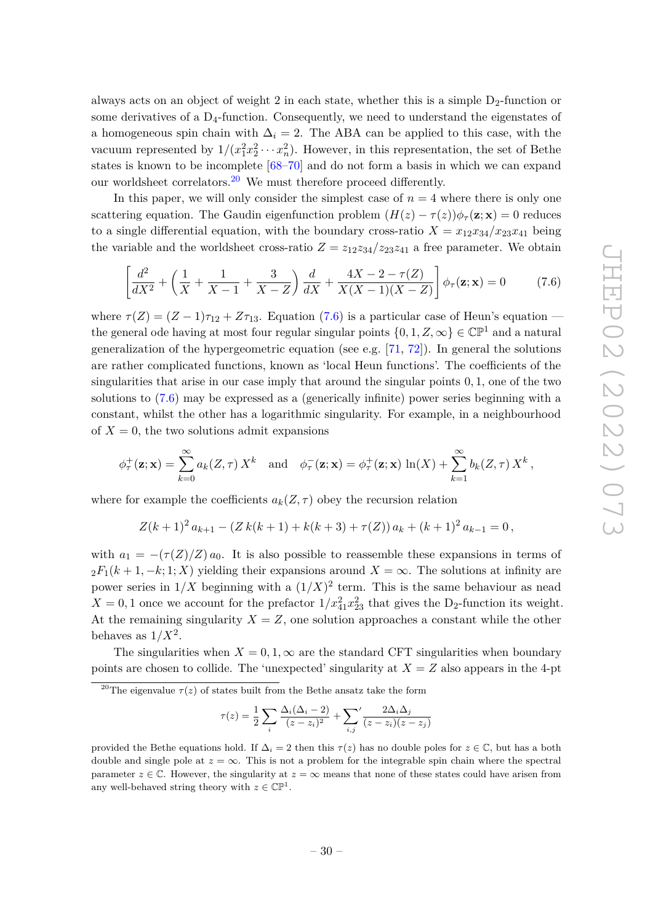always acts on an object of weight 2 in each state, whether this is a simple  $D_2$ -function or some derivatives of a  $D_4$ -function. Consequently, we need to understand the eigenstates of a homogeneous spin chain with  $\Delta_i = 2$ . The ABA can be applied to this case, with the vacuum represented by  $1/(x_1^2x_2^2 \cdots x_n^2)$ . However, in this representation, the set of Bethe states is known to be incomplete [\[68–](#page-38-8)[70\]](#page-38-9) and do not form a basis in which we can expand our worldsheet correlators.<sup>[20](#page-30-0)</sup> We must therefore proceed differently.

In this paper, we will only consider the simplest case of  $n = 4$  where there is only one scattering equation. The Gaudin eigenfunction problem  $(H(z) - \tau(z))\phi_\tau(\mathbf{z}; \mathbf{x}) = 0$  reduces to a single differential equation, with the boundary cross-ratio  $X = x_{12}x_{34}/x_{23}x_{41}$  being the variable and the worldsheet cross-ratio  $Z = z_{12}z_{34}/z_{23}z_{41}$  a free parameter. We obtain

<span id="page-30-1"></span>
$$
\left[\frac{d^2}{dX^2} + \left(\frac{1}{X} + \frac{1}{X-1} + \frac{3}{X-Z}\right)\frac{d}{dX} + \frac{4X-2-\tau(Z)}{X(X-1)(X-Z)}\right]\phi_\tau(\mathbf{z}; \mathbf{x}) = 0 \tag{7.6}
$$

where  $\tau(Z) = (Z - 1)\tau_{12} + Z\tau_{13}$ . Equation [\(7.6\)](#page-30-1) is a particular case of Heun's equation the general ode having at most four regular singular points  $\{0, 1, Z, \infty\} \in \mathbb{CP}^1$  and a natural generalization of the hypergeometric equation (see e.g.  $[71, 72]$  $[71, 72]$  $[71, 72]$ ). In general the solutions are rather complicated functions, known as 'local Heun functions'. The coefficients of the singularities that arise in our case imply that around the singular points 0*,* 1, one of the two solutions to [\(7.6\)](#page-30-1) may be expressed as a (generically infinite) power series beginning with a constant, whilst the other has a logarithmic singularity. For example, in a neighbourhood of  $X = 0$ , the two solutions admit expansions

$$
\phi_{\tau}^{+}(\mathbf{z}; \mathbf{x}) = \sum_{k=0}^{\infty} a_{k}(Z, \tau) X^{k} \quad \text{and} \quad \phi_{\tau}^{-}(\mathbf{z}; \mathbf{x}) = \phi_{\tau}^{+}(\mathbf{z}; \mathbf{x}) \ln(X) + \sum_{k=1}^{\infty} b_{k}(Z, \tau) X^{k},
$$

where for example the coefficients  $a_k(Z,\tau)$  obey the recursion relation

$$
Z(k + 1)^{2} a_{k+1} - (Z k(k + 1) + k(k + 3) + \tau(Z)) a_{k} + (k + 1)^{2} a_{k-1} = 0,
$$

with  $a_1 = -(\tau(Z)/Z) a_0$ . It is also possible to reassemble these expansions in terms of  $2F_1(k+1,-k;1;X)$  yielding their expansions around  $X = \infty$ . The solutions at infinity are power series in  $1/X$  beginning with a  $(1/X)^2$  term. This is the same behaviour as nead  $X = 0, 1$  once we account for the prefactor  $1/x_{41}^2 x_{23}^2$  that gives the D<sub>2</sub>-function its weight. At the remaining singularity  $X = Z$ , one solution approaches a constant while the other behaves as  $1/X^2$ .

The singularities when  $X = 0, 1, \infty$  are the standard CFT singularities when boundary points are chosen to collide. The 'unexpected' singularity at  $X = Z$  also appears in the 4-pt

$$
\tau(z) = \frac{1}{2} \sum_i \frac{\Delta_i(\Delta_i - 2)}{(z - z_i)^2} + \sum_{i,j} \frac{2\Delta_i\Delta_j}{(z - z_i)(z - z_j)}
$$

<span id="page-30-0"></span><sup>&</sup>lt;sup>20</sup>The eigenvalue  $\tau(z)$  of states built from the Bethe ansatz take the form

provided the Bethe equations hold. If  $\Delta_i = 2$  then this  $\tau(z)$  has no double poles for  $z \in \mathbb{C}$ , but has a both double and single pole at  $z = \infty$ . This is not a problem for the integrable spin chain where the spectral parameter  $z \in \mathbb{C}$ . However, the singularity at  $z = \infty$  means that none of these states could have arisen from any well-behaved string theory with  $z \in \mathbb{CP}^1$ .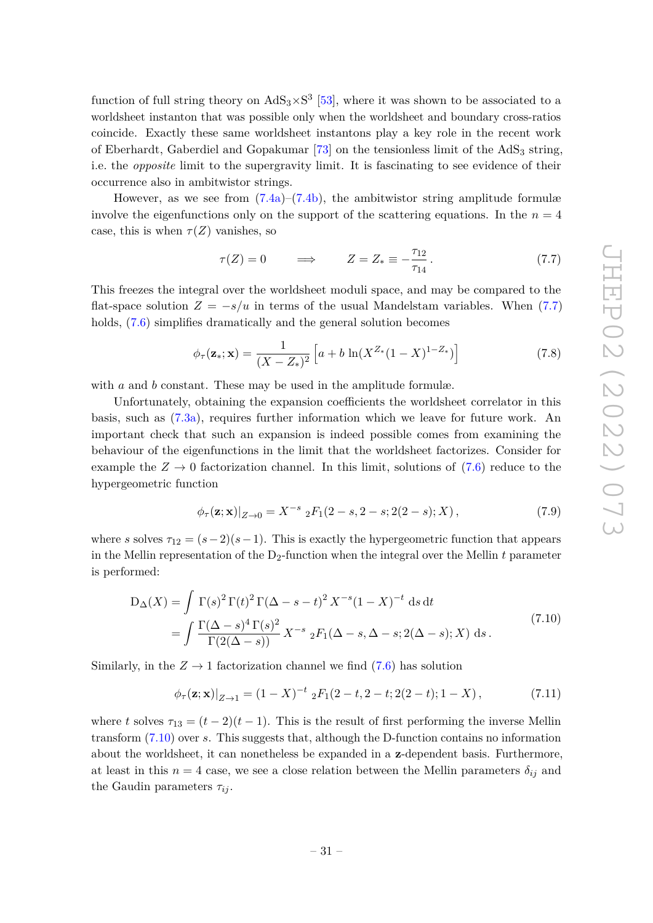function of full string theory on  $AdS_3 \times S^3$  [\[53\]](#page-37-15), where it was shown to be associated to a worldsheet instanton that was possible only when the worldsheet and boundary cross-ratios coincide. Exactly these same worldsheet instantons play a key role in the recent work of Eberhardt, Gaberdiel and Gopakumar  $[73]$  on the tensionless limit of the  $AdS<sub>3</sub>$  string, i.e. the *opposite* limit to the supergravity limit. It is fascinating to see evidence of their occurrence also in ambitwistor strings.

However, as we see from  $(7.4a)$ – $(7.4b)$ , the ambitwistor string amplitude formulæ involve the eigenfunctions only on the support of the scattering equations. In the  $n = 4$ case, this is when  $\tau(Z)$  vanishes, so

<span id="page-31-0"></span>
$$
\tau(Z) = 0 \qquad \Longrightarrow \qquad Z = Z_* \equiv -\frac{\tau_{12}}{\tau_{14}} \,. \tag{7.7}
$$

This freezes the integral over the worldsheet moduli space, and may be compared to the flat-space solution  $Z = -s/u$  in terms of the usual Mandelstam variables. When [\(7.7\)](#page-31-0) holds,  $(7.6)$  simplifies dramatically and the general solution becomes

$$
\phi_{\tau}(\mathbf{z}_{*}; \mathbf{x}) = \frac{1}{(X - Z_{*})^{2}} \left[ a + b \ln(X^{Z_{*}}(1 - X)^{1 - Z_{*}}) \right]
$$
(7.8)

with *a* and *b* constant. These may be used in the amplitude formulæ.

Unfortunately, obtaining the expansion coefficients the worldsheet correlator in this basis, such as [\(7.3a\)](#page-28-4), requires further information which we leave for future work. An important check that such an expansion is indeed possible comes from examining the behaviour of the eigenfunctions in the limit that the worldsheet factorizes. Consider for example the  $Z \to 0$  factorization channel. In this limit, solutions of [\(7.6\)](#page-30-1) reduce to the hypergeometric function

$$
\phi_{\tau}(\mathbf{z}; \mathbf{x})|_{Z \to 0} = X^{-s} {}_{2}F_{1}(2-s, 2-s; 2(2-s); X), \qquad (7.9)
$$

where *s* solves  $\tau_{12} = (s-2)(s-1)$ . This is exactly the hypergeometric function that appears in the Mellin representation of the  $D_2$ -function when the integral over the Mellin  $t$  parameter is performed:

<span id="page-31-1"></span>
$$
D_{\Delta}(X) = \int \Gamma(s)^{2} \Gamma(t)^{2} \Gamma(\Delta - s - t)^{2} X^{-s} (1 - X)^{-t} ds dt
$$
  
= 
$$
\int \frac{\Gamma(\Delta - s)^{4} \Gamma(s)^{2}}{\Gamma(2(\Delta - s))} X^{-s} {}_{2}F_{1}(\Delta - s, \Delta - s; 2(\Delta - s); X) ds.
$$
 (7.10)

Similarly, in the  $Z \rightarrow 1$  factorization channel we find [\(7.6\)](#page-30-1) has solution

$$
\phi_{\tau}(\mathbf{z}; \mathbf{x})|_{Z \to 1} = (1 - X)^{-t} {}_{2}F_{1}(2 - t, 2 - t; 2(2 - t); 1 - X), \tag{7.11}
$$

where *t* solves  $\tau_{13} = (t-2)(t-1)$ . This is the result of first performing the inverse Mellin transform [\(7.10\)](#page-31-1) over *s*. This suggests that, although the D-function contains no information about the worldsheet, it can nonetheless be expanded in a **z**-dependent basis. Furthermore, at least in this  $n = 4$  case, we see a close relation between the Mellin parameters  $\delta_{ij}$  and the Gaudin parameters  $\tau_{ij}$ .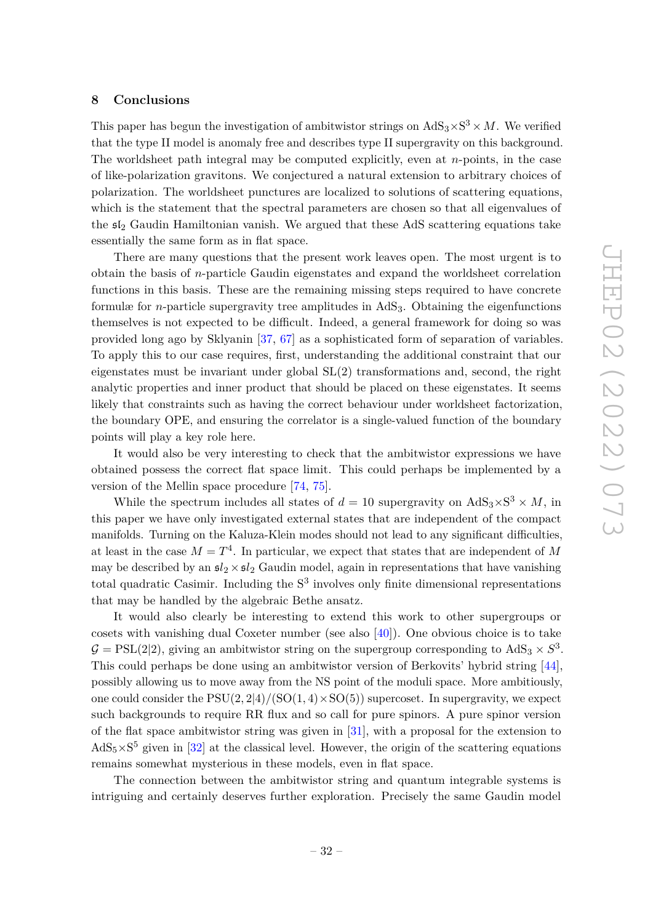#### <span id="page-32-0"></span>**8 Conclusions**

This paper has begun the investigation of ambitwistor strings on  $AdS_3 \times S^3 \times M$ . We verified that the type II model is anomaly free and describes type II supergravity on this background. The worldsheet path integral may be computed explicitly, even at *n*-points, in the case of like-polarization gravitons. We conjectured a natural extension to arbitrary choices of polarization. The worldsheet punctures are localized to solutions of scattering equations, which is the statement that the spectral parameters are chosen so that all eigenvalues of the sl<sup>2</sup> Gaudin Hamiltonian vanish. We argued that these AdS scattering equations take essentially the same form as in flat space.

There are many questions that the present work leaves open. The most urgent is to obtain the basis of *n*-particle Gaudin eigenstates and expand the worldsheet correlation functions in this basis. These are the remaining missing steps required to have concrete formulæ for *n*-particle supergravity tree amplitudes in AdS3. Obtaining the eigenfunctions themselves is not expected to be difficult. Indeed, a general framework for doing so was provided long ago by Sklyanin [\[37,](#page-36-16) [67\]](#page-38-7) as a sophisticated form of separation of variables. To apply this to our case requires, first, understanding the additional constraint that our eigenstates must be invariant under global  $SL(2)$  transformations and, second, the right analytic properties and inner product that should be placed on these eigenstates. It seems likely that constraints such as having the correct behaviour under worldsheet factorization, the boundary OPE, and ensuring the correlator is a single-valued function of the boundary points will play a key role here.

It would also be very interesting to check that the ambitwistor expressions we have obtained possess the correct flat space limit. This could perhaps be implemented by a version of the Mellin space procedure [\[74,](#page-38-13) [75\]](#page-38-14).

While the spectrum includes all states of  $d = 10$  supergravity on  $AdS_3 \times S^3 \times M$ , in this paper we have only investigated external states that are independent of the compact manifolds. Turning on the Kaluza-Klein modes should not lead to any significant difficulties, at least in the case  $M = T<sup>4</sup>$ . In particular, we expect that states that are independent of M may be described by an  $\mathfrak{sl}_2 \times \mathfrak{sl}_2$  Gaudin model, again in representations that have vanishing total quadratic Casimir. Including the  $S<sup>3</sup>$  involves only finite dimensional representations that may be handled by the algebraic Bethe ansatz.

It would also clearly be interesting to extend this work to other supergroups or cosets with vanishing dual Coxeter number (see also  $[40]$ ). One obvious choice is to take  $G = \text{PSL}(2|2)$ , giving an ambitwistor string on the supergroup corresponding to  $\text{AdS}_3 \times S^3$ . This could perhaps be done using an ambitwistor version of Berkovits' hybrid string [\[44\]](#page-37-5), possibly allowing us to move away from the NS point of the moduli space. More ambitiously, one could consider the  $PSU(2, 2|4)/(SO(1, 4) \times SO(5))$  supercoset. In supergravity, we expect such backgrounds to require RR flux and so call for pure spinors. A pure spinor version of the flat space ambitwistor string was given in [\[31\]](#page-36-13), with a proposal for the extension to  $AdS_5\times S^5$  given in [\[32\]](#page-36-18) at the classical level. However, the origin of the scattering equations remains somewhat mysterious in these models, even in flat space.

The connection between the ambitwistor string and quantum integrable systems is intriguing and certainly deserves further exploration. Precisely the same Gaudin model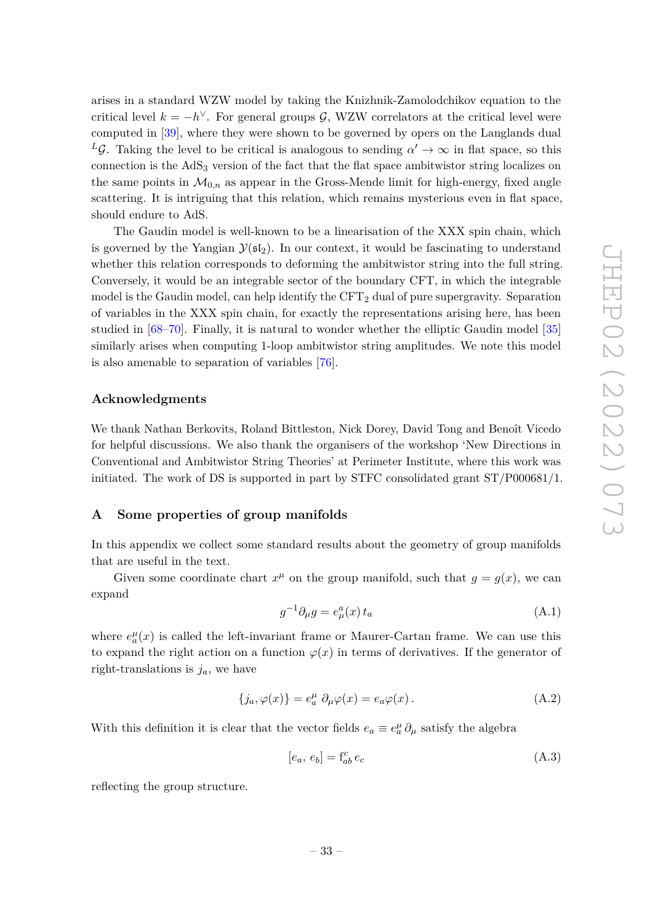arises in a standard WZW model by taking the Knizhnik-Zamolodchikov equation to the critical level  $k = -h^{\vee}$ . For general groups G, WZW correlators at the critical level were computed in [\[39\]](#page-37-0), where they were shown to be governed by opers on the Langlands dual *L*G. Taking the level to be critical is analogous to sending  $\alpha' \to \infty$  in flat space, so this connection is the AdS<sub>3</sub> version of the fact that the flat space ambitwistor string localizes on the same points in  $\mathcal{M}_{0,n}$  as appear in the Gross-Mende limit for high-energy, fixed angle scattering. It is intriguing that this relation, which remains mysterious even in flat space, should endure to AdS.

The Gaudin model is well-known to be a linearisation of the XXX spin chain, which is governed by the Yangian  $\mathcal{Y}(\mathfrak{sl}_2)$ . In our context, it would be fascinating to understand whether this relation corresponds to deforming the ambitwistor string into the full string. Conversely, it would be an integrable sector of the boundary CFT, in which the integrable model is the Gaudin model, can help identify the  $CFT<sub>2</sub>$  dual of pure supergravity. Separation of variables in the XXX spin chain, for exactly the representations arising here, has been studied in [\[68](#page-38-8)[–70\]](#page-38-9). Finally, it is natural to wonder whether the elliptic Gaudin model [\[35\]](#page-36-15) similarly arises when computing 1-loop ambitwistor string amplitudes. We note this model is also amenable to separation of variables [\[76\]](#page-38-15).

#### **Acknowledgments**

We thank Nathan Berkovits, Roland Bittleston, Nick Dorey, David Tong and Benoît Vicedo for helpful discussions. We also thank the organisers of the workshop 'New Directions in Conventional and Ambitwistor String Theories' at Perimeter Institute, where this work was initiated. The work of DS is supported in part by STFC consolidated grant  $ST/PO00681/1$ .

## <span id="page-33-0"></span>**A Some properties of group manifolds**

In this appendix we collect some standard results about the geometry of group manifolds that are useful in the text.

Given some coordinate chart  $x^{\mu}$  on the group manifold, such that  $g = g(x)$ , we can expand

$$
g^{-1}\partial_{\mu}g = e_{\mu}^{a}(x) t_{a}
$$
 (A.1)

where  $e_a^{\mu}(x)$  is called the left-invariant frame or Maurer-Cartan frame. We can use this to expand the right action on a function  $\varphi(x)$  in terms of derivatives. If the generator of right-translations is  $j_a$ , we have

$$
\{j_a, \varphi(x)\} = e_a^{\mu} \partial_{\mu} \varphi(x) = e_a \varphi(x).
$$
 (A.2)

With this definition it is clear that the vector fields  $e_a \equiv e_a^{\mu} \partial_{\mu}$  satisfy the algebra

$$
[e_a, e_b] = \mathbf{f}_{ab}^c \, e_c \tag{A.3}
$$

reflecting the group structure.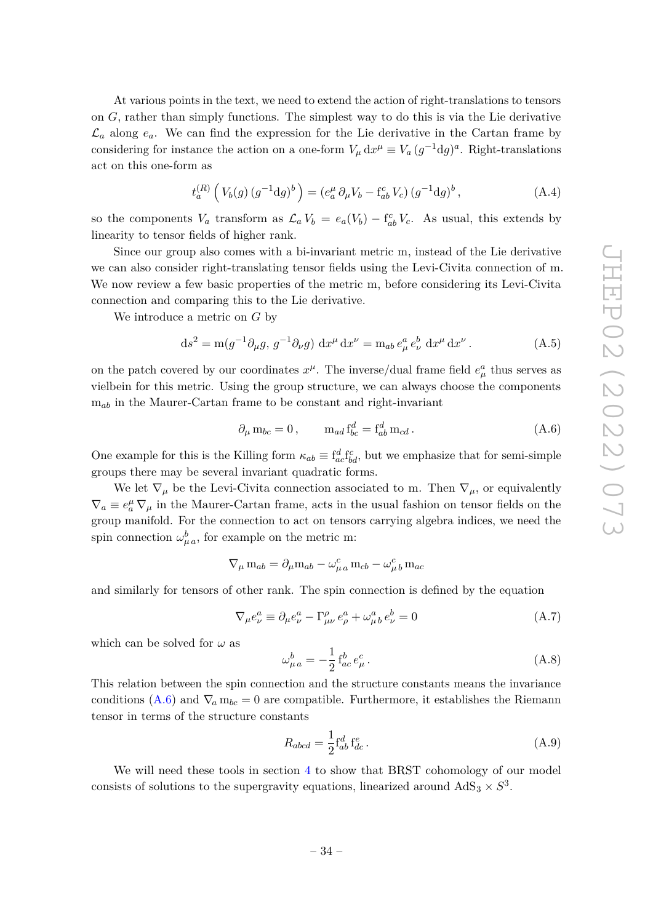At various points in the text, we need to extend the action of right-translations to tensors on *G*, rather than simply functions. The simplest way to do this is via the Lie derivative  $\mathcal{L}_a$  along  $e_a$ . We can find the expression for the Lie derivative in the Cartan frame by considering for instance the action on a one-form  $V_\mu dx^\mu \equiv V_a (g^{-1}dg)^a$ . Right-translations act on this one-form as

$$
t_a^{(R)}(V_b(g) (g^{-1}dg)^b) = (e_a^{\mu} \partial_{\mu} V_b - f_{ab}^c V_c) (g^{-1}dg)^b, \qquad (A.4)
$$

so the components  $V_a$  transform as  $\mathcal{L}_a V_b = e_a(V_b) - f_{ab}^c V_c$ . As usual, this extends by linearity to tensor fields of higher rank.

Since our group also comes with a bi-invariant metric m, instead of the Lie derivative we can also consider right-translating tensor fields using the Levi-Civita connection of m. We now review a few basic properties of the metric m, before considering its Levi-Civita connection and comparing this to the Lie derivative.

We introduce a metric on *G* by

$$
ds^{2} = m(g^{-1}\partial_{\mu}g, g^{-1}\partial_{\nu}g) dx^{\mu} dx^{\nu} = m_{ab} e^{a}_{\mu} e^{b}_{\nu} dx^{\mu} dx^{\nu}.
$$
 (A.5)

on the patch covered by our coordinates  $x^{\mu}$ . The inverse/dual frame field  $e^a_{\mu}$  thus serves as vielbein for this metric. Using the group structure, we can always choose the components m*ab* in the Maurer-Cartan frame to be constant and right-invariant

<span id="page-34-1"></span>
$$
\partial_{\mu} \mathbf{m}_{bc} = 0, \qquad \mathbf{m}_{ad} \mathbf{f}_{bc}^d = \mathbf{f}_{ab}^d \mathbf{m}_{cd}.
$$
 (A.6)

One example for this is the Killing form  $\kappa_{ab} \equiv f_{ac}^d f_{bd}^c$ , but we emphasize that for semi-simple groups there may be several invariant quadratic forms.

We let  $\nabla_{\mu}$  be the Levi-Civita connection associated to m. Then  $\nabla_{\mu}$ , or equivalently  $\nabla_a \equiv e^\mu_a \, \nabla_\mu$  in the Maurer-Cartan frame, acts in the usual fashion on tensor fields on the group manifold. For the connection to act on tensors carrying algebra indices, we need the spin connection  $\omega_{\mu}^{b}$ , for example on the metric m:

$$
\nabla_{\mu} \mathbf{m}_{ab} = \partial_{\mu} \mathbf{m}_{ab} - \omega_{\mu a}^{c} \mathbf{m}_{cb} - \omega_{\mu b}^{c} \mathbf{m}_{ac}
$$

and similarly for tensors of other rank. The spin connection is defined by the equation

$$
\nabla_{\mu} e_{\nu}^{a} \equiv \partial_{\mu} e_{\nu}^{a} - \Gamma_{\mu\nu}^{\rho} e_{\rho}^{a} + \omega_{\mu}^{a} e_{\nu}^{b} = 0 \tag{A.7}
$$

which can be solved for  $\omega$  as

<span id="page-34-0"></span>
$$
\omega_{\mu\,a}^{b} = -\frac{1}{2} f_{ac}^{b} e_{\mu}^{c} . \tag{A.8}
$$

This relation between the spin connection and the structure constants means the invariance conditions [\(A.6\)](#page-34-1) and  $\nabla_a m_{bc} = 0$  are compatible. Furthermore, it establishes the Riemann tensor in terms of the structure constants

$$
R_{abcd} = \frac{1}{2} \mathbf{f}_{ab}^d \mathbf{f}_{dc}^e \,. \tag{A.9}
$$

We will need these tools in section [4](#page-13-0) to show that BRST cohomology of our model consists of solutions to the supergravity equations, linearized around  $AdS_3 \times S^3$ .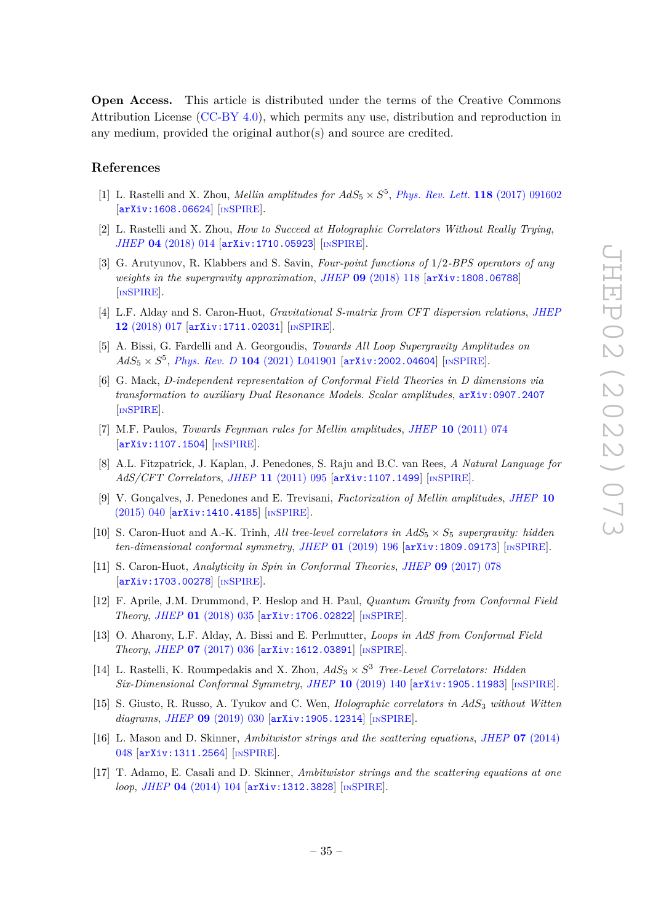**Open Access.** This article is distributed under the terms of the Creative Commons Attribution License [\(CC-BY 4.0\)](https://creativecommons.org/licenses/by/4.0/), which permits any use, distribution and reproduction in any medium, provided the original author(s) and source are credited.

## **References**

- <span id="page-35-0"></span>[1] L. Rastelli and X. Zhou, *Mellin amplitudes for*  $AdS_5 \times S^5$ , *[Phys. Rev. Lett.](https://doi.org/10.1103/PhysRevLett.118.091602)* **118** (2017) 091602 [[arXiv:1608.06624](https://arxiv.org/abs/1608.06624)] [IN[SPIRE](https://inspirehep.net/search?p=find+EPRINT%2BarXiv%3A1608.06624)].
- [2] L. Rastelli and X. Zhou, *How to Succeed at Holographic Correlators Without Really Trying*, *JHEP* **04** [\(2018\) 014](https://doi.org/10.1007/JHEP04(2018)014) [[arXiv:1710.05923](https://arxiv.org/abs/1710.05923)] [IN[SPIRE](https://inspirehep.net/search?p=find+EPRINT%2BarXiv%3A1710.05923)].
- [3] G. Arutyunov, R. Klabbers and S. Savin, *Four-point functions of* 1*/*2*-BPS operators of any weights in the supergravity approximation*, *JHEP* **09** [\(2018\) 118](https://doi.org/10.1007/JHEP09(2018)118) [[arXiv:1808.06788](https://arxiv.org/abs/1808.06788)] [IN[SPIRE](https://inspirehep.net/search?p=find+EPRINT%2BarXiv%3A1808.06788)].
- [4] L.F. Alday and S. Caron-Huot, *Gravitational S-matrix from CFT dispersion relations*, *[JHEP](https://doi.org/10.1007/JHEP12(2018)017)* **12** [\(2018\) 017](https://doi.org/10.1007/JHEP12(2018)017) [[arXiv:1711.02031](https://arxiv.org/abs/1711.02031)] [IN[SPIRE](https://inspirehep.net/search?p=find+EPRINT%2BarXiv%3A1711.02031)].
- <span id="page-35-1"></span>[5] A. Bissi, G. Fardelli and A. Georgoudis, *Towards All Loop Supergravity Amplitudes on*  $AdS_5 \times S^5$ , *Phys. Rev. D* **104** [\(2021\) L041901](https://doi.org/10.1103/PhysRevD.104.L041901) [[arXiv:2002.04604](https://arxiv.org/abs/2002.04604)] [IN[SPIRE](https://inspirehep.net/search?p=find+EPRINT%2BarXiv%3A2002.04604)].
- <span id="page-35-2"></span>[6] G. Mack, *D-independent representation of Conformal Field Theories in D dimensions via transformation to auxiliary Dual Resonance Models. Scalar amplitudes*, [arXiv:0907.2407](https://arxiv.org/abs/0907.2407) [IN[SPIRE](https://inspirehep.net/search?p=find+EPRINT%2BarXiv%3A0907.2407)].
- [7] M.F. Paulos, *Towards Feynman rules for Mellin amplitudes*, *JHEP* **10** [\(2011\) 074](https://doi.org/10.1007/JHEP10(2011)074) [[arXiv:1107.1504](https://arxiv.org/abs/1107.1504)] [IN[SPIRE](https://inspirehep.net/search?p=find+EPRINT%2BarXiv%3A1107.1504)].
- [8] A.L. Fitzpatrick, J. Kaplan, J. Penedones, S. Raju and B.C. van Rees, *A Natural Language for AdS/CFT Correlators*, *JHEP* **11** [\(2011\) 095](https://doi.org/10.1007/JHEP11(2011)095) [[arXiv:1107.1499](https://arxiv.org/abs/1107.1499)] [IN[SPIRE](https://inspirehep.net/search?p=find+EPRINT%2BarXiv%3A1107.1499)].
- <span id="page-35-3"></span>[9] V. Gonçalves, J. Penedones and E. Trevisani, *Factorization of Mellin amplitudes*, *[JHEP](https://doi.org/10.1007/JHEP10(2015)040)* **10** [\(2015\) 040](https://doi.org/10.1007/JHEP10(2015)040) [[arXiv:1410.4185](https://arxiv.org/abs/1410.4185)] [IN[SPIRE](https://inspirehep.net/search?p=find+EPRINT%2BarXiv%3A1410.4185)].
- <span id="page-35-4"></span>[10] S. Caron-Huot and A.-K. Trinh, *All tree-level correlators in AdS*<sup>5</sup> × *S*<sup>5</sup> *supergravity: hidden ten-dimensional conformal symmetry*, *JHEP* **01** [\(2019\) 196](https://doi.org/10.1007/JHEP01(2019)196) [[arXiv:1809.09173](https://arxiv.org/abs/1809.09173)] [IN[SPIRE](https://inspirehep.net/search?p=find+EPRINT%2BarXiv%3A1809.09173)].
- <span id="page-35-5"></span>[11] S. Caron-Huot, *Analyticity in Spin in Conformal Theories*, *JHEP* **09** [\(2017\) 078](https://doi.org/10.1007/JHEP09(2017)078) [[arXiv:1703.00278](https://arxiv.org/abs/1703.00278)] [IN[SPIRE](https://inspirehep.net/search?p=find+EPRINT%2BarXiv%3A1703.00278)].
- [12] F. Aprile, J.M. Drummond, P. Heslop and H. Paul, *Quantum Gravity from Conformal Field Theory*, *JHEP* **01** [\(2018\) 035](https://doi.org/10.1007/JHEP01(2018)035) [[arXiv:1706.02822](https://arxiv.org/abs/1706.02822)] [IN[SPIRE](https://inspirehep.net/search?p=find+EPRINT%2BarXiv%3A1706.02822)].
- <span id="page-35-6"></span>[13] O. Aharony, L.F. Alday, A. Bissi and E. Perlmutter, *Loops in AdS from Conformal Field Theory*, *JHEP* **07** [\(2017\) 036](https://doi.org/10.1007/JHEP07(2017)036) [[arXiv:1612.03891](https://arxiv.org/abs/1612.03891)] [IN[SPIRE](https://inspirehep.net/search?p=find+EPRINT%2BarXiv%3A1612.03891)].
- <span id="page-35-7"></span>[14] L. Rastelli, K. Roumpedakis and X. Zhou, *AdS*<sup>3</sup> × *S* <sup>3</sup> *Tree-Level Correlators: Hidden Six-Dimensional Conformal Symmetry*, *JHEP* **10** [\(2019\) 140](https://doi.org/10.1007/JHEP10(2019)140) [[arXiv:1905.11983](https://arxiv.org/abs/1905.11983)] [IN[SPIRE](https://inspirehep.net/search?p=find+EPRINT%2BarXiv%3A1905.11983)].
- <span id="page-35-8"></span>[15] S. Giusto, R. Russo, A. Tyukov and C. Wen, *Holographic correlators in AdS*<sup>3</sup> *without Witten diagrams*, *JHEP* **09** [\(2019\) 030](https://doi.org/10.1007/JHEP09(2019)030) [[arXiv:1905.12314](https://arxiv.org/abs/1905.12314)] [IN[SPIRE](https://inspirehep.net/search?p=find+EPRINT%2BarXiv%3A1905.12314)].
- <span id="page-35-9"></span>[16] L. Mason and D. Skinner, *Ambitwistor strings and the scattering equations*, *JHEP* **07** [\(2014\)](https://doi.org/10.1007/JHEP07(2014)048) [048](https://doi.org/10.1007/JHEP07(2014)048) [[arXiv:1311.2564](https://arxiv.org/abs/1311.2564)] [IN[SPIRE](https://inspirehep.net/search?p=find+EPRINT%2BarXiv%3A1311.2564)].
- <span id="page-35-10"></span>[17] T. Adamo, E. Casali and D. Skinner, *Ambitwistor strings and the scattering equations at one loop*, *JHEP* **04** [\(2014\) 104](https://doi.org/10.1007/JHEP04(2014)104) [[arXiv:1312.3828](https://arxiv.org/abs/1312.3828)] [IN[SPIRE](https://inspirehep.net/search?p=find+EPRINT%2BarXiv%3A1312.3828)].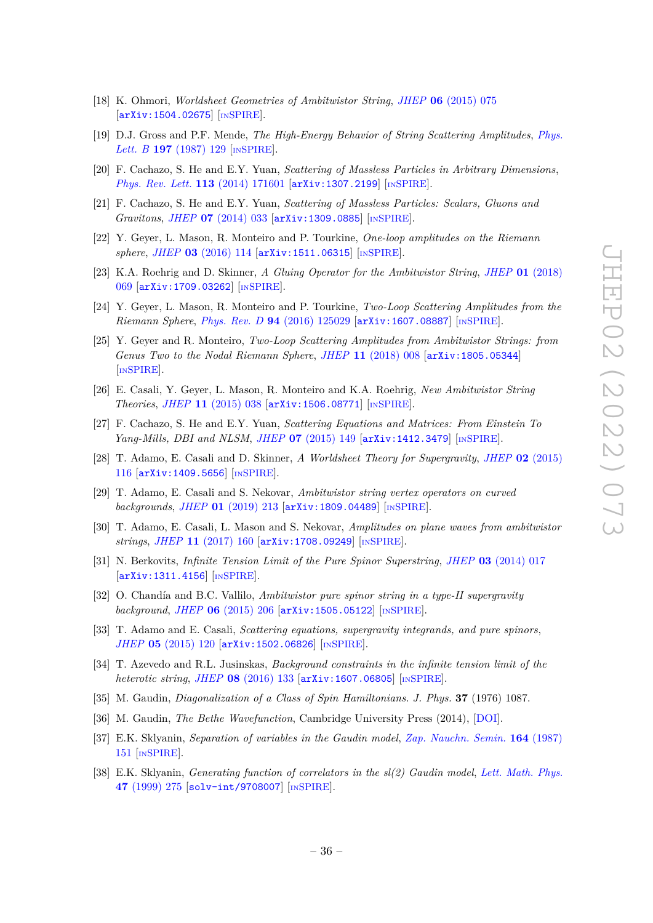- <span id="page-36-0"></span>[18] K. Ohmori, *Worldsheet Geometries of Ambitwistor String*, *JHEP* **06** [\(2015\) 075](https://doi.org/10.1007/JHEP06(2015)075) [[arXiv:1504.02675](https://arxiv.org/abs/1504.02675)] [IN[SPIRE](https://inspirehep.net/search?p=find+EPRINT%2BarXiv%3A1504.02675)].
- <span id="page-36-1"></span>[19] D.J. Gross and P.F. Mende, *The High-Energy Behavior of String Scattering Amplitudes*, *[Phys.](https://doi.org/10.1016/0370-2693(87)90355-8) Lett. B* **197** [\(1987\) 129](https://doi.org/10.1016/0370-2693(87)90355-8) [IN[SPIRE](https://inspirehep.net/search?p=find+J%20%22Phys.Lett.%2CB197%2C129%22)].
- <span id="page-36-2"></span>[20] F. Cachazo, S. He and E.Y. Yuan, *Scattering of Massless Particles in Arbitrary Dimensions*, *[Phys. Rev. Lett.](https://doi.org/10.1103/PhysRevLett.113.171601)* **113** (2014) 171601 [[arXiv:1307.2199](https://arxiv.org/abs/1307.2199)] [IN[SPIRE](https://inspirehep.net/search?p=find+EPRINT%2BarXiv%3A1307.2199)].
- <span id="page-36-3"></span>[21] F. Cachazo, S. He and E.Y. Yuan, *Scattering of Massless Particles: Scalars, Gluons and Gravitons*, *JHEP* **07** [\(2014\) 033](https://doi.org/10.1007/JHEP07(2014)033) [[arXiv:1309.0885](https://arxiv.org/abs/1309.0885)] [IN[SPIRE](https://inspirehep.net/search?p=find+EPRINT%2BarXiv%3A1309.0885)].
- <span id="page-36-4"></span>[22] Y. Geyer, L. Mason, R. Monteiro and P. Tourkine, *One-loop amplitudes on the Riemann sphere*, *JHEP* **03** [\(2016\) 114](https://doi.org/10.1007/JHEP03(2016)114) [[arXiv:1511.06315](https://arxiv.org/abs/1511.06315)] [IN[SPIRE](https://inspirehep.net/search?p=find+EPRINT%2BarXiv%3A1511.06315)].
- <span id="page-36-5"></span>[23] K.A. Roehrig and D. Skinner, *A Gluing Operator for the Ambitwistor String*, *JHEP* **01** [\(2018\)](https://doi.org/10.1007/JHEP01(2018)069) [069](https://doi.org/10.1007/JHEP01(2018)069) [[arXiv:1709.03262](https://arxiv.org/abs/1709.03262)] [IN[SPIRE](https://inspirehep.net/search?p=find+EPRINT%2BarXiv%3A1709.03262)].
- <span id="page-36-6"></span>[24] Y. Geyer, L. Mason, R. Monteiro and P. Tourkine, *Two-Loop Scattering Amplitudes from the Riemann Sphere, Phys. Rev. D* 94 [\(2016\) 125029](https://doi.org/10.1103/PhysRevD.94.125029) [[arXiv:1607.08887](https://arxiv.org/abs/1607.08887)] [IN[SPIRE](https://inspirehep.net/search?p=find+EPRINT%2BarXiv%3A1607.08887)].
- <span id="page-36-7"></span>[25] Y. Geyer and R. Monteiro, *Two-Loop Scattering Amplitudes from Ambitwistor Strings: from Genus Two to the Nodal Riemann Sphere*, *JHEP* **11** [\(2018\) 008](https://doi.org/10.1007/JHEP11(2018)008) [[arXiv:1805.05344](https://arxiv.org/abs/1805.05344)] [IN[SPIRE](https://inspirehep.net/search?p=find+EPRINT%2BarXiv%3A1805.05344)].
- <span id="page-36-8"></span>[26] E. Casali, Y. Geyer, L. Mason, R. Monteiro and K.A. Roehrig, *New Ambitwistor String Theories*, *JHEP* **11** [\(2015\) 038](https://doi.org/10.1007/JHEP11(2015)038) [[arXiv:1506.08771](https://arxiv.org/abs/1506.08771)] [IN[SPIRE](https://inspirehep.net/search?p=find+EPRINT%2BarXiv%3A1506.08771)].
- <span id="page-36-9"></span>[27] F. Cachazo, S. He and E.Y. Yuan, *Scattering Equations and Matrices: From Einstein To Yang-Mills, DBI and NLSM*, *JHEP* **07** [\(2015\) 149](https://doi.org/10.1007/JHEP07(2015)149) [[arXiv:1412.3479](https://arxiv.org/abs/1412.3479)] [IN[SPIRE](https://inspirehep.net/search?p=find+EPRINT%2BarXiv%3A1412.3479)].
- <span id="page-36-10"></span>[28] T. Adamo, E. Casali and D. Skinner, *A Worldsheet Theory for Supergravity*, *JHEP* **02** [\(2015\)](https://doi.org/10.1007/JHEP02(2015)116) [116](https://doi.org/10.1007/JHEP02(2015)116) [[arXiv:1409.5656](https://arxiv.org/abs/1409.5656)] [IN[SPIRE](https://inspirehep.net/search?p=find+EPRINT%2BarXiv%3A1409.5656)].
- <span id="page-36-11"></span>[29] T. Adamo, E. Casali and S. Nekovar, *Ambitwistor string vertex operators on curved backgrounds*, *JHEP* **01** [\(2019\) 213](https://doi.org/10.1007/JHEP01(2019)213) [[arXiv:1809.04489](https://arxiv.org/abs/1809.04489)] [IN[SPIRE](https://inspirehep.net/search?p=find+EPRINT%2BarXiv%3A1809.04489)].
- <span id="page-36-12"></span>[30] T. Adamo, E. Casali, L. Mason and S. Nekovar, *Amplitudes on plane waves from ambitwistor strings*, *JHEP* **11** [\(2017\) 160](https://doi.org/10.1007/JHEP11(2017)160) [[arXiv:1708.09249](https://arxiv.org/abs/1708.09249)] [IN[SPIRE](https://inspirehep.net/search?p=find+EPRINT%2BarXiv%3A1708.09249)].
- <span id="page-36-13"></span>[31] N. Berkovits, *Infinite Tension Limit of the Pure Spinor Superstring*, *JHEP* **03** [\(2014\) 017](https://doi.org/10.1007/JHEP03(2014)017) [[arXiv:1311.4156](https://arxiv.org/abs/1311.4156)] [IN[SPIRE](https://inspirehep.net/search?p=find+EPRINT%2BarXiv%3A1311.4156)].
- <span id="page-36-18"></span>[32] O. Chandía and B.C. Vallilo, *Ambitwistor pure spinor string in a type-II supergravity background*, *JHEP* **06** [\(2015\) 206](https://doi.org/10.1007/JHEP06(2015)206) [[arXiv:1505.05122](https://arxiv.org/abs/1505.05122)] [IN[SPIRE](https://inspirehep.net/search?p=find+EPRINT%2BarXiv%3A1505.05122)].
- [33] T. Adamo and E. Casali, *Scattering equations, supergravity integrands, and pure spinors*, *JHEP* **05** [\(2015\) 120](https://doi.org/10.1007/JHEP05(2015)120) [[arXiv:1502.06826](https://arxiv.org/abs/1502.06826)] [IN[SPIRE](https://inspirehep.net/search?p=find+EPRINT%2BarXiv%3A1502.06826)].
- <span id="page-36-14"></span>[34] T. Azevedo and R.L. Jusinskas, *Background constraints in the infinite tension limit of the heterotic string*, *JHEP* **08** [\(2016\) 133](https://doi.org/10.1007/JHEP08(2016)133) [[arXiv:1607.06805](https://arxiv.org/abs/1607.06805)] [IN[SPIRE](https://inspirehep.net/search?p=find+EPRINT%2BarXiv%3A1607.06805)].
- <span id="page-36-15"></span>[35] M. Gaudin, *Diagonalization of a Class of Spin Hamiltonians*. *J. Phys.* **37** (1976) 1087.
- [36] M. Gaudin, *The Bethe Wavefunction*, Cambridge University Press (2014), [\[DOI\]](https://doi.org/10.1017/CBO9781107053885).
- <span id="page-36-16"></span>[37] E.K. Sklyanin, *Separation of variables in the Gaudin model*, *[Zap. Nauchn. Semin.](https://doi.org/10.1007/BF01840429)* **164** (1987) [151](https://doi.org/10.1007/BF01840429) [IN[SPIRE](https://inspirehep.net/search?p=find+J%20%22J.Sov.Math.%2C47%2C2473%22)].
- <span id="page-36-17"></span>[38] E.K. Sklyanin, *Generating function of correlators in the sl(2) Gaudin model*, *[Lett. Math. Phys.](https://doi.org/10.1023/A:1007585716273)* **47** [\(1999\) 275](https://doi.org/10.1023/A:1007585716273) [[solv-int/9708007](https://arxiv.org/abs/solv-int/9708007)] [IN[SPIRE](https://inspirehep.net/search?p=find+J%20%22Lett.Math.Phys.%2C47%2C275%22)].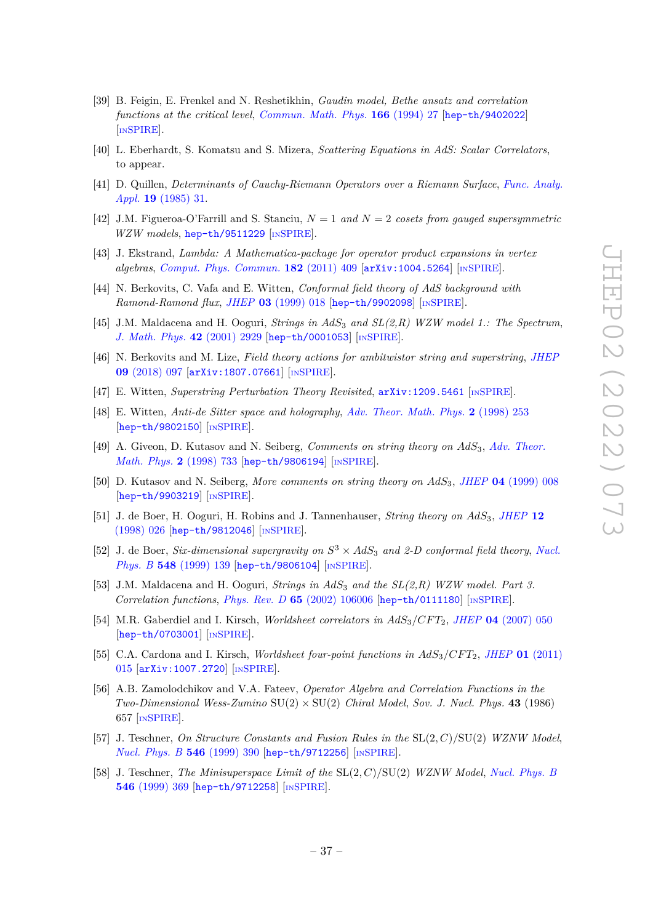- <span id="page-37-0"></span>[39] B. Feigin, E. Frenkel and N. Reshetikhin, *Gaudin model, Bethe ansatz and correlation functions at the critical level*, *[Commun. Math. Phys.](https://doi.org/10.1007/BF02099300)* **166** (1994) 27 [[hep-th/9402022](https://arxiv.org/abs/hep-th/9402022)] [IN[SPIRE](https://inspirehep.net/search?p=find+EPRINT%2Bhep-th%2F9402022)].
- <span id="page-37-1"></span>[40] L. Eberhardt, S. Komatsu and S. Mizera, *Scattering Equations in AdS: Scalar Correlators*, to appear.
- <span id="page-37-2"></span>[41] D. Quillen, *Determinants of Cauchy-Riemann Operators over a Riemann Surface*, *[Func. Analy.](https://doi.org/10.1007/BF01086022) Appl.* **19** [\(1985\) 31.](https://doi.org/10.1007/BF01086022)
- <span id="page-37-3"></span>[42] J.M. Figueroa-O'Farrill and S. Stanciu, *N* = 1 *and N* = 2 *cosets from gauged supersymmetric WZW models*, [hep-th/9511229](https://arxiv.org/abs/hep-th/9511229) [IN[SPIRE](https://inspirehep.net/search?p=find+EPRINT%2Bhep-th%2F9511229)].
- <span id="page-37-4"></span>[43] J. Ekstrand, *Lambda: A Mathematica-package for operator product expansions in vertex algebras*, *[Comput. Phys. Commun.](https://doi.org/10.1016/j.cpc.2010.09.018)* **182** (2011) 409 [[arXiv:1004.5264](https://arxiv.org/abs/1004.5264)] [IN[SPIRE](https://inspirehep.net/search?p=find+EPRINT%2BarXiv%3A1004.5264)].
- <span id="page-37-5"></span>[44] N. Berkovits, C. Vafa and E. Witten, *Conformal field theory of AdS background with Ramond-Ramond flux*, *JHEP* **03** [\(1999\) 018](https://doi.org/10.1088/1126-6708/1999/03/018) [[hep-th/9902098](https://arxiv.org/abs/hep-th/9902098)] [IN[SPIRE](https://inspirehep.net/search?p=find+EPRINT%2Bhep-th%2F9902098)].
- <span id="page-37-6"></span>[45] J.M. Maldacena and H. Ooguri, *Strings in AdS*<sup>3</sup> *and SL(2,R) WZW model 1.: The Spectrum*, *[J. Math. Phys.](https://doi.org/10.1063/1.1377273)* **42** (2001) 2929 [[hep-th/0001053](https://arxiv.org/abs/hep-th/0001053)] [IN[SPIRE](https://inspirehep.net/search?p=find+EPRINT%2Bhep-th%2F0001053)].
- <span id="page-37-7"></span>[46] N. Berkovits and M. Lize, *Field theory actions for ambitwistor string and superstring*, *[JHEP](https://doi.org/10.1007/JHEP09(2018)097)* **09** [\(2018\) 097](https://doi.org/10.1007/JHEP09(2018)097) [[arXiv:1807.07661](https://arxiv.org/abs/1807.07661)] [IN[SPIRE](https://inspirehep.net/search?p=find+EPRINT%2BarXiv%3A1807.07661)].
- <span id="page-37-8"></span>[47] E. Witten, *Superstring Perturbation Theory Revisited*, [arXiv:1209.5461](https://arxiv.org/abs/1209.5461) [IN[SPIRE](https://inspirehep.net/search?p=find+EPRINT%2BarXiv%3A1209.5461)].
- <span id="page-37-9"></span>[48] E. Witten, *Anti-de Sitter space and holography*, *[Adv. Theor. Math. Phys.](https://doi.org/10.4310/ATMP.1998.v2.n2.a2)* **2** (1998) 253 [[hep-th/9802150](https://arxiv.org/abs/hep-th/9802150)] [IN[SPIRE](https://inspirehep.net/search?p=find+EPRINT%2Bhep-th%2F9802150)].
- <span id="page-37-11"></span>[49] A. Giveon, D. Kutasov and N. Seiberg, *Comments on string theory on AdS*3, *[Adv. Theor.](https://doi.org/10.4310/ATMP.1998.v2.n4.a3) [Math. Phys.](https://doi.org/10.4310/ATMP.1998.v2.n4.a3)* **2** (1998) 733 [[hep-th/9806194](https://arxiv.org/abs/hep-th/9806194)] [IN[SPIRE](https://inspirehep.net/search?p=find+EPRINT%2Bhep-th%2F9806194)].
- <span id="page-37-10"></span>[50] D. Kutasov and N. Seiberg, *More comments on string theory on AdS*3, *JHEP* **04** [\(1999\) 008](https://doi.org/10.1088/1126-6708/1999/04/008) [[hep-th/9903219](https://arxiv.org/abs/hep-th/9903219)] [IN[SPIRE](https://inspirehep.net/search?p=find+EPRINT%2Bhep-th%2F9903219)].
- <span id="page-37-12"></span>[51] J. de Boer, H. Ooguri, H. Robins and J. Tannenhauser, *String theory on AdS*3, *[JHEP](https://doi.org/10.1088/1126-6708/1998/12/026)* **12** [\(1998\) 026](https://doi.org/10.1088/1126-6708/1998/12/026) [[hep-th/9812046](https://arxiv.org/abs/hep-th/9812046)] [IN[SPIRE](https://inspirehep.net/search?p=find+EPRINT%2Bhep-th%2F9812046)].
- [52] J. de Boer, *Six-dimensional supergravity on*  $S^3 \times AdS_3$  *and 2-D conformal field theory, [Nucl.](https://doi.org/10.1016/S0550-3213(99)00160-1) Phys. B* **548** [\(1999\) 139](https://doi.org/10.1016/S0550-3213(99)00160-1) [[hep-th/9806104](https://arxiv.org/abs/hep-th/9806104)] [IN[SPIRE](https://inspirehep.net/search?p=find+EPRINT%2Bhep-th%2F9806104)].
- <span id="page-37-15"></span>[53] J.M. Maldacena and H. Ooguri, *Strings in AdS*<sup>3</sup> *and the SL(2,R) WZW model. Part 3. Correlation functions*, *Phys. Rev. D* **65** [\(2002\) 106006](https://doi.org/10.1103/PhysRevD.65.106006) [[hep-th/0111180](https://arxiv.org/abs/hep-th/0111180)] [IN[SPIRE](https://inspirehep.net/search?p=find+EPRINT%2Bhep-th%2F0111180)].
- [54] M.R. Gaberdiel and I. Kirsch, *Worldsheet correlators in AdS*3*/CF T*2, *JHEP* **04** [\(2007\) 050](https://doi.org/10.1088/1126-6708/2007/04/050) [[hep-th/0703001](https://arxiv.org/abs/hep-th/0703001)] [IN[SPIRE](https://inspirehep.net/search?p=find+EPRINT%2Bhep-th%2F0703001)].
- <span id="page-37-13"></span>[55] C.A. Cardona and I. Kirsch, *Worldsheet four-point functions in AdS*3*/CF T*2, *JHEP* **01** [\(2011\)](https://doi.org/10.1007/JHEP01(2011)015) [015](https://doi.org/10.1007/JHEP01(2011)015) [[arXiv:1007.2720](https://arxiv.org/abs/1007.2720)] [IN[SPIRE](https://inspirehep.net/search?p=find+EPRINT%2BarXiv%3A1007.2720)].
- <span id="page-37-14"></span>[56] A.B. Zamolodchikov and V.A. Fateev, *Operator Algebra and Correlation Functions in the*  $Two-Dimensional Wess-Zumino SU(2) \times SU(2)$  *Chiral Model, Sov. J. Nucl. Phys.* **43** (1986) 657 [IN[SPIRE](https://inspirehep.net/search?p=find+J%20%22Sov.J.Nucl.Phys.%2C43%2C657%22)].
- [57] J. Teschner, *On Structure Constants and Fusion Rules in the* SL(2*, C*)*/*SU(2) *WZNW Model*, *[Nucl. Phys. B](https://doi.org/10.1016/S0550-3213(99)00072-3)* **546** (1999) 390 [[hep-th/9712256](https://arxiv.org/abs/hep-th/9712256)] [IN[SPIRE](https://inspirehep.net/search?p=find+EPRINT%2Bhep-th%2F9712256)].
- [58] J. Teschner, *The Minisuperspace Limit of the* SL(2*, C*)*/*SU(2) *WZNW Model*, *[Nucl. Phys. B](https://doi.org/10.1016/S0550-3213(99)00071-1)* **546** [\(1999\) 369](https://doi.org/10.1016/S0550-3213(99)00071-1) [[hep-th/9712258](https://arxiv.org/abs/hep-th/9712258)] [IN[SPIRE](https://inspirehep.net/search?p=find+EPRINT%2Bhep-th%2F9712258)].